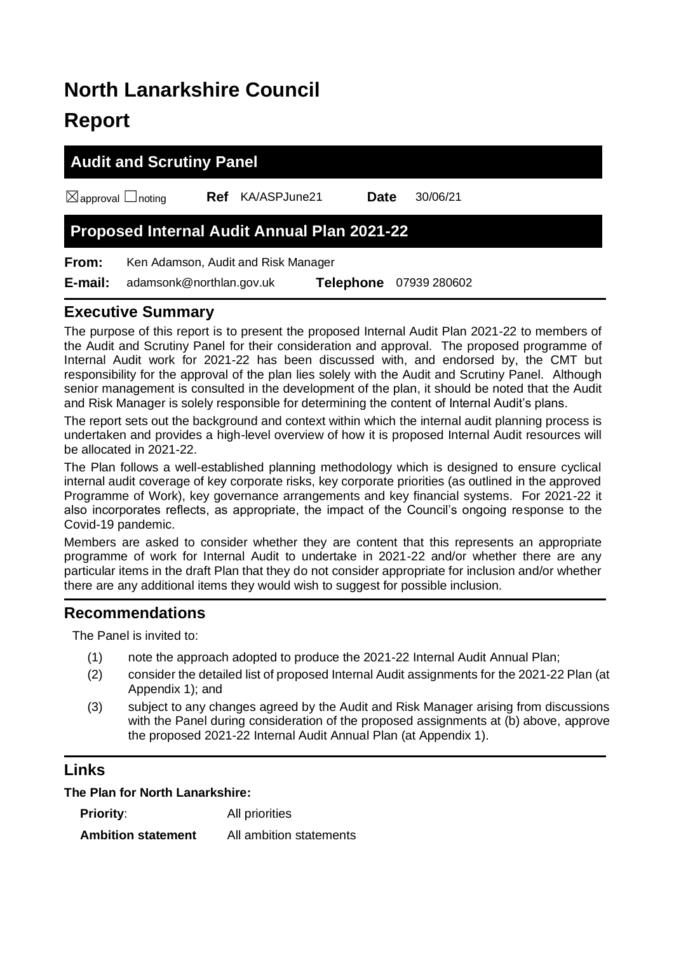# **North Lanarkshire Council Report**

# **Audit and Scrutiny Panel**

☒approval ☐noting **Ref** KA/ASPJune21 **Date** 30/06/21

# **Proposed Internal Audit Annual Plan 2021-22**

**From:** Ken Adamson, Audit and Risk Manager

**E-mail:** adamsonk@northlan.gov.uk **Telephone** 07939 280602

## **Executive Summary**

The purpose of this report is to present the proposed Internal Audit Plan 2021-22 to members of the Audit and Scrutiny Panel for their consideration and approval. The proposed programme of Internal Audit work for 2021-22 has been discussed with, and endorsed by, the CMT but responsibility for the approval of the plan lies solely with the Audit and Scrutiny Panel. Although senior management is consulted in the development of the plan, it should be noted that the Audit and Risk Manager is solely responsible for determining the content of Internal Audit's plans.

The report sets out the background and context within which the internal audit planning process is undertaken and provides a high-level overview of how it is proposed Internal Audit resources will be allocated in 2021-22.

The Plan follows a well-established planning methodology which is designed to ensure cyclical internal audit coverage of key corporate risks, key corporate priorities (as outlined in the approved Programme of Work), key governance arrangements and key financial systems. For 2021-22 it also incorporates reflects, as appropriate, the impact of the Council's ongoing response to the Covid-19 pandemic.

Members are asked to consider whether they are content that this represents an appropriate programme of work for Internal Audit to undertake in 2021-22 and/or whether there are any particular items in the draft Plan that they do not consider appropriate for inclusion and/or whether there are any additional items they would wish to suggest for possible inclusion.

## **Recommendations**

The Panel is invited to:

- (1) note the approach adopted to produce the 2021-22 Internal Audit Annual Plan;
- (2) consider the detailed list of proposed Internal Audit assignments for the 2021-22 Plan (at Appendix 1); and
- (3) subject to any changes agreed by the Audit and Risk Manager arising from discussions with the Panel during consideration of the proposed assignments at (b) above, approve the proposed 2021-22 Internal Audit Annual Plan (at Appendix 1).

## **Links**

**The Plan for North Lanarkshire:**

| <b>Priority:</b>          | All priorities          |
|---------------------------|-------------------------|
| <b>Ambition statement</b> | All ambition statements |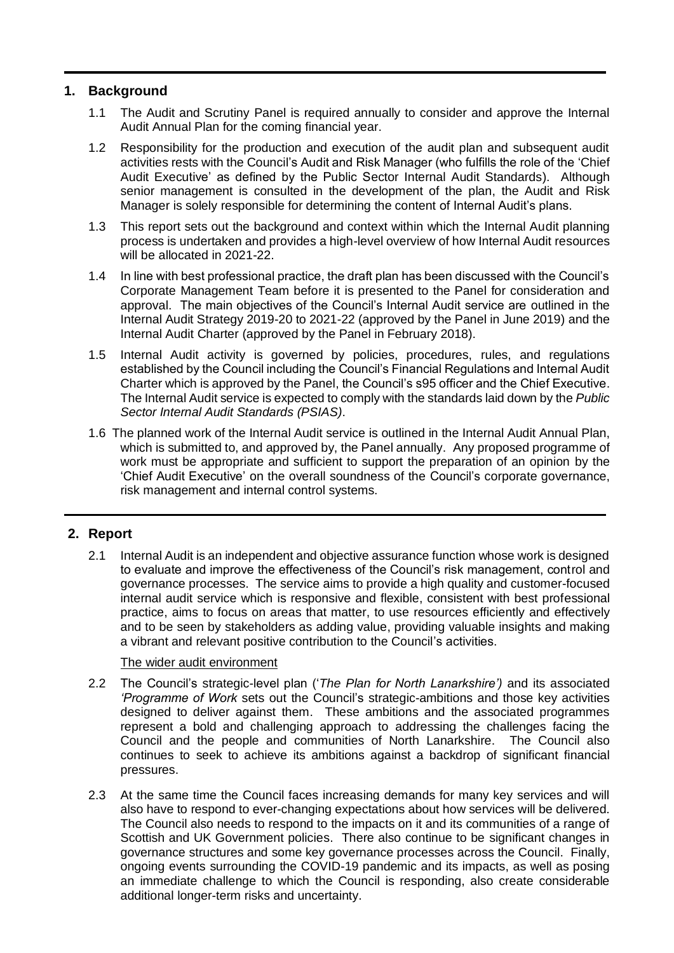#### **1. Background**

- 1.1 The Audit and Scrutiny Panel is required annually to consider and approve the Internal Audit Annual Plan for the coming financial year.
- 1.2 Responsibility for the production and execution of the audit plan and subsequent audit activities rests with the Council's Audit and Risk Manager (who fulfills the role of the 'Chief Audit Executive' as defined by the Public Sector Internal Audit Standards). Although senior management is consulted in the development of the plan, the Audit and Risk Manager is solely responsible for determining the content of Internal Audit's plans.
- 1.3 This report sets out the background and context within which the Internal Audit planning process is undertaken and provides a high-level overview of how Internal Audit resources will be allocated in 2021-22.
- 1.4 In line with best professional practice, the draft plan has been discussed with the Council's Corporate Management Team before it is presented to the Panel for consideration and approval. The main objectives of the Council's Internal Audit service are outlined in the Internal Audit Strategy 2019-20 to 2021-22 (approved by the Panel in June 2019) and the Internal Audit Charter (approved by the Panel in February 2018).
- 1.5 Internal Audit activity is governed by policies, procedures, rules, and regulations established by the Council including the Council's Financial Regulations and Internal Audit Charter which is approved by the Panel, the Council's s95 officer and the Chief Executive. The Internal Audit service is expected to comply with the standards laid down by the *Public Sector Internal Audit Standards (PSIAS)*.
- 1.6 The planned work of the Internal Audit service is outlined in the Internal Audit Annual Plan, which is submitted to, and approved by, the Panel annually. Any proposed programme of work must be appropriate and sufficient to support the preparation of an opinion by the 'Chief Audit Executive' on the overall soundness of the Council's corporate governance, risk management and internal control systems.

#### **2. Report**

2.1 Internal Audit is an independent and objective assurance function whose work is designed to evaluate and improve the effectiveness of the Council's risk management, control and governance processes. The service aims to provide a high quality and customer-focused internal audit service which is responsive and flexible, consistent with best professional practice, aims to focus on areas that matter, to use resources efficiently and effectively and to be seen by stakeholders as adding value, providing valuable insights and making a vibrant and relevant positive contribution to the Council's activities.

#### The wider audit environment

- 2.2 The Council's strategic-level plan ('*The Plan for North Lanarkshire')* and its associated *'Programme of Work* sets out the Council's strategic-ambitions and those key activities designed to deliver against them. These ambitions and the associated programmes represent a bold and challenging approach to addressing the challenges facing the Council and the people and communities of North Lanarkshire. The Council also continues to seek to achieve its ambitions against a backdrop of significant financial pressures.
- 2.3 At the same time the Council faces increasing demands for many key services and will also have to respond to ever-changing expectations about how services will be delivered. The Council also needs to respond to the impacts on it and its communities of a range of Scottish and UK Government policies. There also continue to be significant changes in governance structures and some key governance processes across the Council. Finally, ongoing events surrounding the COVID-19 pandemic and its impacts, as well as posing an immediate challenge to which the Council is responding, also create considerable additional longer-term risks and uncertainty.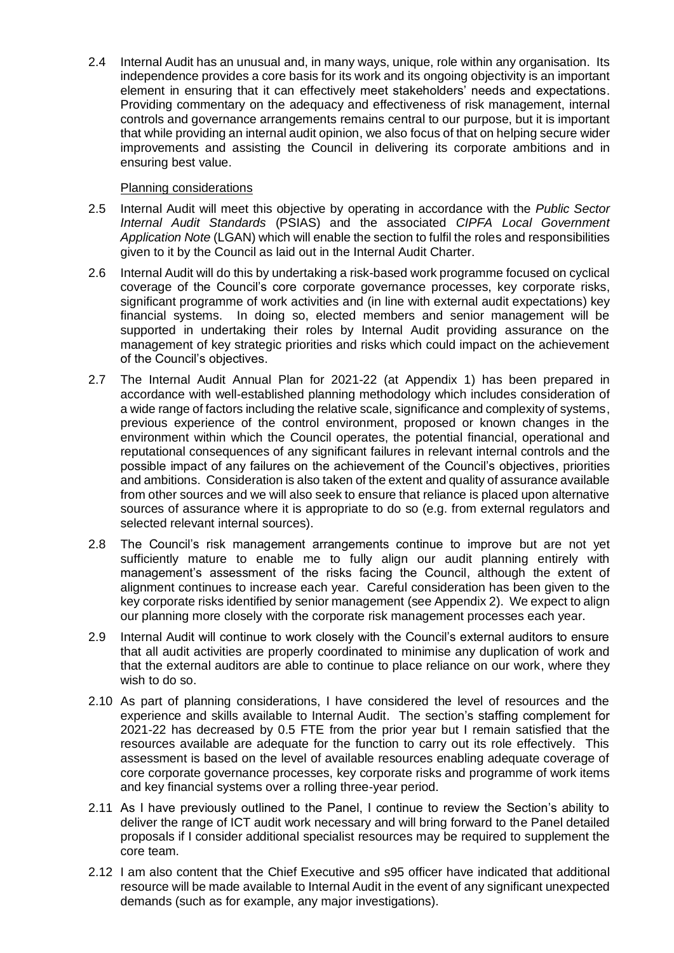2.4 Internal Audit has an unusual and, in many ways, unique, role within any organisation. Its independence provides a core basis for its work and its ongoing objectivity is an important element in ensuring that it can effectively meet stakeholders' needs and expectations. Providing commentary on the adequacy and effectiveness of risk management, internal controls and governance arrangements remains central to our purpose, but it is important that while providing an internal audit opinion, we also focus of that on helping secure wider improvements and assisting the Council in delivering its corporate ambitions and in ensuring best value.

#### Planning considerations

- 2.5 Internal Audit will meet this objective by operating in accordance with the *Public Sector Internal Audit Standards* (PSIAS) and the associated *CIPFA Local Government Application Note* (LGAN) which will enable the section to fulfil the roles and responsibilities given to it by the Council as laid out in the Internal Audit Charter.
- 2.6 Internal Audit will do this by undertaking a risk-based work programme focused on cyclical coverage of the Council's core corporate governance processes, key corporate risks, significant programme of work activities and (in line with external audit expectations) key financial systems. In doing so, elected members and senior management will be supported in undertaking their roles by Internal Audit providing assurance on the management of key strategic priorities and risks which could impact on the achievement of the Council's objectives.
- 2.7 The Internal Audit Annual Plan for 2021-22 (at Appendix 1) has been prepared in accordance with well-established planning methodology which includes consideration of a wide range of factors including the relative scale, significance and complexity of systems, previous experience of the control environment, proposed or known changes in the environment within which the Council operates, the potential financial, operational and reputational consequences of any significant failures in relevant internal controls and the possible impact of any failures on the achievement of the Council's objectives, priorities and ambitions. Consideration is also taken of the extent and quality of assurance available from other sources and we will also seek to ensure that reliance is placed upon alternative sources of assurance where it is appropriate to do so (e.g. from external regulators and selected relevant internal sources).
- 2.8 The Council's risk management arrangements continue to improve but are not yet sufficiently mature to enable me to fully align our audit planning entirely with management's assessment of the risks facing the Council, although the extent of alignment continues to increase each year. Careful consideration has been given to the key corporate risks identified by senior management (see Appendix 2). We expect to align our planning more closely with the corporate risk management processes each year.
- 2.9 Internal Audit will continue to work closely with the Council's external auditors to ensure that all audit activities are properly coordinated to minimise any duplication of work and that the external auditors are able to continue to place reliance on our work, where they wish to do so.
- 2.10 As part of planning considerations, I have considered the level of resources and the experience and skills available to Internal Audit. The section's staffing complement for 2021-22 has decreased by 0.5 FTE from the prior year but I remain satisfied that the resources available are adequate for the function to carry out its role effectively. This assessment is based on the level of available resources enabling adequate coverage of core corporate governance processes, key corporate risks and programme of work items and key financial systems over a rolling three-year period.
- 2.11 As I have previously outlined to the Panel, I continue to review the Section's ability to deliver the range of ICT audit work necessary and will bring forward to the Panel detailed proposals if I consider additional specialist resources may be required to supplement the core team.
- 2.12 I am also content that the Chief Executive and s95 officer have indicated that additional resource will be made available to Internal Audit in the event of any significant unexpected demands (such as for example, any major investigations).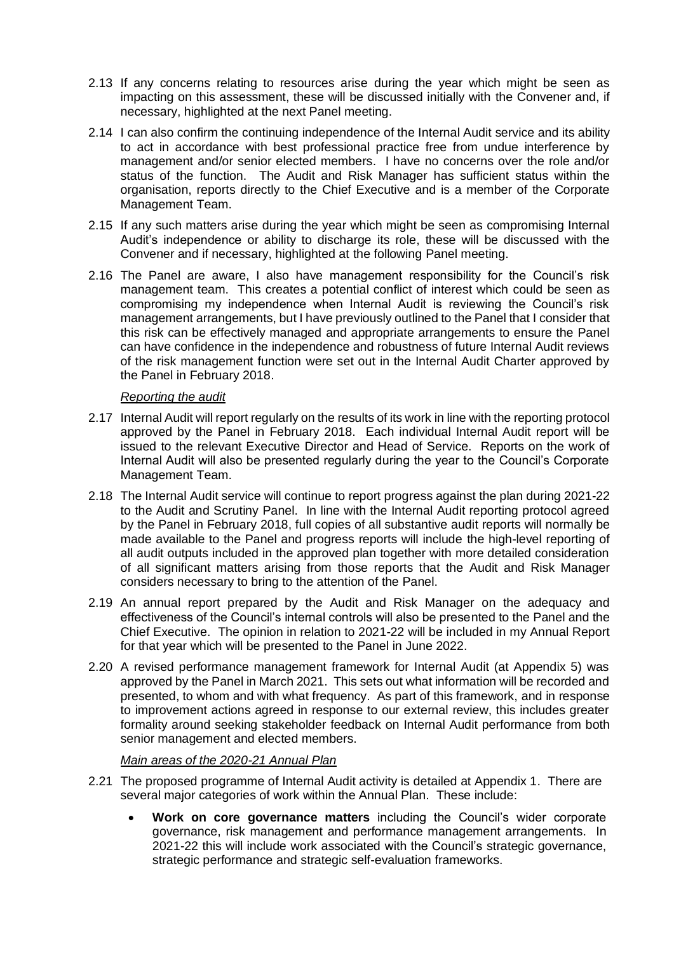- 2.13 If any concerns relating to resources arise during the year which might be seen as impacting on this assessment, these will be discussed initially with the Convener and, if necessary, highlighted at the next Panel meeting.
- 2.14 I can also confirm the continuing independence of the Internal Audit service and its ability to act in accordance with best professional practice free from undue interference by management and/or senior elected members. I have no concerns over the role and/or status of the function. The Audit and Risk Manager has sufficient status within the organisation, reports directly to the Chief Executive and is a member of the Corporate Management Team.
- 2.15 If any such matters arise during the year which might be seen as compromising Internal Audit's independence or ability to discharge its role, these will be discussed with the Convener and if necessary, highlighted at the following Panel meeting.
- 2.16 The Panel are aware, I also have management responsibility for the Council's risk management team. This creates a potential conflict of interest which could be seen as compromising my independence when Internal Audit is reviewing the Council's risk management arrangements, but I have previously outlined to the Panel that I consider that this risk can be effectively managed and appropriate arrangements to ensure the Panel can have confidence in the independence and robustness of future Internal Audit reviews of the risk management function were set out in the Internal Audit Charter approved by the Panel in February 2018.

#### *Reporting the audit*

- 2.17 Internal Audit will report regularly on the results of its work in line with the reporting protocol approved by the Panel in February 2018. Each individual Internal Audit report will be issued to the relevant Executive Director and Head of Service. Reports on the work of Internal Audit will also be presented regularly during the year to the Council's Corporate Management Team.
- 2.18 The Internal Audit service will continue to report progress against the plan during 2021-22 to the Audit and Scrutiny Panel. In line with the Internal Audit reporting protocol agreed by the Panel in February 2018, full copies of all substantive audit reports will normally be made available to the Panel and progress reports will include the high-level reporting of all audit outputs included in the approved plan together with more detailed consideration of all significant matters arising from those reports that the Audit and Risk Manager considers necessary to bring to the attention of the Panel.
- 2.19 An annual report prepared by the Audit and Risk Manager on the adequacy and effectiveness of the Council's internal controls will also be presented to the Panel and the Chief Executive. The opinion in relation to 2021-22 will be included in my Annual Report for that year which will be presented to the Panel in June 2022.
- 2.20 A revised performance management framework for Internal Audit (at Appendix 5) was approved by the Panel in March 2021. This sets out what information will be recorded and presented, to whom and with what frequency. As part of this framework, and in response to improvement actions agreed in response to our external review, this includes greater formality around seeking stakeholder feedback on Internal Audit performance from both senior management and elected members.

#### *Main areas of the 2020-21 Annual Plan*

- 2.21 The proposed programme of Internal Audit activity is detailed at Appendix 1. There are several major categories of work within the Annual Plan. These include:
	- **Work on core governance matters** including the Council's wider corporate governance, risk management and performance management arrangements. In 2021-22 this will include work associated with the Council's strategic governance, strategic performance and strategic self-evaluation frameworks.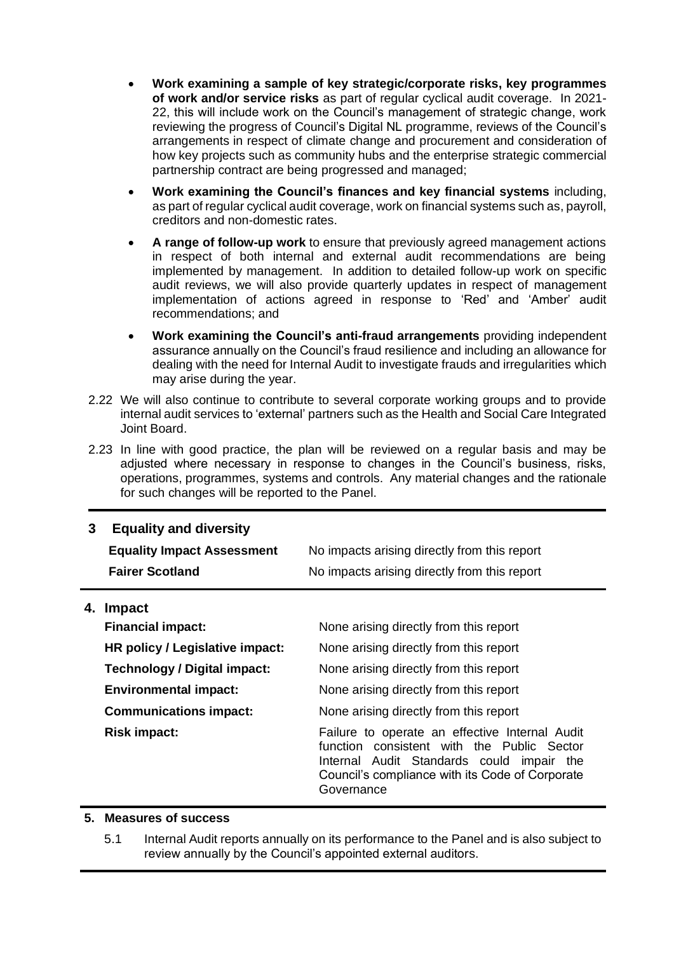- **Work examining a sample of key strategic/corporate risks, key programmes of work and/or service risks** as part of regular cyclical audit coverage. In 2021- 22, this will include work on the Council's management of strategic change, work reviewing the progress of Council's Digital NL programme, reviews of the Council's arrangements in respect of climate change and procurement and consideration of how key projects such as community hubs and the enterprise strategic commercial partnership contract are being progressed and managed;
- **Work examining the Council's finances and key financial systems** including, as part of regular cyclical audit coverage, work on financial systems such as, payroll, creditors and non-domestic rates.
- **A range of follow-up work** to ensure that previously agreed management actions in respect of both internal and external audit recommendations are being implemented by management. In addition to detailed follow-up work on specific audit reviews, we will also provide quarterly updates in respect of management implementation of actions agreed in response to 'Red' and 'Amber' audit recommendations; and
- **Work examining the Council's anti-fraud arrangements** providing independent assurance annually on the Council's fraud resilience and including an allowance for dealing with the need for Internal Audit to investigate frauds and irregularities which may arise during the year.
- 2.22 We will also continue to contribute to several corporate working groups and to provide internal audit services to 'external' partners such as the Health and Social Care Integrated Joint Board.
- 2.23 In line with good practice, the plan will be reviewed on a regular basis and may be adjusted where necessary in response to changes in the Council's business, risks, operations, programmes, systems and controls. Any material changes and the rationale for such changes will be reported to the Panel.

#### **3 Equality and diversity**

| <b>Equality Impact Assessment</b> | No impacts arising directly from this report |
|-----------------------------------|----------------------------------------------|
| <b>Fairer Scotland</b>            | No impacts arising directly from this report |

#### **4. Impact**

| <b>Financial impact:</b>        | None arising directly from this report                                                                                                                                                                     |
|---------------------------------|------------------------------------------------------------------------------------------------------------------------------------------------------------------------------------------------------------|
| HR policy / Legislative impact: | None arising directly from this report                                                                                                                                                                     |
| Technology / Digital impact:    | None arising directly from this report                                                                                                                                                                     |
| <b>Environmental impact:</b>    | None arising directly from this report                                                                                                                                                                     |
| <b>Communications impact:</b>   | None arising directly from this report                                                                                                                                                                     |
| <b>Risk impact:</b>             | Failure to operate an effective Internal Audit<br>function consistent with the Public Sector<br>Internal Audit Standards could impair the<br>Council's compliance with its Code of Corporate<br>Governance |

#### **5. Measures of success**

5.1 Internal Audit reports annually on its performance to the Panel and is also subject to review annually by the Council's appointed external auditors.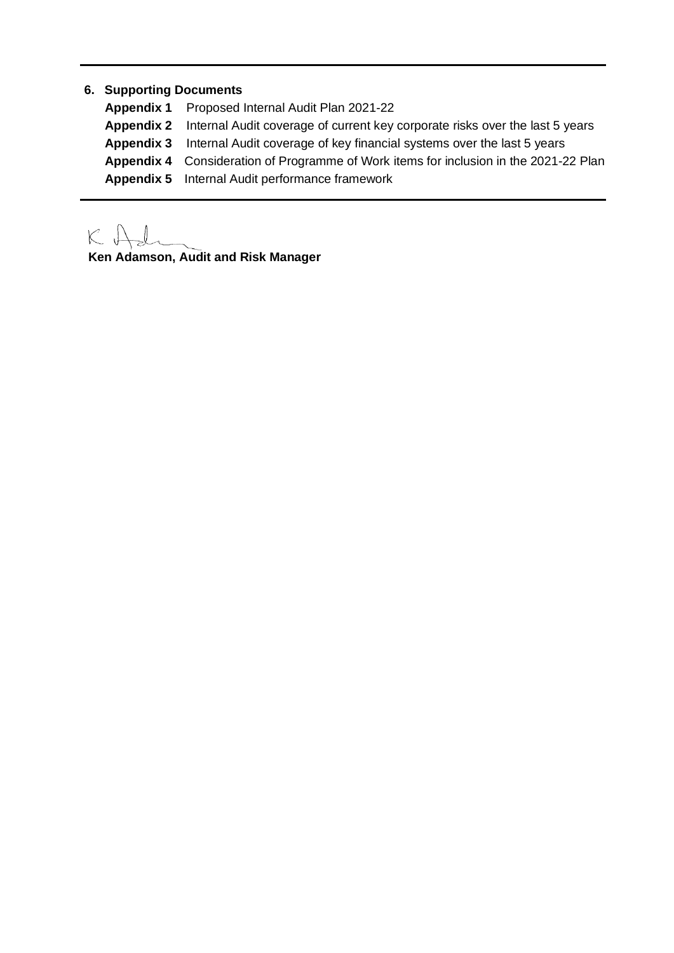#### **6. Supporting Documents**

**Appendix 1** Proposed Internal Audit Plan 2021-22 **Appendix 2** Internal Audit coverage of current key corporate risks over the last 5 years **Appendix 3** Internal Audit coverage of key financial systems over the last 5 years **Appendix 4** Consideration of Programme of Work items for inclusion in the 2021-22 Plan **Appendix 5** Internal Audit performance framework

 $K \uplus$ 

**Ken Adamson, Audit and Risk Manager**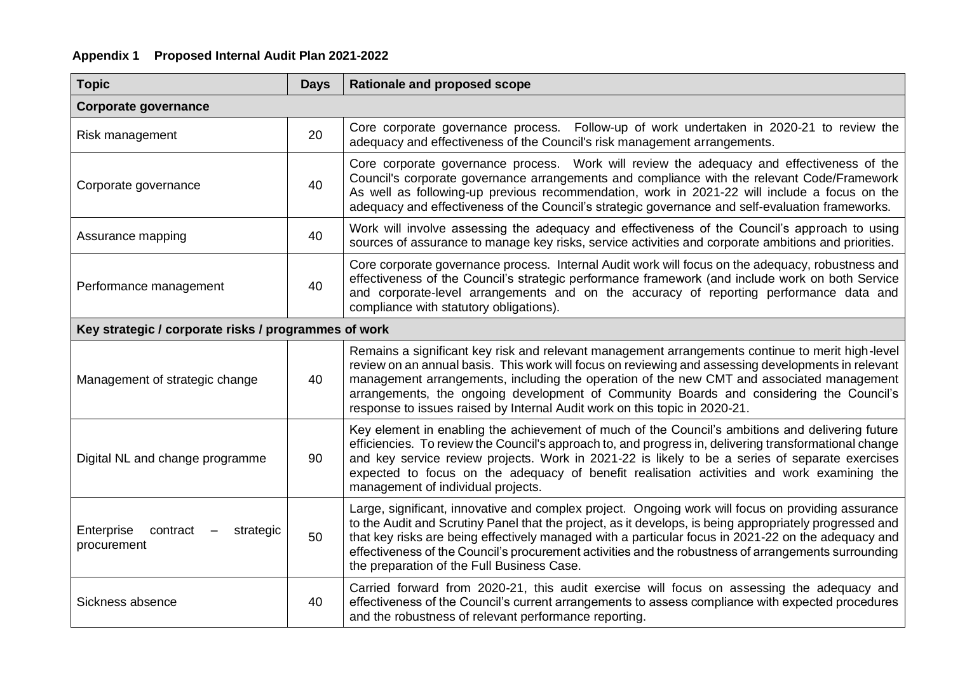#### **Appendix 1 Proposed Internal Audit Plan 2021-2022**

| <b>Topic</b>                                         | <b>Days</b> | Rationale and proposed scope                                                                                                                                                                                                                                                                                                                                                                                                                                                  |  |  |  |  |  |
|------------------------------------------------------|-------------|-------------------------------------------------------------------------------------------------------------------------------------------------------------------------------------------------------------------------------------------------------------------------------------------------------------------------------------------------------------------------------------------------------------------------------------------------------------------------------|--|--|--|--|--|
| <b>Corporate governance</b>                          |             |                                                                                                                                                                                                                                                                                                                                                                                                                                                                               |  |  |  |  |  |
| Risk management                                      | 20          | Core corporate governance process. Follow-up of work undertaken in 2020-21 to review the<br>adequacy and effectiveness of the Council's risk management arrangements.                                                                                                                                                                                                                                                                                                         |  |  |  |  |  |
| Corporate governance                                 | 40          | Core corporate governance process. Work will review the adequacy and effectiveness of the<br>Council's corporate governance arrangements and compliance with the relevant Code/Framework<br>As well as following-up previous recommendation, work in 2021-22 will include a focus on the<br>adequacy and effectiveness of the Council's strategic governance and self-evaluation frameworks.                                                                                  |  |  |  |  |  |
| Assurance mapping                                    | 40          | Work will involve assessing the adequacy and effectiveness of the Council's approach to using<br>sources of assurance to manage key risks, service activities and corporate ambitions and priorities.                                                                                                                                                                                                                                                                         |  |  |  |  |  |
| Performance management                               | 40          | Core corporate governance process. Internal Audit work will focus on the adequacy, robustness and<br>effectiveness of the Council's strategic performance framework (and include work on both Service<br>and corporate-level arrangements and on the accuracy of reporting performance data and<br>compliance with statutory obligations).                                                                                                                                    |  |  |  |  |  |
| Key strategic / corporate risks / programmes of work |             |                                                                                                                                                                                                                                                                                                                                                                                                                                                                               |  |  |  |  |  |
| Management of strategic change                       | 40          | Remains a significant key risk and relevant management arrangements continue to merit high-level<br>review on an annual basis. This work will focus on reviewing and assessing developments in relevant<br>management arrangements, including the operation of the new CMT and associated management<br>arrangements, the ongoing development of Community Boards and considering the Council's<br>response to issues raised by Internal Audit work on this topic in 2020-21. |  |  |  |  |  |
| Digital NL and change programme                      | 90          | Key element in enabling the achievement of much of the Council's ambitions and delivering future<br>efficiencies. To review the Council's approach to, and progress in, delivering transformational change<br>and key service review projects. Work in 2021-22 is likely to be a series of separate exercises<br>expected to focus on the adequacy of benefit realisation activities and work examining the<br>management of individual projects.                             |  |  |  |  |  |
| Enterprise<br>contract<br>strategic<br>procurement   | 50          | Large, significant, innovative and complex project. Ongoing work will focus on providing assurance<br>to the Audit and Scrutiny Panel that the project, as it develops, is being appropriately progressed and<br>that key risks are being effectively managed with a particular focus in 2021-22 on the adequacy and<br>effectiveness of the Council's procurement activities and the robustness of arrangements surrounding<br>the preparation of the Full Business Case.    |  |  |  |  |  |
| Sickness absence                                     | 40          | Carried forward from 2020-21, this audit exercise will focus on assessing the adequacy and<br>effectiveness of the Council's current arrangements to assess compliance with expected procedures<br>and the robustness of relevant performance reporting.                                                                                                                                                                                                                      |  |  |  |  |  |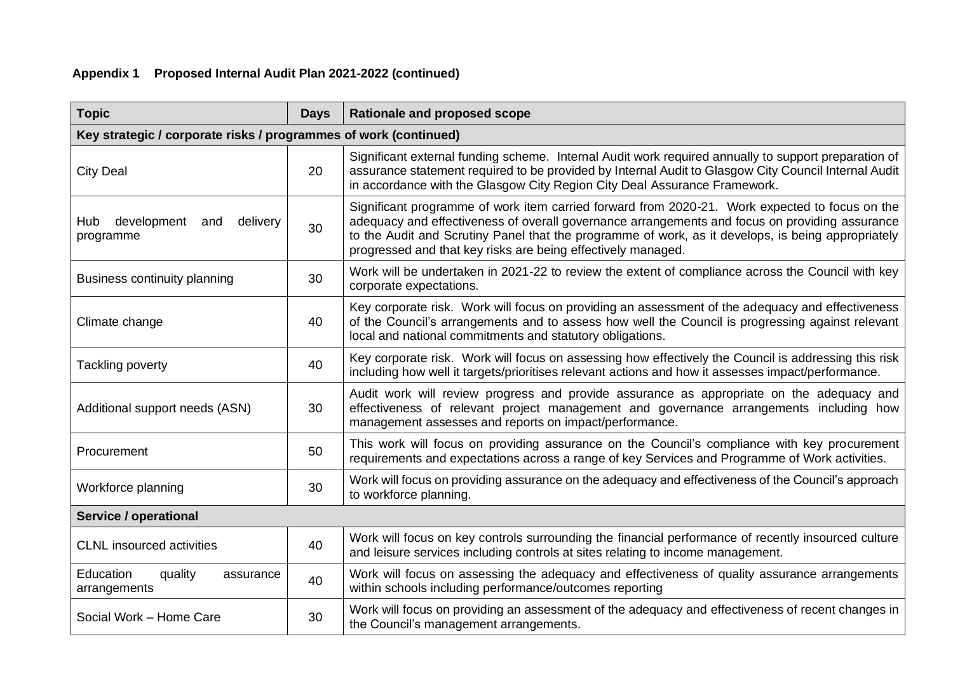## **Appendix 1 Proposed Internal Audit Plan 2021-2022 (continued)**

| <b>Topic</b>                                                     | <b>Days</b> | <b>Rationale and proposed scope</b>                                                                                                                                                                                                                                                                                                                                    |  |  |  |  |  |  |
|------------------------------------------------------------------|-------------|------------------------------------------------------------------------------------------------------------------------------------------------------------------------------------------------------------------------------------------------------------------------------------------------------------------------------------------------------------------------|--|--|--|--|--|--|
| Key strategic / corporate risks / programmes of work (continued) |             |                                                                                                                                                                                                                                                                                                                                                                        |  |  |  |  |  |  |
| <b>City Deal</b>                                                 | 20          | Significant external funding scheme. Internal Audit work required annually to support preparation of<br>assurance statement required to be provided by Internal Audit to Glasgow City Council Internal Audit<br>in accordance with the Glasgow City Region City Deal Assurance Framework.                                                                              |  |  |  |  |  |  |
| development<br>delivery<br>Hub<br>and<br>programme               | 30          | Significant programme of work item carried forward from 2020-21. Work expected to focus on the<br>adequacy and effectiveness of overall governance arrangements and focus on providing assurance<br>to the Audit and Scrutiny Panel that the programme of work, as it develops, is being appropriately<br>progressed and that key risks are being effectively managed. |  |  |  |  |  |  |
| Business continuity planning                                     | 30          | Work will be undertaken in 2021-22 to review the extent of compliance across the Council with key<br>corporate expectations.                                                                                                                                                                                                                                           |  |  |  |  |  |  |
| Climate change                                                   | 40          | Key corporate risk. Work will focus on providing an assessment of the adequacy and effectiveness<br>of the Council's arrangements and to assess how well the Council is progressing against relevant<br>local and national commitments and statutory obligations.                                                                                                      |  |  |  |  |  |  |
| Tackling poverty                                                 | 40          | Key corporate risk. Work will focus on assessing how effectively the Council is addressing this risk<br>including how well it targets/prioritises relevant actions and how it assesses impact/performance.                                                                                                                                                             |  |  |  |  |  |  |
| Additional support needs (ASN)<br>30                             |             | Audit work will review progress and provide assurance as appropriate on the adequacy and<br>effectiveness of relevant project management and governance arrangements including how<br>management assesses and reports on impact/performance.                                                                                                                           |  |  |  |  |  |  |
| Procurement                                                      | 50          | This work will focus on providing assurance on the Council's compliance with key procurement<br>requirements and expectations across a range of key Services and Programme of Work activities.                                                                                                                                                                         |  |  |  |  |  |  |
| Workforce planning<br>30                                         |             | Work will focus on providing assurance on the adequacy and effectiveness of the Council's approach<br>to workforce planning.                                                                                                                                                                                                                                           |  |  |  |  |  |  |
| <b>Service / operational</b>                                     |             |                                                                                                                                                                                                                                                                                                                                                                        |  |  |  |  |  |  |
| <b>CLNL</b> insourced activities                                 | 40          | Work will focus on key controls surrounding the financial performance of recently insourced culture<br>and leisure services including controls at sites relating to income management.                                                                                                                                                                                 |  |  |  |  |  |  |
| Education<br>quality<br>assurance<br>arrangements                | 40          | Work will focus on assessing the adequacy and effectiveness of quality assurance arrangements<br>within schools including performance/outcomes reporting                                                                                                                                                                                                               |  |  |  |  |  |  |
| Social Work - Home Care                                          | 30          | Work will focus on providing an assessment of the adequacy and effectiveness of recent changes in<br>the Council's management arrangements.                                                                                                                                                                                                                            |  |  |  |  |  |  |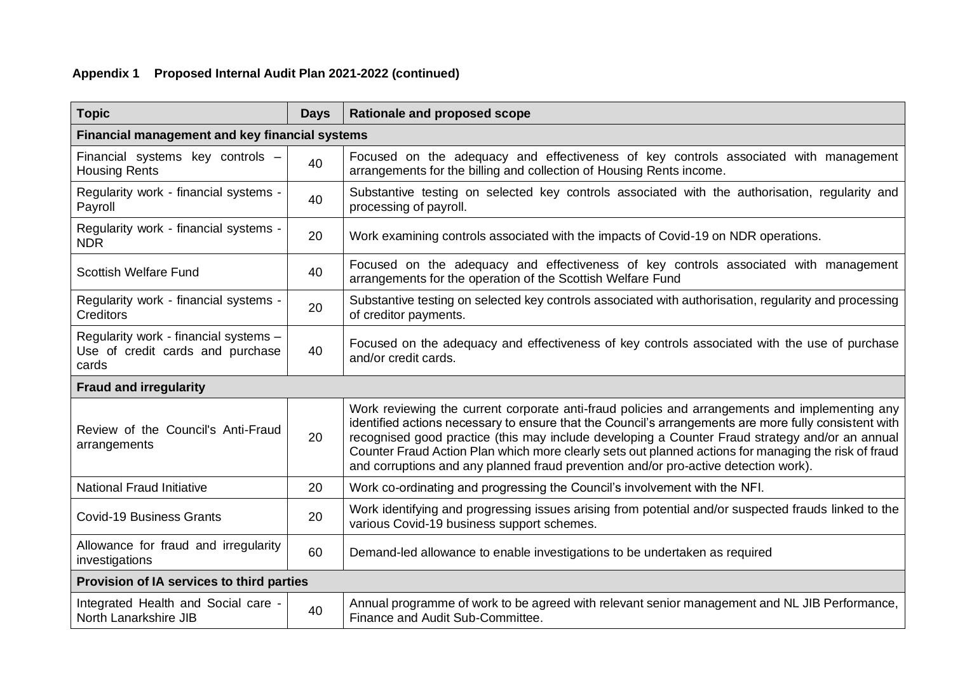## **Appendix 1 Proposed Internal Audit Plan 2021-2022 (continued)**

| <b>Topic</b>                                                                       | <b>Days</b> | <b>Rationale and proposed scope</b>                                                                                                                                                                                                                                                                                                                                                                                                                                                                       |  |  |  |  |  |  |
|------------------------------------------------------------------------------------|-------------|-----------------------------------------------------------------------------------------------------------------------------------------------------------------------------------------------------------------------------------------------------------------------------------------------------------------------------------------------------------------------------------------------------------------------------------------------------------------------------------------------------------|--|--|--|--|--|--|
| Financial management and key financial systems                                     |             |                                                                                                                                                                                                                                                                                                                                                                                                                                                                                                           |  |  |  |  |  |  |
| Financial systems key controls -<br><b>Housing Rents</b>                           | 40          | Focused on the adequacy and effectiveness of key controls associated with management<br>arrangements for the billing and collection of Housing Rents income.                                                                                                                                                                                                                                                                                                                                              |  |  |  |  |  |  |
| Regularity work - financial systems -<br>Payroll                                   | 40          | Substantive testing on selected key controls associated with the authorisation, regularity and<br>processing of payroll.                                                                                                                                                                                                                                                                                                                                                                                  |  |  |  |  |  |  |
| Regularity work - financial systems -<br><b>NDR</b>                                | 20          | Work examining controls associated with the impacts of Covid-19 on NDR operations.                                                                                                                                                                                                                                                                                                                                                                                                                        |  |  |  |  |  |  |
| <b>Scottish Welfare Fund</b>                                                       | 40          | Focused on the adequacy and effectiveness of key controls associated with management<br>arrangements for the operation of the Scottish Welfare Fund                                                                                                                                                                                                                                                                                                                                                       |  |  |  |  |  |  |
| Regularity work - financial systems -<br><b>Creditors</b>                          | 20          | Substantive testing on selected key controls associated with authorisation, regularity and processing<br>of creditor payments.                                                                                                                                                                                                                                                                                                                                                                            |  |  |  |  |  |  |
| Regularity work - financial systems -<br>Use of credit cards and purchase<br>cards | 40          | Focused on the adequacy and effectiveness of key controls associated with the use of purchase<br>and/or credit cards.                                                                                                                                                                                                                                                                                                                                                                                     |  |  |  |  |  |  |
| <b>Fraud and irregularity</b>                                                      |             |                                                                                                                                                                                                                                                                                                                                                                                                                                                                                                           |  |  |  |  |  |  |
| Review of the Council's Anti-Fraud<br>arrangements                                 | 20          | Work reviewing the current corporate anti-fraud policies and arrangements and implementing any<br>identified actions necessary to ensure that the Council's arrangements are more fully consistent with<br>recognised good practice (this may include developing a Counter Fraud strategy and/or an annual<br>Counter Fraud Action Plan which more clearly sets out planned actions for managing the risk of fraud<br>and corruptions and any planned fraud prevention and/or pro-active detection work). |  |  |  |  |  |  |
| <b>National Fraud Initiative</b>                                                   | 20          | Work co-ordinating and progressing the Council's involvement with the NFI.                                                                                                                                                                                                                                                                                                                                                                                                                                |  |  |  |  |  |  |
| <b>Covid-19 Business Grants</b>                                                    | 20          | Work identifying and progressing issues arising from potential and/or suspected frauds linked to the<br>various Covid-19 business support schemes.                                                                                                                                                                                                                                                                                                                                                        |  |  |  |  |  |  |
| Allowance for fraud and irregularity<br>investigations                             | 60          | Demand-led allowance to enable investigations to be undertaken as required                                                                                                                                                                                                                                                                                                                                                                                                                                |  |  |  |  |  |  |
| Provision of IA services to third parties                                          |             |                                                                                                                                                                                                                                                                                                                                                                                                                                                                                                           |  |  |  |  |  |  |
| Integrated Health and Social care -<br>North Lanarkshire JIB                       | 40          | Annual programme of work to be agreed with relevant senior management and NL JIB Performance,<br>Finance and Audit Sub-Committee.                                                                                                                                                                                                                                                                                                                                                                         |  |  |  |  |  |  |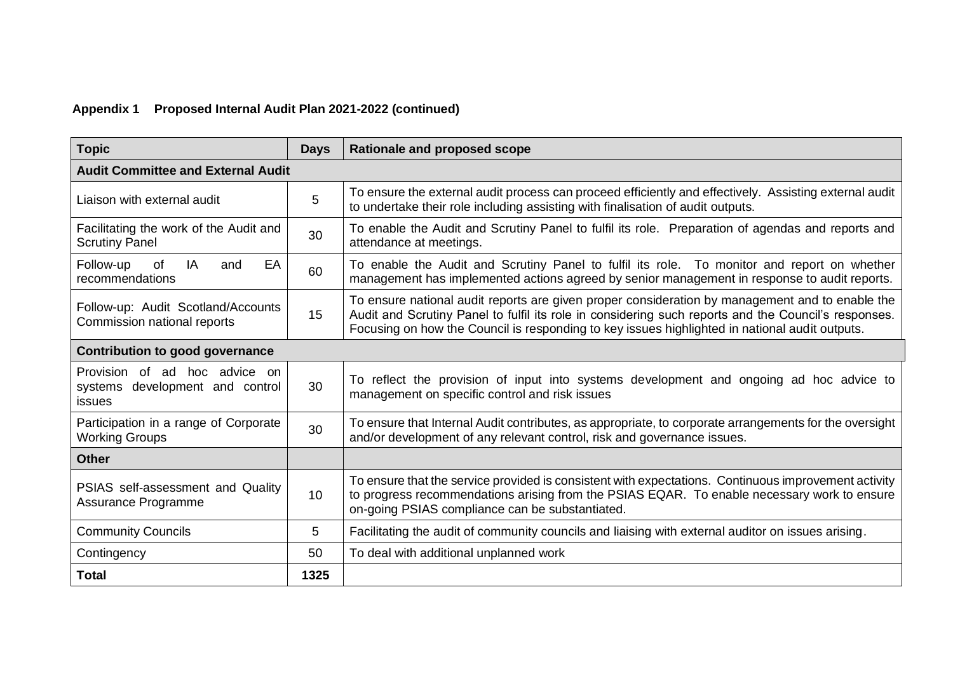## **Appendix 1 Proposed Internal Audit Plan 2021-2022 (continued)**

| <b>Topic</b>                                                               | <b>Days</b>     | Rationale and proposed scope                                                                                                                                                                                                                                                                              |  |  |  |  |
|----------------------------------------------------------------------------|-----------------|-----------------------------------------------------------------------------------------------------------------------------------------------------------------------------------------------------------------------------------------------------------------------------------------------------------|--|--|--|--|
| <b>Audit Committee and External Audit</b>                                  |                 |                                                                                                                                                                                                                                                                                                           |  |  |  |  |
| Liaison with external audit                                                | 5               | To ensure the external audit process can proceed efficiently and effectively. Assisting external audit<br>to undertake their role including assisting with finalisation of audit outputs.                                                                                                                 |  |  |  |  |
| Facilitating the work of the Audit and<br><b>Scrutiny Panel</b>            | 30              | To enable the Audit and Scrutiny Panel to fulfil its role. Preparation of agendas and reports and<br>attendance at meetings.                                                                                                                                                                              |  |  |  |  |
| EA<br>Follow-up<br>of<br>IA<br>and<br>recommendations                      | 60              | To enable the Audit and Scrutiny Panel to fulfil its role. To monitor and report on whether<br>management has implemented actions agreed by senior management in response to audit reports.                                                                                                               |  |  |  |  |
| Follow-up: Audit Scotland/Accounts<br>Commission national reports          | 15              | To ensure national audit reports are given proper consideration by management and to enable the<br>Audit and Scrutiny Panel to fulfil its role in considering such reports and the Council's responses.<br>Focusing on how the Council is responding to key issues highlighted in national audit outputs. |  |  |  |  |
| <b>Contribution to good governance</b>                                     |                 |                                                                                                                                                                                                                                                                                                           |  |  |  |  |
| Provision of ad hoc advice on<br>systems development and control<br>issues | 30              | To reflect the provision of input into systems development and ongoing ad hoc advice to<br>management on specific control and risk issues                                                                                                                                                                 |  |  |  |  |
| Participation in a range of Corporate<br><b>Working Groups</b>             | 30              | To ensure that Internal Audit contributes, as appropriate, to corporate arrangements for the oversight<br>and/or development of any relevant control, risk and governance issues.                                                                                                                         |  |  |  |  |
| <b>Other</b>                                                               |                 |                                                                                                                                                                                                                                                                                                           |  |  |  |  |
| PSIAS self-assessment and Quality<br>Assurance Programme                   | 10 <sup>1</sup> | To ensure that the service provided is consistent with expectations. Continuous improvement activity<br>to progress recommendations arising from the PSIAS EQAR. To enable necessary work to ensure<br>on-going PSIAS compliance can be substantiated.                                                    |  |  |  |  |
| <b>Community Councils</b>                                                  | 5               | Facilitating the audit of community councils and liaising with external auditor on issues arising.                                                                                                                                                                                                        |  |  |  |  |
| Contingency                                                                | 50              | To deal with additional unplanned work                                                                                                                                                                                                                                                                    |  |  |  |  |
| <b>Total</b>                                                               | 1325            |                                                                                                                                                                                                                                                                                                           |  |  |  |  |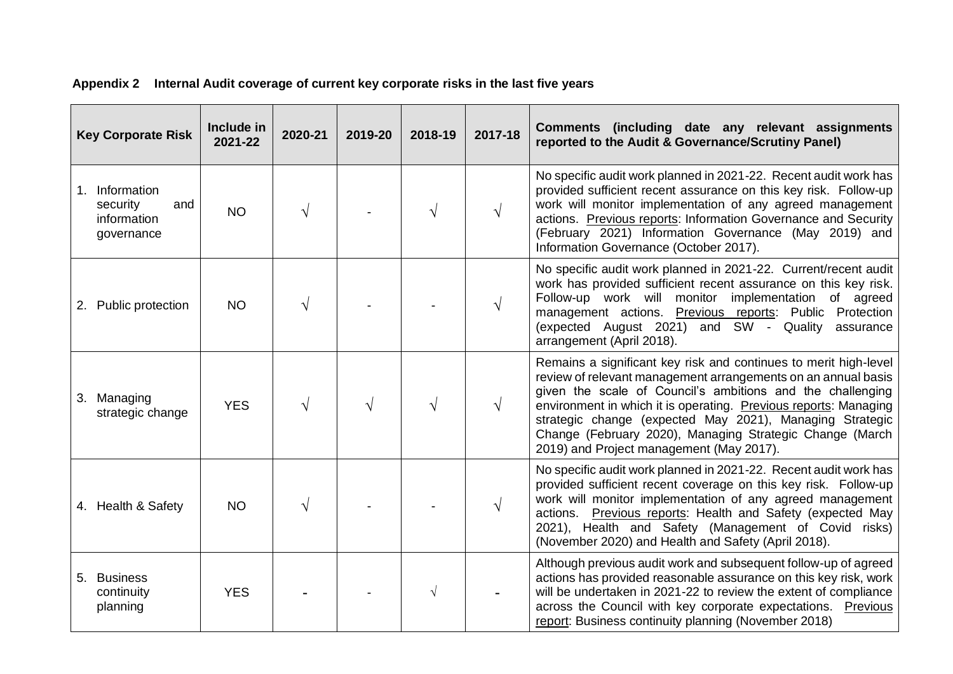| <b>Key Corporate Risk</b>                                      | Include in<br>2021-22 | 2020-21 | 2019-20 | 2018-19 | 2017-18   | Comments (including date any relevant assignments<br>reported to the Audit & Governance/Scrutiny Panel)                                                                                                                                                                                                                                                                                                                                 |
|----------------------------------------------------------------|-----------------------|---------|---------|---------|-----------|-----------------------------------------------------------------------------------------------------------------------------------------------------------------------------------------------------------------------------------------------------------------------------------------------------------------------------------------------------------------------------------------------------------------------------------------|
| 1. Information<br>security<br>and<br>information<br>governance | <b>NO</b>             |         |         |         | $\sqrt{}$ | No specific audit work planned in 2021-22. Recent audit work has<br>provided sufficient recent assurance on this key risk. Follow-up<br>work will monitor implementation of any agreed management<br>actions. Previous reports: Information Governance and Security<br>(February 2021) Information Governance (May 2019) and<br>Information Governance (October 2017).                                                                  |
| 2. Public protection                                           | <b>NO</b>             |         |         |         |           | No specific audit work planned in 2021-22. Current/recent audit<br>work has provided sufficient recent assurance on this key risk.<br>Follow-up work will monitor<br>implementation of agreed<br>management actions. Previous reports: Public Protection<br>(expected August 2021) and SW - Quality<br>assurance<br>arrangement (April 2018).                                                                                           |
| 3. Managing<br>strategic change                                | <b>YES</b>            |         |         |         | V         | Remains a significant key risk and continues to merit high-level<br>review of relevant management arrangements on an annual basis<br>given the scale of Council's ambitions and the challenging<br>environment in which it is operating. Previous reports: Managing<br>strategic change (expected May 2021), Managing Strategic<br>Change (February 2020), Managing Strategic Change (March<br>2019) and Project management (May 2017). |
| 4. Health & Safety                                             | <b>NO</b>             |         |         |         | $\sqrt{}$ | No specific audit work planned in 2021-22. Recent audit work has<br>provided sufficient recent coverage on this key risk. Follow-up<br>work will monitor implementation of any agreed management<br>actions. Previous reports: Health and Safety (expected May<br>2021), Health and Safety (Management of Covid risks)<br>(November 2020) and Health and Safety (April 2018).                                                           |
| 5. Business<br>continuity<br>planning                          | <b>YES</b>            |         |         |         |           | Although previous audit work and subsequent follow-up of agreed<br>actions has provided reasonable assurance on this key risk, work<br>will be undertaken in 2021-22 to review the extent of compliance<br>across the Council with key corporate expectations. Previous<br>report: Business continuity planning (November 2018)                                                                                                         |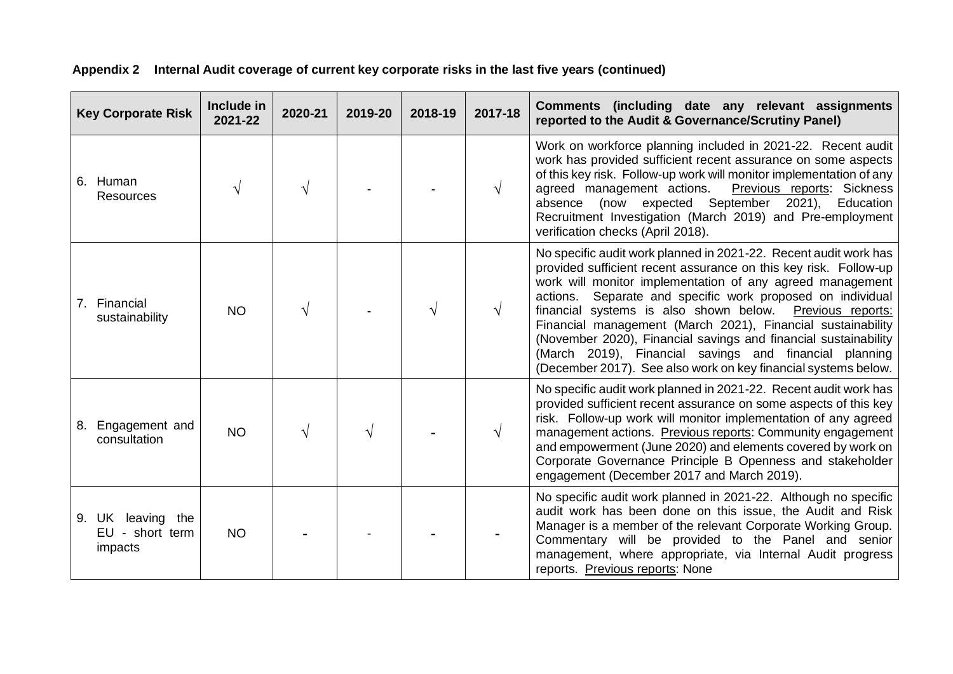| <b>Key Corporate Risk</b>                       | Include in<br>2021-22 | 2020-21 | 2019-20 | 2018-19 | 2017-18   | Comments (including date any relevant assignments<br>reported to the Audit & Governance/Scrutiny Panel)                                                                                                                                                                                                                                                                                                                                                                                                                                                                                   |
|-------------------------------------------------|-----------------------|---------|---------|---------|-----------|-------------------------------------------------------------------------------------------------------------------------------------------------------------------------------------------------------------------------------------------------------------------------------------------------------------------------------------------------------------------------------------------------------------------------------------------------------------------------------------------------------------------------------------------------------------------------------------------|
| 6. Human<br>Resources                           |                       |         |         |         | V         | Work on workforce planning included in 2021-22. Recent audit<br>work has provided sufficient recent assurance on some aspects<br>of this key risk. Follow-up work will monitor implementation of any<br>Previous reports: Sickness<br>agreed management actions.<br>(now expected September 2021),<br>Education<br>absence<br>Recruitment Investigation (March 2019) and Pre-employment<br>verification checks (April 2018).                                                                                                                                                              |
| 7. Financial<br>sustainability                  | <b>NO</b>             |         |         | V       | $\sqrt{}$ | No specific audit work planned in 2021-22. Recent audit work has<br>provided sufficient recent assurance on this key risk. Follow-up<br>work will monitor implementation of any agreed management<br>actions. Separate and specific work proposed on individual<br>financial systems is also shown below. Previous reports:<br>Financial management (March 2021), Financial sustainability<br>(November 2020), Financial savings and financial sustainability<br>(March 2019), Financial savings and financial planning<br>(December 2017). See also work on key financial systems below. |
| Engagement and<br>8.<br>consultation            | <b>NO</b>             |         |         |         | V         | No specific audit work planned in 2021-22. Recent audit work has<br>provided sufficient recent assurance on some aspects of this key<br>risk. Follow-up work will monitor implementation of any agreed<br>management actions. Previous reports: Community engagement<br>and empowerment (June 2020) and elements covered by work on<br>Corporate Governance Principle B Openness and stakeholder<br>engagement (December 2017 and March 2019).                                                                                                                                            |
| 9. UK leaving the<br>EU - short term<br>impacts | <b>NO</b>             |         |         |         |           | No specific audit work planned in 2021-22. Although no specific<br>audit work has been done on this issue, the Audit and Risk<br>Manager is a member of the relevant Corporate Working Group.<br>Commentary will be provided to the Panel and senior<br>management, where appropriate, via Internal Audit progress<br>reports. Previous reports: None                                                                                                                                                                                                                                     |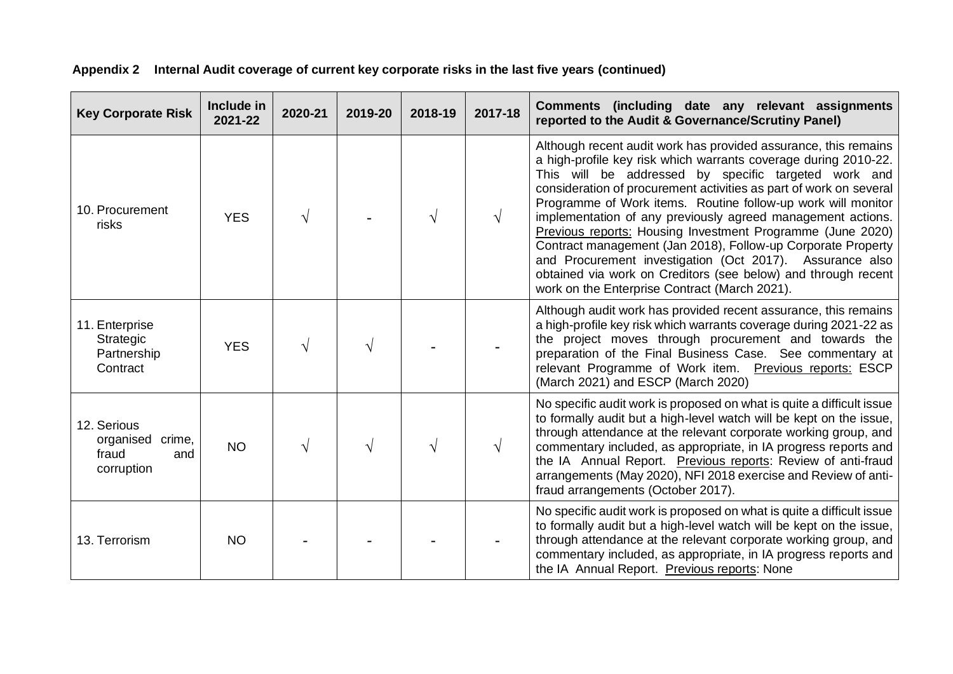| <b>Key Corporate Risk</b>                                     | Include in<br>2021-22 | 2020-21 | 2019-20 | 2018-19 | 2017-18 | Comments (including date any relevant assignments<br>reported to the Audit & Governance/Scrutiny Panel)                                                                                                                                                                                                                                                                                                                                                                                                                                                                                                                                                                                                     |
|---------------------------------------------------------------|-----------------------|---------|---------|---------|---------|-------------------------------------------------------------------------------------------------------------------------------------------------------------------------------------------------------------------------------------------------------------------------------------------------------------------------------------------------------------------------------------------------------------------------------------------------------------------------------------------------------------------------------------------------------------------------------------------------------------------------------------------------------------------------------------------------------------|
| 10. Procurement<br>risks                                      | <b>YES</b>            |         |         |         | V       | Although recent audit work has provided assurance, this remains<br>a high-profile key risk which warrants coverage during 2010-22.<br>This will be addressed by specific targeted work and<br>consideration of procurement activities as part of work on several<br>Programme of Work items. Routine follow-up work will monitor<br>implementation of any previously agreed management actions.<br>Previous reports: Housing Investment Programme (June 2020)<br>Contract management (Jan 2018), Follow-up Corporate Property<br>and Procurement investigation (Oct 2017). Assurance also<br>obtained via work on Creditors (see below) and through recent<br>work on the Enterprise Contract (March 2021). |
| 11. Enterprise<br>Strategic<br>Partnership<br>Contract        | <b>YES</b>            |         |         |         |         | Although audit work has provided recent assurance, this remains<br>a high-profile key risk which warrants coverage during 2021-22 as<br>the project moves through procurement and towards the<br>preparation of the Final Business Case. See commentary at<br>relevant Programme of Work item. Previous reports: ESCP<br>(March 2021) and ESCP (March 2020)                                                                                                                                                                                                                                                                                                                                                 |
| 12. Serious<br>organised crime,<br>fraud<br>and<br>corruption | <b>NO</b>             |         |         |         | V       | No specific audit work is proposed on what is quite a difficult issue<br>to formally audit but a high-level watch will be kept on the issue,<br>through attendance at the relevant corporate working group, and<br>commentary included, as appropriate, in IA progress reports and<br>the IA Annual Report. Previous reports: Review of anti-fraud<br>arrangements (May 2020), NFI 2018 exercise and Review of anti-<br>fraud arrangements (October 2017).                                                                                                                                                                                                                                                  |
| 13. Terrorism                                                 | <b>NO</b>             |         |         |         |         | No specific audit work is proposed on what is quite a difficult issue<br>to formally audit but a high-level watch will be kept on the issue,<br>through attendance at the relevant corporate working group, and<br>commentary included, as appropriate, in IA progress reports and<br>the IA Annual Report. Previous reports: None                                                                                                                                                                                                                                                                                                                                                                          |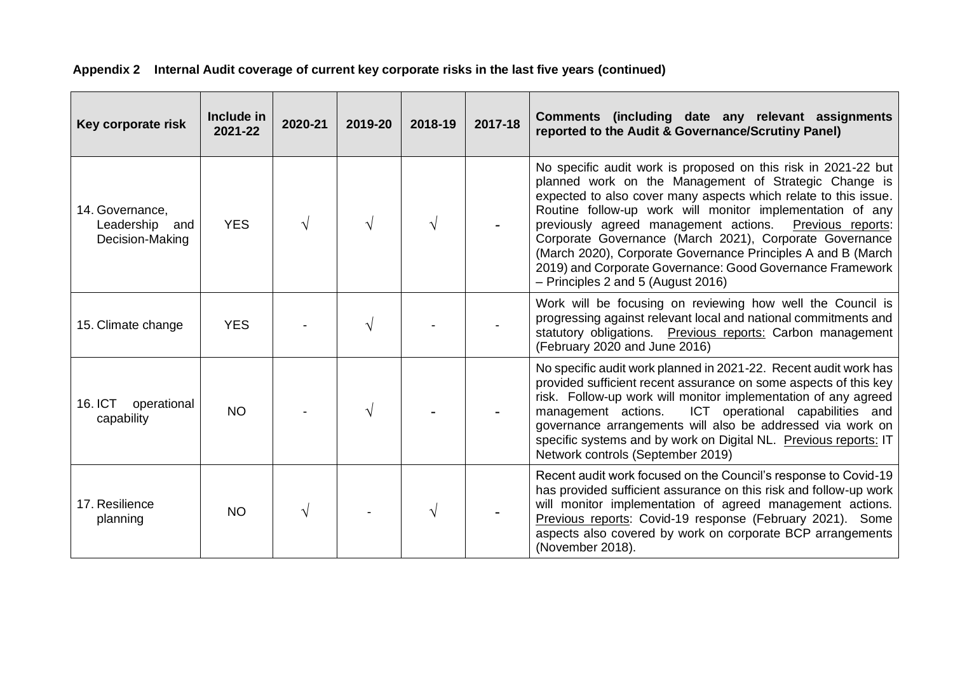| Key corporate risk                                      | Include in<br>2021-22 | 2020-21 | 2019-20 | 2018-19 | 2017-18 | Comments (including date any relevant assignments<br>reported to the Audit & Governance/Scrutiny Panel)                                                                                                                                                                                                                                                                                                                                                                                                                                             |
|---------------------------------------------------------|-----------------------|---------|---------|---------|---------|-----------------------------------------------------------------------------------------------------------------------------------------------------------------------------------------------------------------------------------------------------------------------------------------------------------------------------------------------------------------------------------------------------------------------------------------------------------------------------------------------------------------------------------------------------|
| 14. Governance,<br>Leadership<br>and<br>Decision-Making | <b>YES</b>            |         |         |         |         | No specific audit work is proposed on this risk in 2021-22 but<br>planned work on the Management of Strategic Change is<br>expected to also cover many aspects which relate to this issue.<br>Routine follow-up work will monitor implementation of any<br>previously agreed management actions.<br>Previous reports:<br>Corporate Governance (March 2021), Corporate Governance<br>(March 2020), Corporate Governance Principles A and B (March<br>2019) and Corporate Governance: Good Governance Framework<br>- Principles 2 and 5 (August 2016) |
| 15. Climate change                                      | <b>YES</b>            |         |         |         |         | Work will be focusing on reviewing how well the Council is<br>progressing against relevant local and national commitments and<br>statutory obligations. Previous reports: Carbon management<br>(February 2020 and June 2016)                                                                                                                                                                                                                                                                                                                        |
| <b>16. ICT</b><br>operational<br>capability             | <b>NO</b>             |         |         |         |         | No specific audit work planned in 2021-22. Recent audit work has<br>provided sufficient recent assurance on some aspects of this key<br>risk. Follow-up work will monitor implementation of any agreed<br>ICT operational capabilities and<br>management actions.<br>governance arrangements will also be addressed via work on<br>specific systems and by work on Digital NL. Previous reports: IT<br>Network controls (September 2019)                                                                                                            |
| 17. Resilience<br>planning                              | <b>NO</b>             |         |         |         |         | Recent audit work focused on the Council's response to Covid-19<br>has provided sufficient assurance on this risk and follow-up work<br>will monitor implementation of agreed management actions.<br>Previous reports: Covid-19 response (February 2021). Some<br>aspects also covered by work on corporate BCP arrangements<br>(November 2018).                                                                                                                                                                                                    |

**Appendix 2 Internal Audit coverage of current key corporate risks in the last five years (continued)**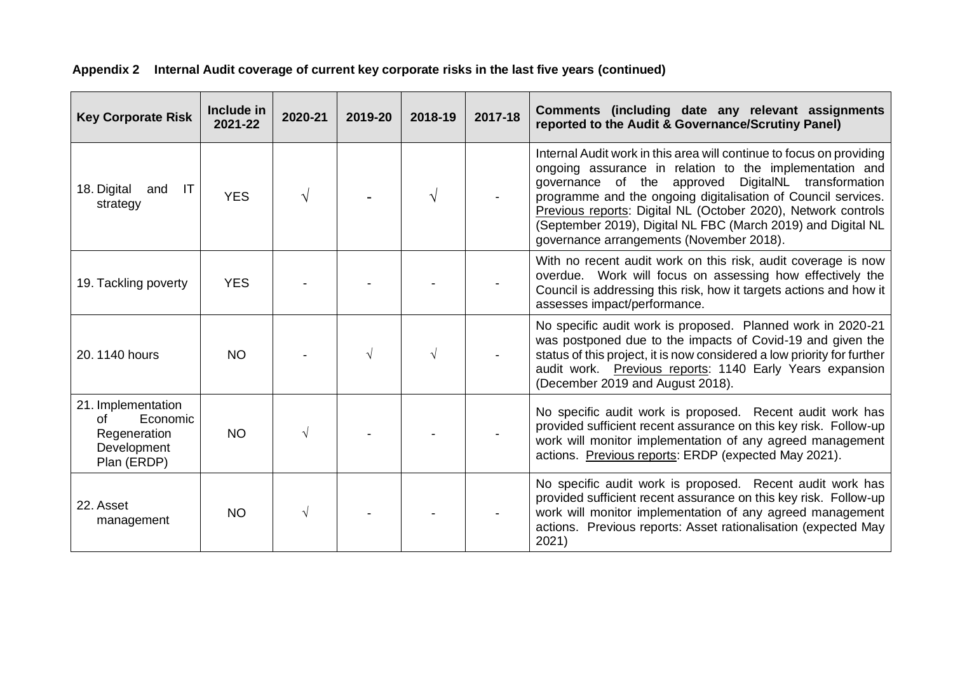| <b>Key Corporate Risk</b>                                                          | Include in<br>2021-22 | 2020-21 | 2019-20 | 2018-19 | 2017-18 | Comments (including date any relevant assignments<br>reported to the Audit & Governance/Scrutiny Panel)                                                                                                                                                                                                                                                                                                                              |
|------------------------------------------------------------------------------------|-----------------------|---------|---------|---------|---------|--------------------------------------------------------------------------------------------------------------------------------------------------------------------------------------------------------------------------------------------------------------------------------------------------------------------------------------------------------------------------------------------------------------------------------------|
| IT<br>18. Digital<br>and<br>strategy                                               | <b>YES</b>            |         |         |         |         | Internal Audit work in this area will continue to focus on providing<br>ongoing assurance in relation to the implementation and<br>governance of the approved DigitalNL transformation<br>programme and the ongoing digitalisation of Council services.<br>Previous reports: Digital NL (October 2020), Network controls<br>(September 2019), Digital NL FBC (March 2019) and Digital NL<br>governance arrangements (November 2018). |
| 19. Tackling poverty                                                               | <b>YES</b>            |         |         |         |         | With no recent audit work on this risk, audit coverage is now<br>overdue. Work will focus on assessing how effectively the<br>Council is addressing this risk, how it targets actions and how it<br>assesses impact/performance.                                                                                                                                                                                                     |
| 20.1140 hours                                                                      | <b>NO</b>             |         |         |         |         | No specific audit work is proposed. Planned work in 2020-21<br>was postponed due to the impacts of Covid-19 and given the<br>status of this project, it is now considered a low priority for further<br>audit work. Previous reports: 1140 Early Years expansion<br>(December 2019 and August 2018).                                                                                                                                 |
| 21. Implementation<br>Economic<br>Ωf<br>Regeneration<br>Development<br>Plan (ERDP) | <b>NO</b>             |         |         |         |         | No specific audit work is proposed. Recent audit work has<br>provided sufficient recent assurance on this key risk. Follow-up<br>work will monitor implementation of any agreed management<br>actions. Previous reports: ERDP (expected May 2021).                                                                                                                                                                                   |
| 22. Asset<br>management                                                            | <b>NO</b>             |         |         |         |         | No specific audit work is proposed. Recent audit work has<br>provided sufficient recent assurance on this key risk. Follow-up<br>work will monitor implementation of any agreed management<br>actions. Previous reports: Asset rationalisation (expected May<br>2021)                                                                                                                                                                |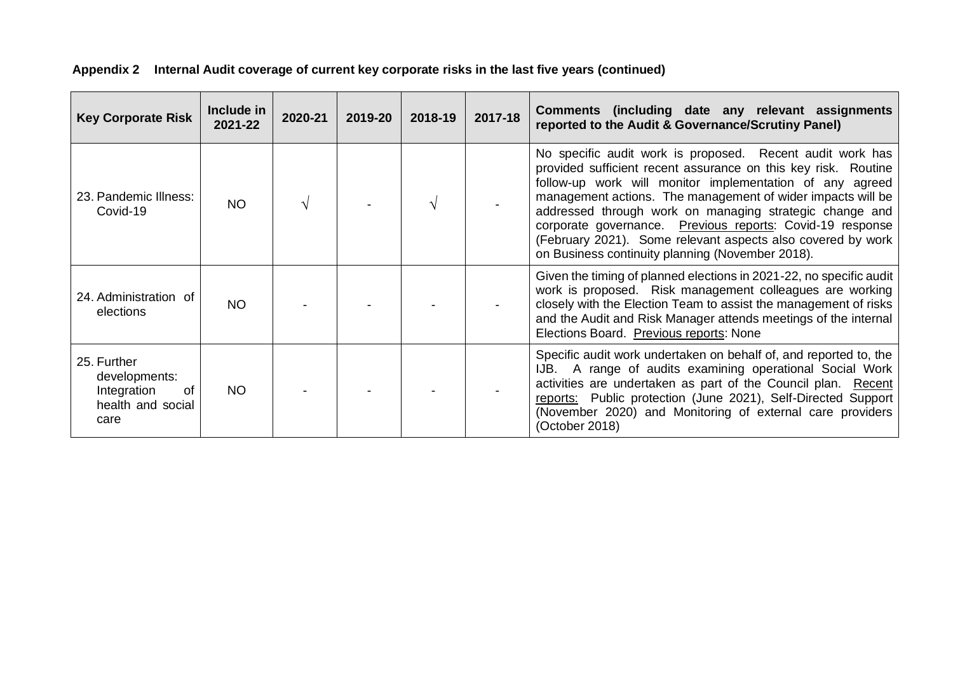| <b>Key Corporate Risk</b>                                                      | Include in<br>2021-22 | 2020-21 | 2019-20 | 2018-19 | 2017-18 | Comments (including date any relevant assignments<br>reported to the Audit & Governance/Scrutiny Panel)                                                                                                                                                                                                                                                                                                                                                                                           |
|--------------------------------------------------------------------------------|-----------------------|---------|---------|---------|---------|---------------------------------------------------------------------------------------------------------------------------------------------------------------------------------------------------------------------------------------------------------------------------------------------------------------------------------------------------------------------------------------------------------------------------------------------------------------------------------------------------|
| 23. Pandemic Illness:<br>Covid-19                                              | <b>NO</b>             |         |         |         |         | No specific audit work is proposed. Recent audit work has<br>provided sufficient recent assurance on this key risk. Routine<br>follow-up work will monitor implementation of any agreed<br>management actions. The management of wider impacts will be<br>addressed through work on managing strategic change and<br>corporate governance. Previous reports: Covid-19 response<br>(February 2021). Some relevant aspects also covered by work<br>on Business continuity planning (November 2018). |
| 24. Administration of<br>elections                                             | NO.                   |         |         |         |         | Given the timing of planned elections in 2021-22, no specific audit<br>work is proposed. Risk management colleagues are working<br>closely with the Election Team to assist the management of risks<br>and the Audit and Risk Manager attends meetings of the internal<br>Elections Board. Previous reports: None                                                                                                                                                                                 |
| 25. Further<br>developments:<br>Integration<br>0f<br>health and social<br>care | NO.                   |         |         |         |         | Specific audit work undertaken on behalf of, and reported to, the<br>IJB. A range of audits examining operational Social Work<br>activities are undertaken as part of the Council plan. Recent<br>reports: Public protection (June 2021), Self-Directed Support<br>(November 2020) and Monitoring of external care providers<br>(October 2018)                                                                                                                                                    |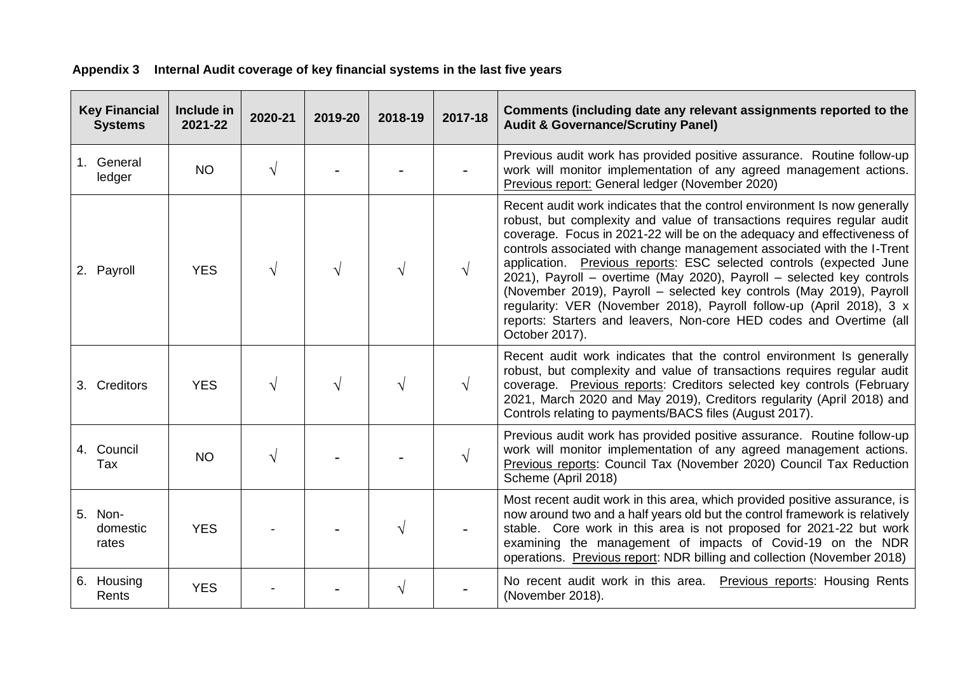| <b>Key Financial</b><br><b>Systems</b> | Include in<br>2021-22 | 2020-21 | 2019-20 | 2018-19 | 2017-18 | Comments (including date any relevant assignments reported to the<br><b>Audit &amp; Governance/Scrutiny Panel)</b>                                                                                                                                                                                                                                                                                                                                                                                                                                                                                                                                                                                 |
|----------------------------------------|-----------------------|---------|---------|---------|---------|----------------------------------------------------------------------------------------------------------------------------------------------------------------------------------------------------------------------------------------------------------------------------------------------------------------------------------------------------------------------------------------------------------------------------------------------------------------------------------------------------------------------------------------------------------------------------------------------------------------------------------------------------------------------------------------------------|
| 1. General<br>ledger                   | <b>NO</b>             |         |         |         |         | Previous audit work has provided positive assurance. Routine follow-up<br>work will monitor implementation of any agreed management actions.<br>Previous report: General ledger (November 2020)                                                                                                                                                                                                                                                                                                                                                                                                                                                                                                    |
| 2. Payroll                             | <b>YES</b>            |         | V       |         |         | Recent audit work indicates that the control environment Is now generally<br>robust, but complexity and value of transactions requires regular audit<br>coverage. Focus in 2021-22 will be on the adequacy and effectiveness of<br>controls associated with change management associated with the I-Trent<br>application. Previous reports: ESC selected controls (expected June<br>2021), Payroll - overtime (May 2020), Payroll - selected key controls<br>(November 2019), Payroll - selected key controls (May 2019), Payroll<br>regularity: VER (November 2018), Payroll follow-up (April 2018), 3 x<br>reports: Starters and leavers, Non-core HED codes and Overtime (all<br>October 2017). |
| 3. Creditors                           | <b>YES</b>            |         |         | V       |         | Recent audit work indicates that the control environment Is generally<br>robust, but complexity and value of transactions requires regular audit<br>coverage. Previous reports: Creditors selected key controls (February<br>2021, March 2020 and May 2019), Creditors regularity (April 2018) and<br>Controls relating to payments/BACS files (August 2017).                                                                                                                                                                                                                                                                                                                                      |
| 4. Council<br>Tax                      | <b>NO</b>             |         |         |         |         | Previous audit work has provided positive assurance. Routine follow-up<br>work will monitor implementation of any agreed management actions.<br>Previous reports: Council Tax (November 2020) Council Tax Reduction<br>Scheme (April 2018)                                                                                                                                                                                                                                                                                                                                                                                                                                                         |
| 5. Non-<br>domestic<br>rates           | <b>YES</b>            |         |         |         |         | Most recent audit work in this area, which provided positive assurance, is<br>now around two and a half years old but the control framework is relatively<br>stable. Core work in this area is not proposed for 2021-22 but work<br>examining the management of impacts of Covid-19 on the NDR<br>operations. Previous report: NDR billing and collection (November 2018)                                                                                                                                                                                                                                                                                                                          |
| 6. Housing<br>Rents                    | <b>YES</b>            |         |         |         |         | No recent audit work in this area. Previous reports: Housing Rents<br>(November 2018).                                                                                                                                                                                                                                                                                                                                                                                                                                                                                                                                                                                                             |

# **Appendix 3 Internal Audit coverage of key financial systems in the last five years**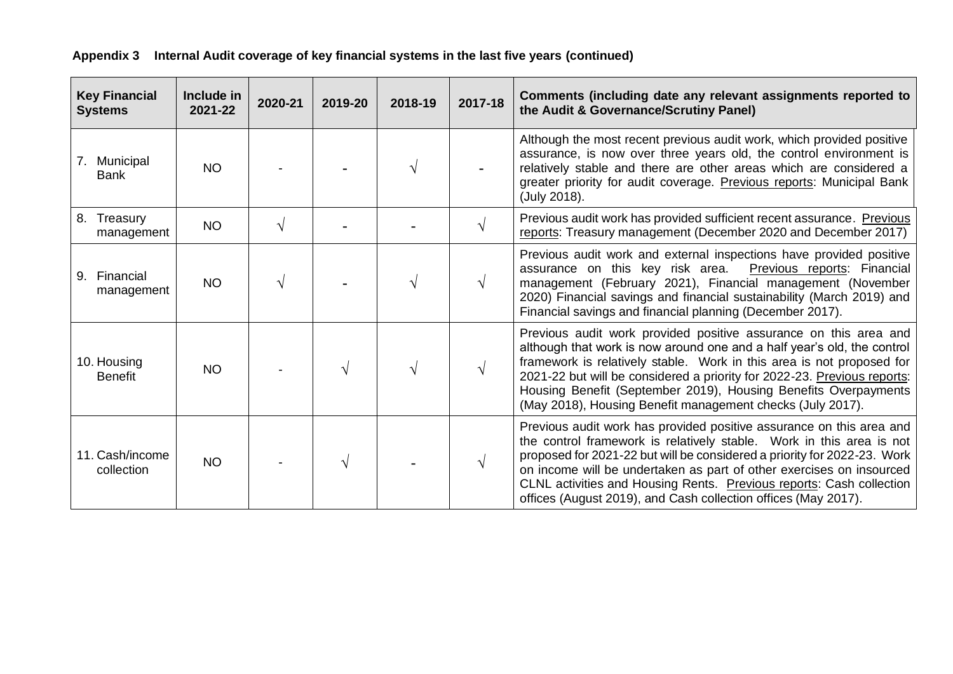| Appendix 3 Internal Audit coverage of key financial systems in the last five years (continued) |  |  |
|------------------------------------------------------------------------------------------------|--|--|
|                                                                                                |  |  |

| <b>Key Financial</b><br><b>Systems</b> | Include in<br>2021-22 | 2020-21    | 2019-20 | 2018-19 | 2017-18    | Comments (including date any relevant assignments reported to<br>the Audit & Governance/Scrutiny Panel)                                                                                                                                                                                                                                                                                                                                    |
|----------------------------------------|-----------------------|------------|---------|---------|------------|--------------------------------------------------------------------------------------------------------------------------------------------------------------------------------------------------------------------------------------------------------------------------------------------------------------------------------------------------------------------------------------------------------------------------------------------|
| 7. Municipal<br><b>Bank</b>            | <b>NO</b>             |            |         |         |            | Although the most recent previous audit work, which provided positive<br>assurance, is now over three years old, the control environment is<br>relatively stable and there are other areas which are considered a<br>greater priority for audit coverage. Previous reports: Municipal Bank<br>(July 2018).                                                                                                                                 |
| 8. Treasury<br>management              | <b>NO</b>             | $\sqrt{ }$ |         |         | $\sqrt{ }$ | Previous audit work has provided sufficient recent assurance. Previous<br>reports: Treasury management (December 2020 and December 2017)                                                                                                                                                                                                                                                                                                   |
| 9. Financial<br>management             | <b>NO</b>             |            |         |         | V          | Previous audit work and external inspections have provided positive<br>assurance on this key risk area.<br>Previous reports: Financial<br>management (February 2021), Financial management (November<br>2020) Financial savings and financial sustainability (March 2019) and<br>Financial savings and financial planning (December 2017).                                                                                                 |
| 10. Housing<br><b>Benefit</b>          | <b>NO</b>             |            |         |         | V          | Previous audit work provided positive assurance on this area and<br>although that work is now around one and a half year's old, the control<br>framework is relatively stable. Work in this area is not proposed for<br>2021-22 but will be considered a priority for 2022-23. Previous reports:<br>Housing Benefit (September 2019), Housing Benefits Overpayments<br>(May 2018), Housing Benefit management checks (July 2017).          |
| 11. Cash/income<br>collection          | <b>NO</b>             |            |         |         | $\sqrt{}$  | Previous audit work has provided positive assurance on this area and<br>the control framework is relatively stable. Work in this area is not<br>proposed for 2021-22 but will be considered a priority for 2022-23. Work<br>on income will be undertaken as part of other exercises on insourced<br>CLNL activities and Housing Rents. Previous reports: Cash collection<br>offices (August 2019), and Cash collection offices (May 2017). |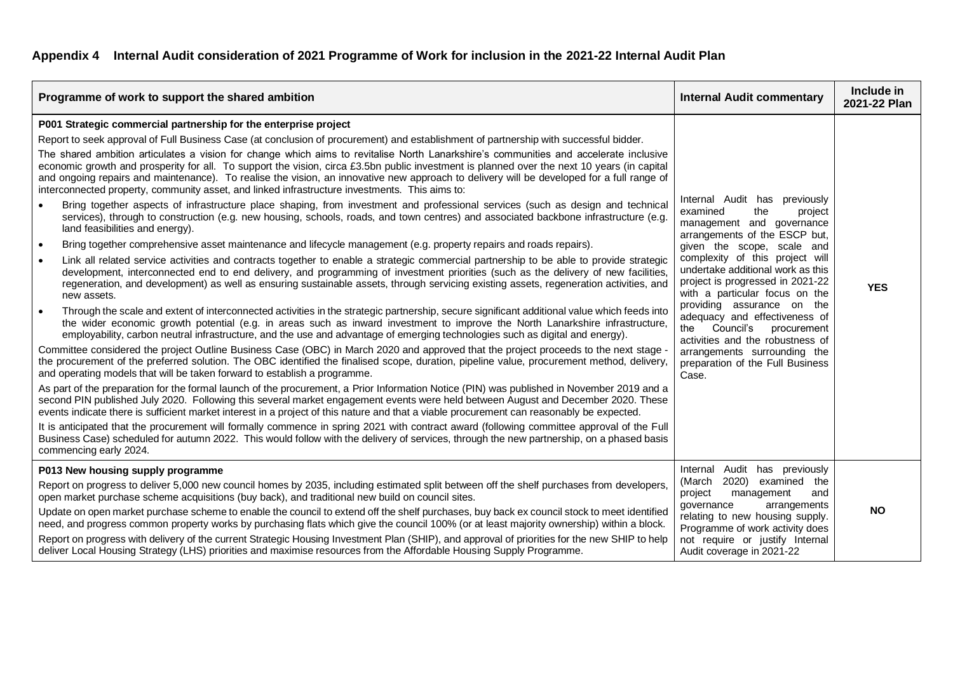## **Appendix 4 Internal Audit consideration of 2021 Programme of Work for inclusion in the 2021-22 Internal Audit Plan**

| Programme of work to support the shared ambition                                                                                                                                                                                                                                                                                                                                                                                                                                                                                                                                                                                                                                                                                                                                                                                                                                                                                                                                                                                                                                                                                                                                                                                                                                                                                                                                                                                                                                                                                                                                                                                                                                                                                                                                                                                                                                                                                                                                                                                                                                                                                                                                                                                                                                                                                                                                                                                                                                                                                                                                                                                                                                                                                                                                                                                                                                                                                                                                                                                                                                                                                                                                                               | <b>Internal Audit commentary</b>                                                                                                                                                                                                                                                                                                                                                                                                                                                                                   | Include in<br>2021-22 Plan |
|----------------------------------------------------------------------------------------------------------------------------------------------------------------------------------------------------------------------------------------------------------------------------------------------------------------------------------------------------------------------------------------------------------------------------------------------------------------------------------------------------------------------------------------------------------------------------------------------------------------------------------------------------------------------------------------------------------------------------------------------------------------------------------------------------------------------------------------------------------------------------------------------------------------------------------------------------------------------------------------------------------------------------------------------------------------------------------------------------------------------------------------------------------------------------------------------------------------------------------------------------------------------------------------------------------------------------------------------------------------------------------------------------------------------------------------------------------------------------------------------------------------------------------------------------------------------------------------------------------------------------------------------------------------------------------------------------------------------------------------------------------------------------------------------------------------------------------------------------------------------------------------------------------------------------------------------------------------------------------------------------------------------------------------------------------------------------------------------------------------------------------------------------------------------------------------------------------------------------------------------------------------------------------------------------------------------------------------------------------------------------------------------------------------------------------------------------------------------------------------------------------------------------------------------------------------------------------------------------------------------------------------------------------------------------------------------------------------------------------------------------------------------------------------------------------------------------------------------------------------------------------------------------------------------------------------------------------------------------------------------------------------------------------------------------------------------------------------------------------------------------------------------------------------------------------------------------------------|--------------------------------------------------------------------------------------------------------------------------------------------------------------------------------------------------------------------------------------------------------------------------------------------------------------------------------------------------------------------------------------------------------------------------------------------------------------------------------------------------------------------|----------------------------|
| P001 Strategic commercial partnership for the enterprise project<br>Report to seek approval of Full Business Case (at conclusion of procurement) and establishment of partnership with successful bidder.<br>The shared ambition articulates a vision for change which aims to revitalise North Lanarkshire's communities and accelerate inclusive<br>economic growth and prosperity for all. To support the vision, circa £3.5bn public investment is planned over the next 10 years (in capital<br>and ongoing repairs and maintenance). To realise the vision, an innovative new approach to delivery will be developed for a full range of<br>interconnected property, community asset, and linked infrastructure investments. This aims to:<br>Bring together aspects of infrastructure place shaping, from investment and professional services (such as design and technical<br>services), through to construction (e.g. new housing, schools, roads, and town centres) and associated backbone infrastructure (e.g.<br>land feasibilities and energy).<br>Bring together comprehensive asset maintenance and lifecycle management (e.g. property repairs and roads repairs).<br>$\bullet$<br>Link all related service activities and contracts together to enable a strategic commercial partnership to be able to provide strategic<br>$\bullet$<br>development, interconnected end to end delivery, and programming of investment priorities (such as the delivery of new facilities,<br>regeneration, and development) as well as ensuring sustainable assets, through servicing existing assets, regeneration activities, and<br>new assets.<br>Through the scale and extent of interconnected activities in the strategic partnership, secure significant additional value which feeds into<br>$\bullet$<br>the wider economic growth potential (e.g. in areas such as inward investment to improve the North Lanarkshire infrastructure,<br>employability, carbon neutral infrastructure, and the use and advantage of emerging technologies such as digital and energy).<br>Committee considered the project Outline Business Case (OBC) in March 2020 and approved that the project proceeds to the next stage<br>the procurement of the preferred solution. The OBC identified the finalised scope, duration, pipeline value, procurement method, delivery,<br>and operating models that will be taken forward to establish a programme.<br>As part of the preparation for the formal launch of the procurement, a Prior Information Notice (PIN) was published in November 2019 and a<br>second PIN published July 2020. Following this several market engagement events were held between August and December 2020. These<br>events indicate there is sufficient market interest in a project of this nature and that a viable procurement can reasonably be expected.<br>It is anticipated that the procurement will formally commence in spring 2021 with contract award (following committee approval of the Full<br>Business Case) scheduled for autumn 2022. This would follow with the delivery of services, through the new partnership, on a phased basis<br>commencing early 2024. | Internal Audit has previously<br>examined<br>the<br>project<br>management and governance<br>arrangements of the ESCP but,<br>given the scope, scale and<br>complexity of this project will<br>undertake additional work as this<br>project is progressed in 2021-22<br>with a particular focus on the<br>providing assurance on the<br>adequacy and effectiveness of<br>the Council's procurement<br>activities and the robustness of<br>arrangements surrounding the<br>preparation of the Full Business<br>Case. | <b>YES</b>                 |
| P013 New housing supply programme<br>Report on progress to deliver 5,000 new council homes by 2035, including estimated split between off the shelf purchases from developers,<br>open market purchase scheme acquisitions (buy back), and traditional new build on council sites.<br>Update on open market purchase scheme to enable the council to extend off the shelf purchases, buy back ex council stock to meet identified<br>need, and progress common property works by purchasing flats which give the council 100% (or at least majority ownership) within a block.<br>Report on progress with delivery of the current Strategic Housing Investment Plan (SHIP), and approval of priorities for the new SHIP to help<br>deliver Local Housing Strategy (LHS) priorities and maximise resources from the Affordable Housing Supply Programme.                                                                                                                                                                                                                                                                                                                                                                                                                                                                                                                                                                                                                                                                                                                                                                                                                                                                                                                                                                                                                                                                                                                                                                                                                                                                                                                                                                                                                                                                                                                                                                                                                                                                                                                                                                                                                                                                                                                                                                                                                                                                                                                                                                                                                                                                                                                                                        | Internal Audit has previously<br>(March 2020) examined the<br>project<br>management<br>and<br>governance<br>arrangements<br>relating to new housing supply.<br>Programme of work activity does<br>not require or justify Internal<br>Audit coverage in 2021-22                                                                                                                                                                                                                                                     | <b>NO</b>                  |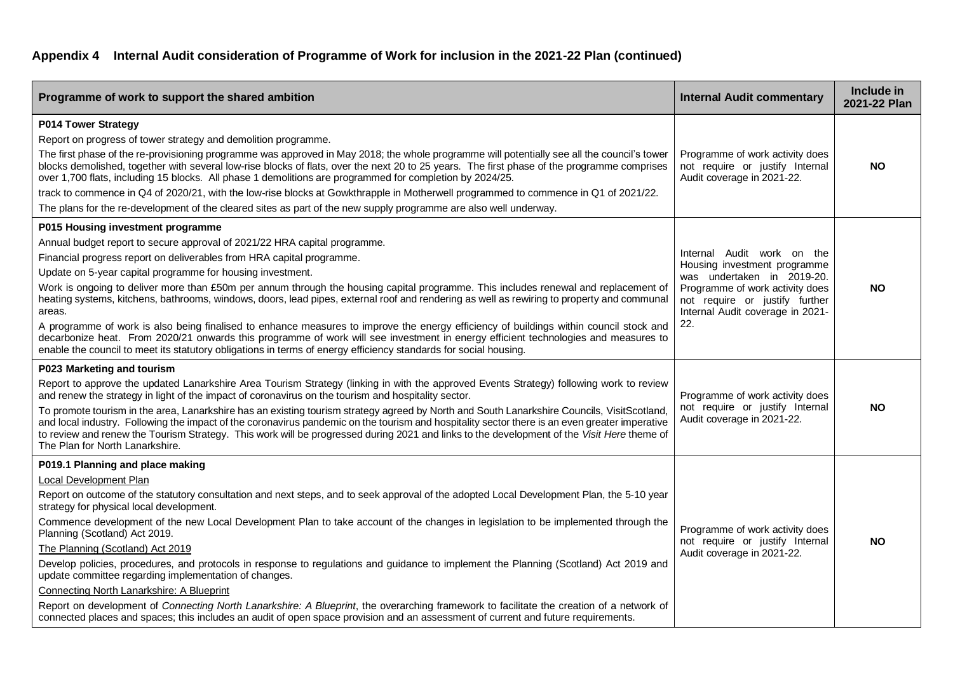| Programme of work to support the shared ambition                                                                                                                                                                                                                                                                                                                                                                                                                                                                                                                                                                                                                                                                                                                                                                                                                                                                                                                                               | <b>Internal Audit commentary</b>                                                                                                                                                                         | Include in<br>2021-22 Plan |
|------------------------------------------------------------------------------------------------------------------------------------------------------------------------------------------------------------------------------------------------------------------------------------------------------------------------------------------------------------------------------------------------------------------------------------------------------------------------------------------------------------------------------------------------------------------------------------------------------------------------------------------------------------------------------------------------------------------------------------------------------------------------------------------------------------------------------------------------------------------------------------------------------------------------------------------------------------------------------------------------|----------------------------------------------------------------------------------------------------------------------------------------------------------------------------------------------------------|----------------------------|
| P014 Tower Strategy<br>Report on progress of tower strategy and demolition programme.<br>The first phase of the re-provisioning programme was approved in May 2018; the whole programme will potentially see all the council's tower<br>blocks demolished, together with several low-rise blocks of flats, over the next 20 to 25 years. The first phase of the programme comprises<br>over 1,700 flats, including 15 blocks. All phase 1 demolitions are programmed for completion by 2024/25.<br>track to commence in Q4 of 2020/21, with the low-rise blocks at Gowkthrapple in Motherwell programmed to commence in Q1 of 2021/22.<br>The plans for the re-development of the cleared sites as part of the new supply programme are also well underway.                                                                                                                                                                                                                                    | Programme of work activity does<br>not require or justify Internal<br>Audit coverage in 2021-22.                                                                                                         | <b>NO</b>                  |
| P015 Housing investment programme<br>Annual budget report to secure approval of 2021/22 HRA capital programme.<br>Financial progress report on deliverables from HRA capital programme.<br>Update on 5-year capital programme for housing investment.<br>Work is ongoing to deliver more than £50m per annum through the housing capital programme. This includes renewal and replacement of<br>heating systems, kitchens, bathrooms, windows, doors, lead pipes, external roof and rendering as well as rewiring to property and communal<br>areas.<br>A programme of work is also being finalised to enhance measures to improve the energy efficiency of buildings within council stock and<br>decarbonize heat. From 2020/21 onwards this programme of work will see investment in energy efficient technologies and measures to<br>enable the council to meet its statutory obligations in terms of energy efficiency standards for social housing.                                       | Internal Audit work on the<br>Housing investment programme<br>was undertaken in 2019-20.<br>Programme of work activity does<br>not require or justify further<br>Internal Audit coverage in 2021-<br>22. | <b>NO</b>                  |
| P023 Marketing and tourism<br>Report to approve the updated Lanarkshire Area Tourism Strategy (linking in with the approved Events Strategy) following work to review<br>and renew the strategy in light of the impact of coronavirus on the tourism and hospitality sector.<br>To promote tourism in the area, Lanarkshire has an existing tourism strategy agreed by North and South Lanarkshire Councils, VisitScotland,<br>and local industry. Following the impact of the coronavirus pandemic on the tourism and hospitality sector there is an even greater imperative<br>to review and renew the Tourism Strategy. This work will be progressed during 2021 and links to the development of the Visit Here theme of<br>The Plan for North Lanarkshire.                                                                                                                                                                                                                                 | Programme of work activity does<br>not require or justify Internal<br>Audit coverage in 2021-22.                                                                                                         | <b>NO</b>                  |
| P019.1 Planning and place making<br>Local Development Plan<br>Report on outcome of the statutory consultation and next steps, and to seek approval of the adopted Local Development Plan, the 5-10 year<br>strategy for physical local development.<br>Commence development of the new Local Development Plan to take account of the changes in legislation to be implemented through the<br>Planning (Scotland) Act 2019.<br>The Planning (Scotland) Act 2019<br>Develop policies, procedures, and protocols in response to regulations and guidance to implement the Planning (Scotland) Act 2019 and<br>update committee regarding implementation of changes.<br>Connecting North Lanarkshire: A Blueprint<br>Report on development of Connecting North Lanarkshire: A Blueprint, the overarching framework to facilitate the creation of a network of<br>connected places and spaces; this includes an audit of open space provision and an assessment of current and future requirements. | Programme of work activity does<br>not require or justify Internal<br>Audit coverage in 2021-22.                                                                                                         | <b>NO</b>                  |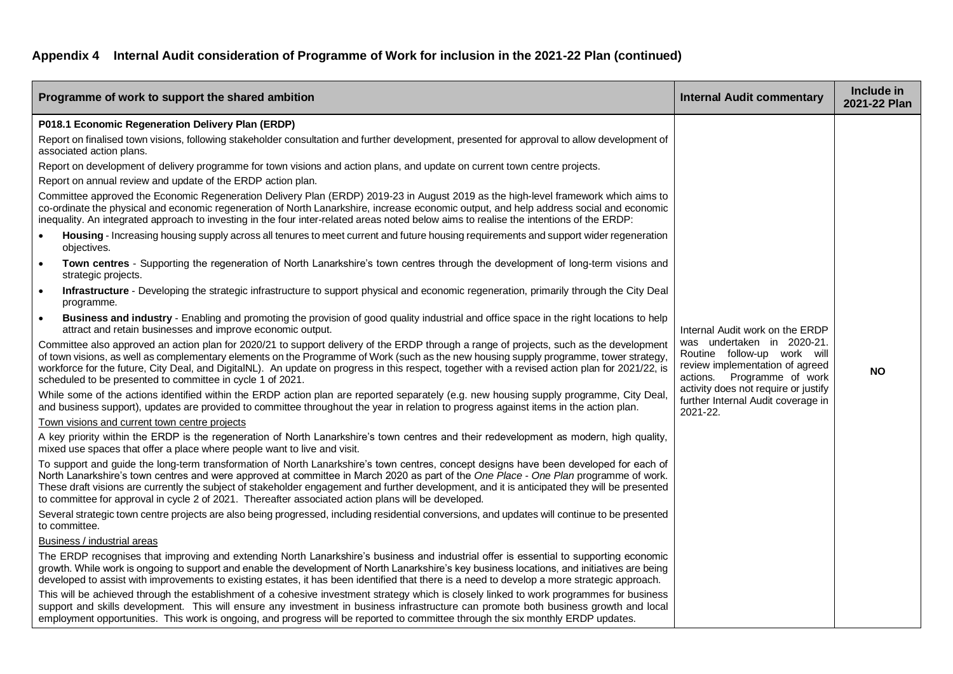| Programme of work to support the shared ambition                                                                                                                                                                                                                                                                                                                                                                                                                                                                                       | <b>Internal Audit commentary</b>                                                                                           | Include in<br>2021-22 Plan |
|----------------------------------------------------------------------------------------------------------------------------------------------------------------------------------------------------------------------------------------------------------------------------------------------------------------------------------------------------------------------------------------------------------------------------------------------------------------------------------------------------------------------------------------|----------------------------------------------------------------------------------------------------------------------------|----------------------------|
| P018.1 Economic Regeneration Delivery Plan (ERDP)                                                                                                                                                                                                                                                                                                                                                                                                                                                                                      |                                                                                                                            |                            |
| Report on finalised town visions, following stakeholder consultation and further development, presented for approval to allow development of<br>associated action plans.                                                                                                                                                                                                                                                                                                                                                               |                                                                                                                            |                            |
| Report on development of delivery programme for town visions and action plans, and update on current town centre projects.                                                                                                                                                                                                                                                                                                                                                                                                             |                                                                                                                            |                            |
| Report on annual review and update of the ERDP action plan.                                                                                                                                                                                                                                                                                                                                                                                                                                                                            |                                                                                                                            |                            |
| Committee approved the Economic Regeneration Delivery Plan (ERDP) 2019-23 in August 2019 as the high-level framework which aims to<br>co-ordinate the physical and economic regeneration of North Lanarkshire, increase economic output, and help address social and economic<br>inequality. An integrated approach to investing in the four inter-related areas noted below aims to realise the intentions of the ERDP:                                                                                                               |                                                                                                                            |                            |
| Housing - Increasing housing supply across all tenures to meet current and future housing requirements and support wider regeneration<br>$\bullet$<br>objectives.                                                                                                                                                                                                                                                                                                                                                                      |                                                                                                                            |                            |
| Town centres - Supporting the regeneration of North Lanarkshire's town centres through the development of long-term visions and<br>$\bullet$<br>strategic projects.                                                                                                                                                                                                                                                                                                                                                                    |                                                                                                                            |                            |
| Infrastructure - Developing the strategic infrastructure to support physical and economic regeneration, primarily through the City Deal<br>$\bullet$<br>programme.                                                                                                                                                                                                                                                                                                                                                                     |                                                                                                                            |                            |
| Business and industry - Enabling and promoting the provision of good quality industrial and office space in the right locations to help<br>$\bullet$<br>attract and retain businesses and improve economic output.                                                                                                                                                                                                                                                                                                                     | Internal Audit work on the ERDP                                                                                            |                            |
| Committee also approved an action plan for 2020/21 to support delivery of the ERDP through a range of projects, such as the development<br>of town visions, as well as complementary elements on the Programme of Work (such as the new housing supply programme, tower strategy,<br>workforce for the future, City Deal, and DigitalNL). An update on progress in this respect, together with a revised action plan for 2021/22, is<br>scheduled to be presented to committee in cycle 1 of 2021.                                     | was undertaken in 2020-21.<br>Routine follow-up work will<br>review implementation of agreed<br>actions. Programme of work | <b>NO</b>                  |
| While some of the actions identified within the ERDP action plan are reported separately (e.g. new housing supply programme, City Deal<br>and business support), updates are provided to committee throughout the year in relation to progress against items in the action plan.                                                                                                                                                                                                                                                       | activity does not require or justify<br>further Internal Audit coverage in<br>2021-22.                                     |                            |
| Town visions and current town centre projects                                                                                                                                                                                                                                                                                                                                                                                                                                                                                          |                                                                                                                            |                            |
| A key priority within the ERDP is the regeneration of North Lanarkshire's town centres and their redevelopment as modern, high quality,<br>mixed use spaces that offer a place where people want to live and visit.                                                                                                                                                                                                                                                                                                                    |                                                                                                                            |                            |
| To support and guide the long-term transformation of North Lanarkshire's town centres, concept designs have been developed for each of<br>North Lanarkshire's town centres and were approved at committee in March 2020 as part of the One Place - One Plan programme of work.<br>These draft visions are currently the subject of stakeholder engagement and further development, and it is anticipated they will be presented<br>to committee for approval in cycle 2 of 2021. Thereafter associated action plans will be developed. |                                                                                                                            |                            |
| Several strategic town centre projects are also being progressed, including residential conversions, and updates will continue to be presented<br>to committee.                                                                                                                                                                                                                                                                                                                                                                        |                                                                                                                            |                            |
| Business / industrial areas                                                                                                                                                                                                                                                                                                                                                                                                                                                                                                            |                                                                                                                            |                            |
| The ERDP recognises that improving and extending North Lanarkshire's business and industrial offer is essential to supporting economic<br>growth. While work is ongoing to support and enable the development of North Lanarkshire's key business locations, and initiatives are being<br>developed to assist with improvements to existing estates, it has been identified that there is a need to develop a more strategic approach.                                                                                                 |                                                                                                                            |                            |
| This will be achieved through the establishment of a cohesive investment strategy which is closely linked to work programmes for business<br>support and skills development. This will ensure any investment in business infrastructure can promote both business growth and local<br>employment opportunities. This work is ongoing, and progress will be reported to committee through the six monthly ERDP updates.                                                                                                                 |                                                                                                                            |                            |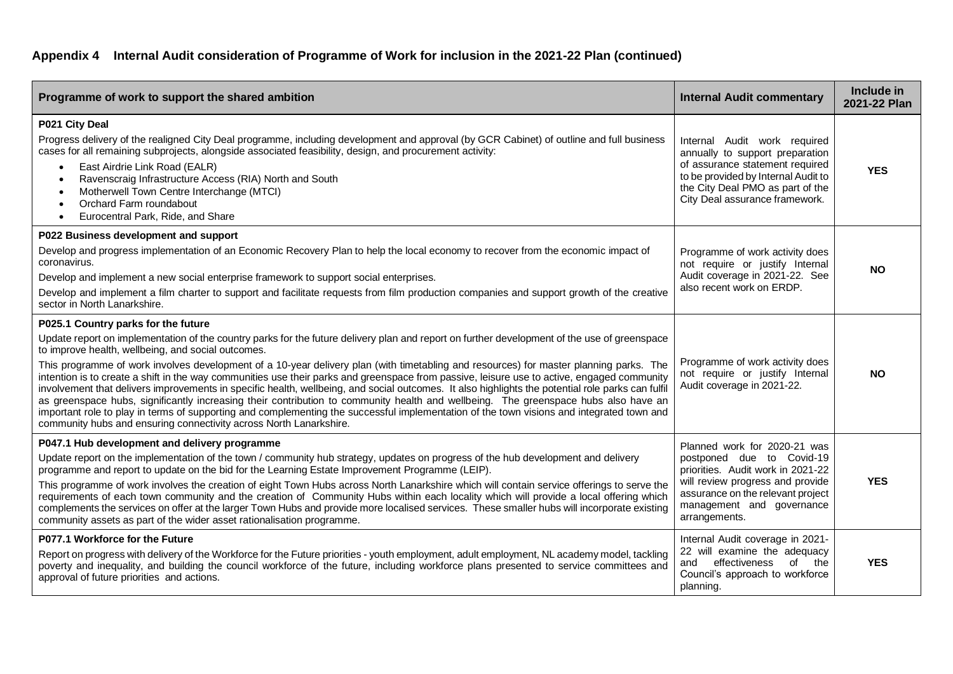| Programme of work to support the shared ambition                                                                                                                                                                                                                                                                                                                                                                                                                                                                                                                                                                                                                                                                                                                                                                                                                                                                                                                                                                                                  | <b>Internal Audit commentary</b>                                                                                                                                                                                      | Include in<br>2021-22 Plan |
|---------------------------------------------------------------------------------------------------------------------------------------------------------------------------------------------------------------------------------------------------------------------------------------------------------------------------------------------------------------------------------------------------------------------------------------------------------------------------------------------------------------------------------------------------------------------------------------------------------------------------------------------------------------------------------------------------------------------------------------------------------------------------------------------------------------------------------------------------------------------------------------------------------------------------------------------------------------------------------------------------------------------------------------------------|-----------------------------------------------------------------------------------------------------------------------------------------------------------------------------------------------------------------------|----------------------------|
| P021 City Deal<br>Progress delivery of the realigned City Deal programme, including development and approval (by GCR Cabinet) of outline and full business<br>cases for all remaining subprojects, alongside associated feasibility, design, and procurement activity:<br>East Airdrie Link Road (EALR)<br>$\bullet$<br>Ravenscraig Infrastructure Access (RIA) North and South<br>Motherwell Town Centre Interchange (MTCI)<br>Orchard Farm roundabout<br>Eurocentral Park, Ride, and Share<br>$\bullet$                                                                                                                                                                                                                                                                                                                                                                                                                                                                                                                                         | Internal Audit work required<br>annually to support preparation<br>of assurance statement required<br>to be provided by Internal Audit to<br>the City Deal PMO as part of the<br>City Deal assurance framework.       | <b>YES</b>                 |
| P022 Business development and support<br>Develop and progress implementation of an Economic Recovery Plan to help the local economy to recover from the economic impact of<br>coronavirus.<br>Develop and implement a new social enterprise framework to support social enterprises.<br>Develop and implement a film charter to support and facilitate requests from film production companies and support growth of the creative<br>sector in North Lanarkshire.                                                                                                                                                                                                                                                                                                                                                                                                                                                                                                                                                                                 | Programme of work activity does<br>not require or justify Internal<br>Audit coverage in 2021-22. See<br>also recent work on ERDP.                                                                                     | <b>NO</b>                  |
| P025.1 Country parks for the future<br>Update report on implementation of the country parks for the future delivery plan and report on further development of the use of greenspace<br>to improve health, wellbeing, and social outcomes.<br>This programme of work involves development of a 10-year delivery plan (with timetabling and resources) for master planning parks. The<br>intention is to create a shift in the way communities use their parks and greenspace from passive, leisure use to active, engaged community<br>involvement that delivers improvements in specific health, wellbeing, and social outcomes. It also highlights the potential role parks can fulfil<br>as greenspace hubs, significantly increasing their contribution to community health and wellbeing. The greenspace hubs also have an<br>important role to play in terms of supporting and complementing the successful implementation of the town visions and integrated town and<br>community hubs and ensuring connectivity across North Lanarkshire. | Programme of work activity does<br>not require or justify Internal<br>Audit coverage in 2021-22.                                                                                                                      | <b>NO</b>                  |
| P047.1 Hub development and delivery programme<br>Update report on the implementation of the town / community hub strategy, updates on progress of the hub development and delivery<br>programme and report to update on the bid for the Learning Estate Improvement Programme (LEIP).<br>This programme of work involves the creation of eight Town Hubs across North Lanarkshire which will contain service offerings to serve the<br>requirements of each town community and the creation of Community Hubs within each locality which will provide a local offering which<br>complements the services on offer at the larger Town Hubs and provide more localised services. These smaller hubs will incorporate existing<br>community assets as part of the wider asset rationalisation programme.                                                                                                                                                                                                                                             | Planned work for 2020-21 was<br>postponed due to Covid-19<br>priorities. Audit work in 2021-22<br>will review progress and provide<br>assurance on the relevant project<br>management and governance<br>arrangements. | <b>YES</b>                 |
| P077.1 Workforce for the Future<br>Report on progress with delivery of the Workforce for the Future priorities - youth employment, adult employment, NL academy model, tackling<br>poverty and inequality, and building the council workforce of the future, including workforce plans presented to service committees and<br>approval of future priorities and actions.                                                                                                                                                                                                                                                                                                                                                                                                                                                                                                                                                                                                                                                                          | Internal Audit coverage in 2021-<br>22 will examine the adequacy<br>effectiveness<br>of<br>the<br>and<br>Council's approach to workforce<br>planning.                                                                 | <b>YES</b>                 |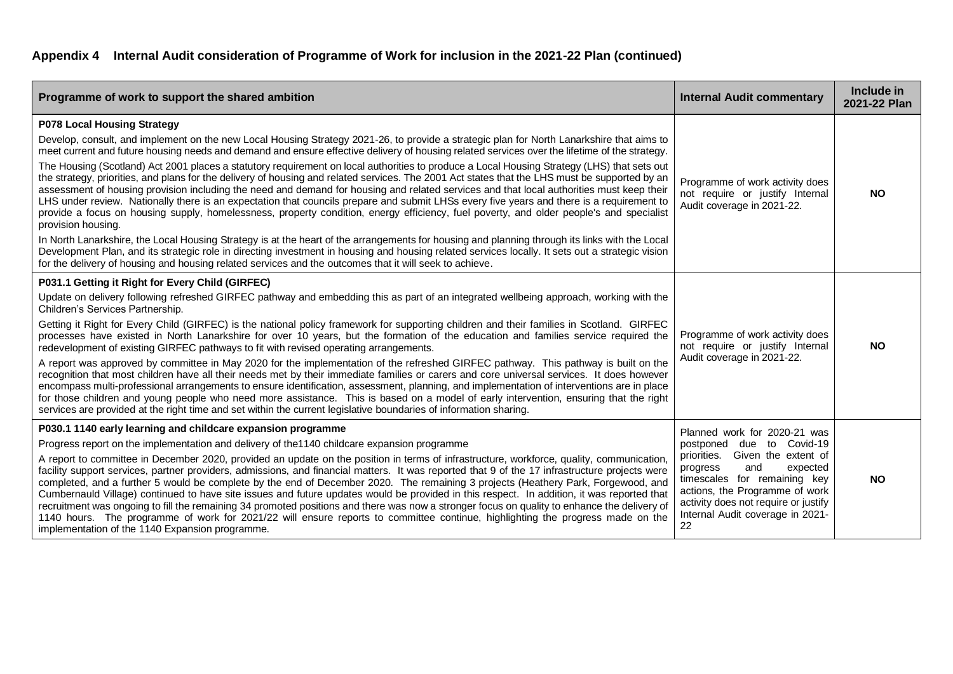| Programme of work to support the shared ambition                                                                                                                                                                                                                                                                                                                                                                                                                                                                                                                                                                                                                                                                                                                                                                                                                                                                                                                                                                                                                                                                                                                                                                                                                                                                                                                                                                                                                                                              | <b>Internal Audit commentary</b>                                                                                                                                                                                                                                                   | Include in<br>2021-22 Plan |
|---------------------------------------------------------------------------------------------------------------------------------------------------------------------------------------------------------------------------------------------------------------------------------------------------------------------------------------------------------------------------------------------------------------------------------------------------------------------------------------------------------------------------------------------------------------------------------------------------------------------------------------------------------------------------------------------------------------------------------------------------------------------------------------------------------------------------------------------------------------------------------------------------------------------------------------------------------------------------------------------------------------------------------------------------------------------------------------------------------------------------------------------------------------------------------------------------------------------------------------------------------------------------------------------------------------------------------------------------------------------------------------------------------------------------------------------------------------------------------------------------------------|------------------------------------------------------------------------------------------------------------------------------------------------------------------------------------------------------------------------------------------------------------------------------------|----------------------------|
| <b>P078 Local Housing Strategy</b><br>Develop, consult, and implement on the new Local Housing Strategy 2021-26, to provide a strategic plan for North Lanarkshire that aims to<br>meet current and future housing needs and demand and ensure effective delivery of housing related services over the lifetime of the strategy.<br>The Housing (Scotland) Act 2001 places a statutory requirement on local authorities to produce a Local Housing Strategy (LHS) that sets out<br>the strategy, priorities, and plans for the delivery of housing and related services. The 2001 Act states that the LHS must be supported by an<br>assessment of housing provision including the need and demand for housing and related services and that local authorities must keep their<br>LHS under review. Nationally there is an expectation that councils prepare and submit LHSs every five years and there is a requirement to<br>provide a focus on housing supply, homelessness, property condition, energy efficiency, fuel poverty, and older people's and specialist<br>provision housing.<br>In North Lanarkshire, the Local Housing Strategy is at the heart of the arrangements for housing and planning through its links with the Local<br>Development Plan, and its strategic role in directing investment in housing and housing related services locally. It sets out a strategic vision<br>for the delivery of housing and housing related services and the outcomes that it will seek to achieve. | Programme of work activity does<br>not require or justify Internal<br>Audit coverage in 2021-22.                                                                                                                                                                                   | <b>NO</b>                  |
| P031.1 Getting it Right for Every Child (GIRFEC)<br>Update on delivery following refreshed GIRFEC pathway and embedding this as part of an integrated wellbeing approach, working with the<br>Children's Services Partnership.<br>Getting it Right for Every Child (GIRFEC) is the national policy framework for supporting children and their families in Scotland. GIRFEC<br>processes have existed in North Lanarkshire for over 10 years, but the formation of the education and families service required the<br>redevelopment of existing GIRFEC pathways to fit with revised operating arrangements.<br>A report was approved by committee in May 2020 for the implementation of the refreshed GIRFEC pathway. This pathway is built on the<br>recognition that most children have all their needs met by their immediate families or carers and core universal services. It does however<br>encompass multi-professional arrangements to ensure identification, assessment, planning, and implementation of interventions are in place<br>for those children and young people who need more assistance. This is based on a model of early intervention, ensuring that the right<br>services are provided at the right time and set within the current legislative boundaries of information sharing.                                                                                                                                                                                                  | Programme of work activity does<br>not require or justify Internal<br>Audit coverage in 2021-22.                                                                                                                                                                                   | <b>NO</b>                  |
| P030.1 1140 early learning and childcare expansion programme<br>Progress report on the implementation and delivery of the 1140 childcare expansion programme<br>A report to committee in December 2020, provided an update on the position in terms of infrastructure, workforce, quality, communication,<br>facility support services, partner providers, admissions, and financial matters. It was reported that 9 of the 17 infrastructure projects were<br>completed, and a further 5 would be complete by the end of December 2020. The remaining 3 projects (Heathery Park, Forgewood, and<br>Cumbernauld Village) continued to have site issues and future updates would be provided in this respect. In addition, it was reported that<br>recruitment was ongoing to fill the remaining 34 promoted positions and there was now a stronger focus on quality to enhance the delivery of<br>1140 hours. The programme of work for 2021/22 will ensure reports to committee continue, highlighting the progress made on the<br>implementation of the 1140 Expansion programme.                                                                                                                                                                                                                                                                                                                                                                                                                           | Planned work for 2020-21 was<br>postponed due to Covid-19<br>priorities.<br>Given the extent of<br>and<br>expected<br>progress<br>timescales for remaining key<br>actions, the Programme of work<br>activity does not require or justify<br>Internal Audit coverage in 2021-<br>22 | <b>NO</b>                  |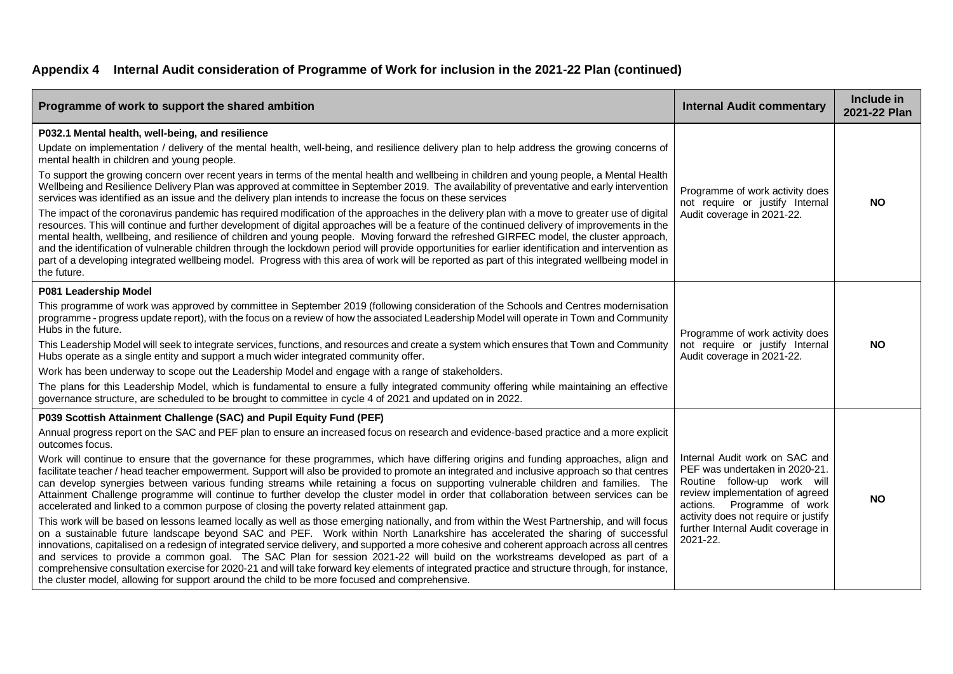| Programme of work to support the shared ambition                                                                                                                                                                                                                                                                                                                                                                                                                                                                                                                                                                                                                                                                                                                                                                                                                                                                                                                                                                                                                                                                                                                                                                                                                                                                                                                                                                                                                                                                                                                                                                                                                                                                              | <b>Internal Audit commentary</b>                                                                                                                                                                                                                              | Include in<br>2021-22 Plan |
|-------------------------------------------------------------------------------------------------------------------------------------------------------------------------------------------------------------------------------------------------------------------------------------------------------------------------------------------------------------------------------------------------------------------------------------------------------------------------------------------------------------------------------------------------------------------------------------------------------------------------------------------------------------------------------------------------------------------------------------------------------------------------------------------------------------------------------------------------------------------------------------------------------------------------------------------------------------------------------------------------------------------------------------------------------------------------------------------------------------------------------------------------------------------------------------------------------------------------------------------------------------------------------------------------------------------------------------------------------------------------------------------------------------------------------------------------------------------------------------------------------------------------------------------------------------------------------------------------------------------------------------------------------------------------------------------------------------------------------|---------------------------------------------------------------------------------------------------------------------------------------------------------------------------------------------------------------------------------------------------------------|----------------------------|
| P032.1 Mental health, well-being, and resilience<br>Update on implementation / delivery of the mental health, well-being, and resilience delivery plan to help address the growing concerns of<br>mental health in children and young people.<br>To support the growing concern over recent years in terms of the mental health and wellbeing in children and young people, a Mental Health<br>Wellbeing and Resilience Delivery Plan was approved at committee in September 2019. The availability of preventative and early intervention<br>services was identified as an issue and the delivery plan intends to increase the focus on these services<br>The impact of the coronavirus pandemic has required modification of the approaches in the delivery plan with a move to greater use of digital<br>resources. This will continue and further development of digital approaches will be a feature of the continued delivery of improvements in the<br>mental health, wellbeing, and resilience of children and young people. Moving forward the refreshed GIRFEC model, the cluster approach,<br>and the identification of vulnerable children through the lockdown period will provide opportunities for earlier identification and intervention as<br>part of a developing integrated wellbeing model. Progress with this area of work will be reported as part of this integrated wellbeing model in<br>the future.                                                                                                                                                                                                                                                                                                | Programme of work activity does<br>not require or justify Internal<br>Audit coverage in 2021-22.                                                                                                                                                              | <b>NO</b>                  |
| P081 Leadership Model<br>This programme of work was approved by committee in September 2019 (following consideration of the Schools and Centres modernisation<br>programme - progress update report), with the focus on a review of how the associated Leadership Model will operate in Town and Community<br>Hubs in the future.<br>This Leadership Model will seek to integrate services, functions, and resources and create a system which ensures that Town and Community<br>Hubs operate as a single entity and support a much wider integrated community offer.<br>Work has been underway to scope out the Leadership Model and engage with a range of stakeholders.<br>The plans for this Leadership Model, which is fundamental to ensure a fully integrated community offering while maintaining an effective<br>governance structure, are scheduled to be brought to committee in cycle 4 of 2021 and updated on in 2022.                                                                                                                                                                                                                                                                                                                                                                                                                                                                                                                                                                                                                                                                                                                                                                                          | Programme of work activity does<br>not require or justify Internal<br>Audit coverage in 2021-22.                                                                                                                                                              | <b>NO</b>                  |
| P039 Scottish Attainment Challenge (SAC) and Pupil Equity Fund (PEF)<br>Annual progress report on the SAC and PEF plan to ensure an increased focus on research and evidence-based practice and a more explicit<br>outcomes focus.<br>Work will continue to ensure that the governance for these programmes, which have differing origins and funding approaches, align and<br>facilitate teacher / head teacher empowerment. Support will also be provided to promote an integrated and inclusive approach so that centres<br>can develop synergies between various funding streams while retaining a focus on supporting vulnerable children and families. The<br>Attainment Challenge programme will continue to further develop the cluster model in order that collaboration between services can be<br>accelerated and linked to a common purpose of closing the poverty related attainment gap.<br>This work will be based on lessons learned locally as well as those emerging nationally, and from within the West Partnership, and will focus<br>on a sustainable future landscape beyond SAC and PEF. Work within North Lanarkshire has accelerated the sharing of successful<br>innovations, capitalised on a redesign of integrated service delivery, and supported a more cohesive and coherent approach across all centres<br>and services to provide a common goal. The SAC Plan for session 2021-22 will build on the workstreams developed as part of a<br>comprehensive consultation exercise for 2020-21 and will take forward key elements of integrated practice and structure through, for instance,<br>the cluster model, allowing for support around the child to be more focused and comprehensive. | Internal Audit work on SAC and<br>PEF was undertaken in 2020-21.<br>Routine follow-up work will<br>review implementation of agreed<br>Programme of work<br>actions.<br>activity does not require or justify<br>further Internal Audit coverage in<br>2021-22. | <b>NO</b>                  |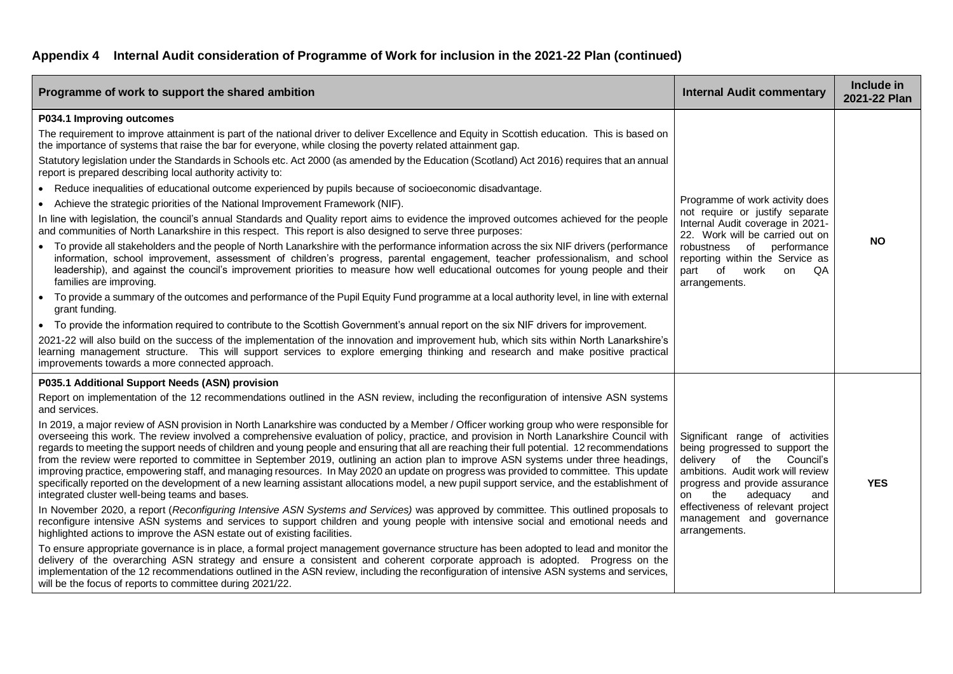| Programme of work to support the shared ambition                                                                                                                                                                                                                                                                                                                                                                                                                                                                                                                                                                                                                                                                                                                                                                                                                                                                                                                                                                                                                                                                                                                                                                                                                                                                                                                                                                                                                                                                                                                                                                                                                                                                                                                                                                                                                                                                                                                                                                                                                       | <b>Internal Audit commentary</b>                                                                                                                                                                                                                                                          | Include in<br>2021-22 Plan |
|------------------------------------------------------------------------------------------------------------------------------------------------------------------------------------------------------------------------------------------------------------------------------------------------------------------------------------------------------------------------------------------------------------------------------------------------------------------------------------------------------------------------------------------------------------------------------------------------------------------------------------------------------------------------------------------------------------------------------------------------------------------------------------------------------------------------------------------------------------------------------------------------------------------------------------------------------------------------------------------------------------------------------------------------------------------------------------------------------------------------------------------------------------------------------------------------------------------------------------------------------------------------------------------------------------------------------------------------------------------------------------------------------------------------------------------------------------------------------------------------------------------------------------------------------------------------------------------------------------------------------------------------------------------------------------------------------------------------------------------------------------------------------------------------------------------------------------------------------------------------------------------------------------------------------------------------------------------------------------------------------------------------------------------------------------------------|-------------------------------------------------------------------------------------------------------------------------------------------------------------------------------------------------------------------------------------------------------------------------------------------|----------------------------|
| P034.1 Improving outcomes<br>The requirement to improve attainment is part of the national driver to deliver Excellence and Equity in Scottish education. This is based on<br>the importance of systems that raise the bar for everyone, while closing the poverty related attainment gap.<br>Statutory legislation under the Standards in Schools etc. Act 2000 (as amended by the Education (Scotland) Act 2016) requires that an annual<br>report is prepared describing local authority activity to:<br>Reduce inequalities of educational outcome experienced by pupils because of socioeconomic disadvantage.<br>Achieve the strategic priorities of the National Improvement Framework (NIF).<br>$\bullet$<br>In line with legislation, the council's annual Standards and Quality report aims to evidence the improved outcomes achieved for the people<br>and communities of North Lanarkshire in this respect. This report is also designed to serve three purposes:<br>To provide all stakeholders and the people of North Lanarkshire with the performance information across the six NIF drivers (performance<br>information, school improvement, assessment of children's progress, parental engagement, teacher professionalism, and school<br>leadership), and against the council's improvement priorities to measure how well educational outcomes for young people and their<br>families are improving.<br>To provide a summary of the outcomes and performance of the Pupil Equity Fund programme at a local authority level, in line with external<br>grant funding.<br>• To provide the information required to contribute to the Scottish Government's annual report on the six NIF drivers for improvement.<br>2021-22 will also build on the success of the implementation of the innovation and improvement hub, which sits within North Lanarkshire's<br>learning management structure. This will support services to explore emerging thinking and research and make positive practical<br>improvements towards a more connected approach. | Programme of work activity does<br>not require or justify separate<br>Internal Audit coverage in 2021-<br>22. Work will be carried out on<br>robustness of performance<br>reporting within the Service as<br>of work<br>part<br>on<br>QA<br>arrangements.                                 | <b>NO</b>                  |
| P035.1 Additional Support Needs (ASN) provision<br>Report on implementation of the 12 recommendations outlined in the ASN review, including the reconfiguration of intensive ASN systems<br>and services.<br>In 2019, a major review of ASN provision in North Lanarkshire was conducted by a Member / Officer working group who were responsible for<br>overseeing this work. The review involved a comprehensive evaluation of policy, practice, and provision in North Lanarkshire Council with<br>regards to meeting the support needs of children and young people and ensuring that all are reaching their full potential. 12 recommendations<br>from the review were reported to committee in September 2019, outlining an action plan to improve ASN systems under three headings,<br>improving practice, empowering staff, and managing resources. In May 2020 an update on progress was provided to committee. This update<br>specifically reported on the development of a new learning assistant allocations model, a new pupil support service, and the establishment of<br>integrated cluster well-being teams and bases.<br>In November 2020, a report (Reconfiguring Intensive ASN Systems and Services) was approved by committee. This outlined proposals to<br>reconfigure intensive ASN systems and services to support children and young people with intensive social and emotional needs and<br>highlighted actions to improve the ASN estate out of existing facilities.<br>To ensure appropriate governance is in place, a formal project management governance structure has been adopted to lead and monitor the<br>delivery of the overarching ASN strategy and ensure a consistent and coherent corporate approach is adopted. Progress on the<br>implementation of the 12 recommendations outlined in the ASN review, including the reconfiguration of intensive ASN systems and services,<br>will be the focus of reports to committee during 2021/22.                                                                                  | Significant range of activities<br>being progressed to support the<br>delivery of the Council's<br>ambitions. Audit work will review<br>progress and provide assurance<br>the<br>adequacy<br>and<br>on<br>effectiveness of relevant project<br>management and governance<br>arrangements. | <b>YES</b>                 |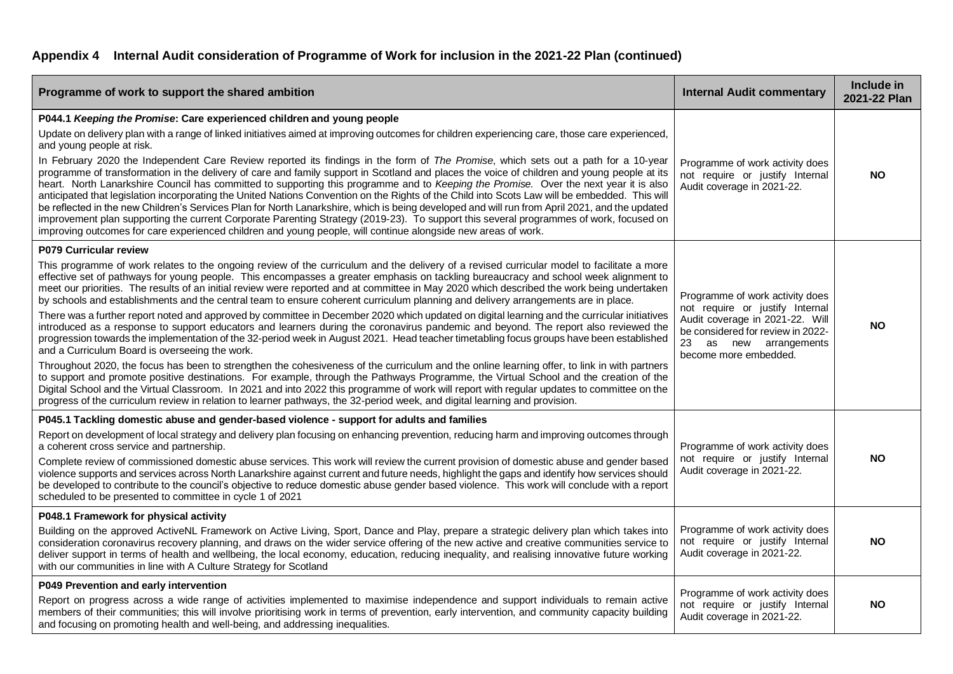| Programme of work to support the shared ambition                                                                                                                                                                                                                                                                                                                                                                                                                                                                                                                                                                                                                                                                                                                                                                                                                                                                                                                                                                                                                                                                                                                                                                                                                                                                                                                                                                                                                                                                                                                                                                                                                  | <b>Internal Audit commentary</b>                                                                                                                                                                 | Include in<br>2021-22 Plan |
|-------------------------------------------------------------------------------------------------------------------------------------------------------------------------------------------------------------------------------------------------------------------------------------------------------------------------------------------------------------------------------------------------------------------------------------------------------------------------------------------------------------------------------------------------------------------------------------------------------------------------------------------------------------------------------------------------------------------------------------------------------------------------------------------------------------------------------------------------------------------------------------------------------------------------------------------------------------------------------------------------------------------------------------------------------------------------------------------------------------------------------------------------------------------------------------------------------------------------------------------------------------------------------------------------------------------------------------------------------------------------------------------------------------------------------------------------------------------------------------------------------------------------------------------------------------------------------------------------------------------------------------------------------------------|--------------------------------------------------------------------------------------------------------------------------------------------------------------------------------------------------|----------------------------|
| P044.1 Keeping the Promise: Care experienced children and young people<br>Update on delivery plan with a range of linked initiatives aimed at improving outcomes for children experiencing care, those care experienced,<br>and young people at risk.<br>In February 2020 the Independent Care Review reported its findings in the form of The Promise, which sets out a path for a 10-year<br>programme of transformation in the delivery of care and family support in Scotland and places the voice of children and young people at its<br>heart. North Lanarkshire Council has committed to supporting this programme and to Keeping the Promise. Over the next year it is also<br>anticipated that legislation incorporating the United Nations Convention on the Rights of the Child into Scots Law will be embedded. This will<br>be reflected in the new Children's Services Plan for North Lanarkshire, which is being developed and will run from April 2021, and the updated<br>improvement plan supporting the current Corporate Parenting Strategy (2019-23). To support this several programmes of work, focused on<br>improving outcomes for care experienced children and young people, will continue alongside new areas of work.                                                                                                                                                                                                                                                                                                                                                                                                                | Programme of work activity does<br>not require or justify Internal<br>Audit coverage in 2021-22.                                                                                                 | <b>NO</b>                  |
| <b>P079 Curricular review</b><br>This programme of work relates to the ongoing review of the curriculum and the delivery of a revised curricular model to facilitate a more<br>effective set of pathways for young people. This encompasses a greater emphasis on tackling bureaucracy and school week alignment to<br>meet our priorities. The results of an initial review were reported and at committee in May 2020 which described the work being undertaken<br>by schools and establishments and the central team to ensure coherent curriculum planning and delivery arrangements are in place.<br>There was a further report noted and approved by committee in December 2020 which updated on digital learning and the curricular initiatives<br>introduced as a response to support educators and learners during the coronavirus pandemic and beyond. The report also reviewed the<br>progression towards the implementation of the 32-period week in August 2021. Head teacher timetabling focus groups have been established<br>and a Curriculum Board is overseeing the work.<br>Throughout 2020, the focus has been to strengthen the cohesiveness of the curriculum and the online learning offer, to link in with partners<br>to support and promote positive destinations. For example, through the Pathways Programme, the Virtual School and the creation of the<br>Digital School and the Virtual Classroom. In 2021 and into 2022 this programme of work will report with regular updates to committee on the<br>progress of the curriculum review in relation to learner pathways, the 32-period week, and digital learning and provision. | Programme of work activity does<br>not require or justify Internal<br>Audit coverage in 2021-22. Will<br>be considered for review in 2022-<br>23<br>as new arrangements<br>become more embedded. | <b>NO</b>                  |
| P045.1 Tackling domestic abuse and gender-based violence - support for adults and families<br>Report on development of local strategy and delivery plan focusing on enhancing prevention, reducing harm and improving outcomes through<br>a coherent cross service and partnership.<br>Complete review of commissioned domestic abuse services. This work will review the current provision of domestic abuse and gender based<br>violence supports and services across North Lanarkshire against current and future needs, highlight the gaps and identify how services should<br>be developed to contribute to the council's objective to reduce domestic abuse gender based violence. This work will conclude with a report<br>scheduled to be presented to committee in cycle 1 of 2021                                                                                                                                                                                                                                                                                                                                                                                                                                                                                                                                                                                                                                                                                                                                                                                                                                                                       | Programme of work activity does<br>not require or justify Internal<br>Audit coverage in 2021-22.                                                                                                 | <b>NO</b>                  |
| P048.1 Framework for physical activity<br>Building on the approved ActiveNL Framework on Active Living, Sport, Dance and Play, prepare a strategic delivery plan which takes into<br>consideration coronavirus recovery planning, and draws on the wider service offering of the new active and creative communities service to<br>deliver support in terms of health and wellbeing, the local economy, education, reducing inequality, and realising innovative future working<br>with our communities in line with A Culture Strategy for Scotland                                                                                                                                                                                                                                                                                                                                                                                                                                                                                                                                                                                                                                                                                                                                                                                                                                                                                                                                                                                                                                                                                                              | Programme of work activity does<br>not require or justify Internal<br>Audit coverage in 2021-22.                                                                                                 | <b>NO</b>                  |
| P049 Prevention and early intervention<br>Report on progress across a wide range of activities implemented to maximise independence and support individuals to remain active<br>members of their communities; this will involve prioritising work in terms of prevention, early intervention, and community capacity building<br>and focusing on promoting health and well-being, and addressing inequalities.                                                                                                                                                                                                                                                                                                                                                                                                                                                                                                                                                                                                                                                                                                                                                                                                                                                                                                                                                                                                                                                                                                                                                                                                                                                    | Programme of work activity does<br>not require or justify Internal<br>Audit coverage in 2021-22.                                                                                                 | <b>NO</b>                  |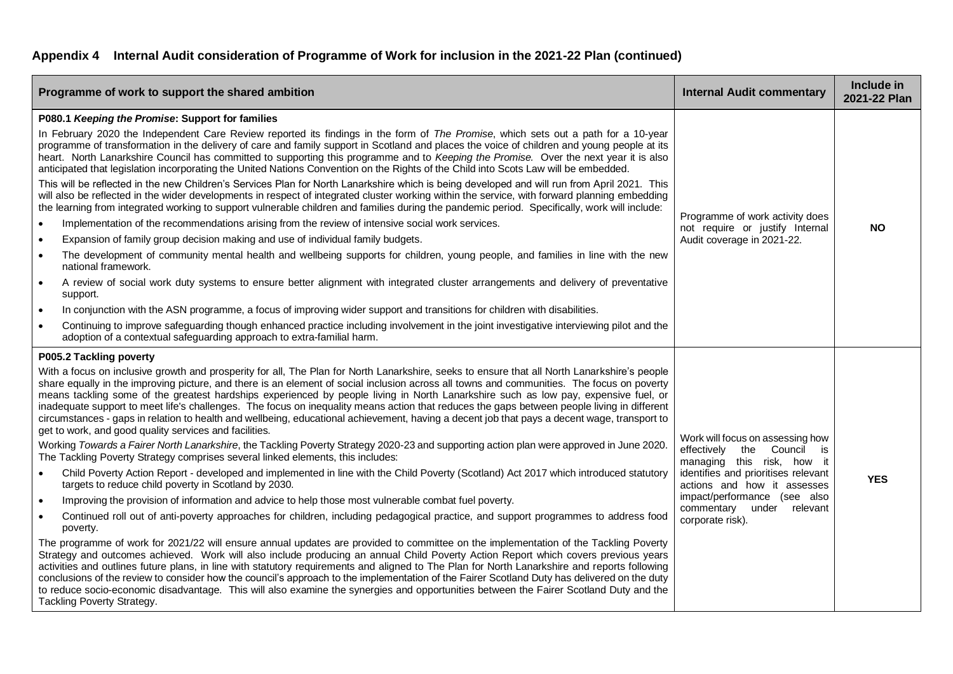| Programme of work to support the shared ambition                                                                                                                                                                                                                                                                                                                                                                                                                                                                                                                                                                                                                                                                                                                                                                                                                                                                                                                                                                                                                                                                                                                                                                                                                                                                                                                                                                                                                                                                                                                                                                                                                                                                                                                                                                                                                                                                                                                                                                                                                                                                                                                                                                                                                                                              | <b>Internal Audit commentary</b>                                                                                                                                                                                                                             | Include in<br>2021-22 Plan |
|---------------------------------------------------------------------------------------------------------------------------------------------------------------------------------------------------------------------------------------------------------------------------------------------------------------------------------------------------------------------------------------------------------------------------------------------------------------------------------------------------------------------------------------------------------------------------------------------------------------------------------------------------------------------------------------------------------------------------------------------------------------------------------------------------------------------------------------------------------------------------------------------------------------------------------------------------------------------------------------------------------------------------------------------------------------------------------------------------------------------------------------------------------------------------------------------------------------------------------------------------------------------------------------------------------------------------------------------------------------------------------------------------------------------------------------------------------------------------------------------------------------------------------------------------------------------------------------------------------------------------------------------------------------------------------------------------------------------------------------------------------------------------------------------------------------------------------------------------------------------------------------------------------------------------------------------------------------------------------------------------------------------------------------------------------------------------------------------------------------------------------------------------------------------------------------------------------------------------------------------------------------------------------------------------------------|--------------------------------------------------------------------------------------------------------------------------------------------------------------------------------------------------------------------------------------------------------------|----------------------------|
| P080.1 Keeping the Promise: Support for families<br>In February 2020 the Independent Care Review reported its findings in the form of The Promise, which sets out a path for a 10-year<br>programme of transformation in the delivery of care and family support in Scotland and places the voice of children and young people at its<br>heart. North Lanarkshire Council has committed to supporting this programme and to Keeping the Promise. Over the next year it is also<br>anticipated that legislation incorporating the United Nations Convention on the Rights of the Child into Scots Law will be embedded.<br>This will be reflected in the new Children's Services Plan for North Lanarkshire which is being developed and will run from April 2021. This<br>will also be reflected in the wider developments in respect of integrated cluster working within the service, with forward planning embedding<br>the learning from integrated working to support vulnerable children and families during the pandemic period. Specifically, work will include:<br>Implementation of the recommendations arising from the review of intensive social work services.<br>$\bullet$<br>Expansion of family group decision making and use of individual family budgets.<br>$\bullet$<br>The development of community mental health and wellbeing supports for children, young people, and families in line with the new<br>$\bullet$<br>national framework.<br>A review of social work duty systems to ensure better alignment with integrated cluster arrangements and delivery of preventative<br>$\bullet$<br>support.<br>In conjunction with the ASN programme, a focus of improving wider support and transitions for children with disabilities.<br>$\bullet$<br>Continuing to improve safeguarding though enhanced practice including involvement in the joint investigative interviewing pilot and the<br>$\bullet$<br>adoption of a contextual safeguarding approach to extra-familial harm.                                                                                                                                                                                                                                                                                                    | Programme of work activity does<br>not require or justify Internal<br>Audit coverage in 2021-22.                                                                                                                                                             | <b>NO</b>                  |
| P005.2 Tackling poverty<br>With a focus on inclusive growth and prosperity for all, The Plan for North Lanarkshire, seeks to ensure that all North Lanarkshire's people<br>share equally in the improving picture, and there is an element of social inclusion across all towns and communities. The focus on poverty<br>means tackling some of the greatest hardships experienced by people living in North Lanarkshire such as low pay, expensive fuel, or<br>inadequate support to meet life's challenges. The focus on inequality means action that reduces the gaps between people living in different<br>circumstances - gaps in relation to health and wellbeing, educational achievement, having a decent job that pays a decent wage, transport to<br>get to work, and good quality services and facilities.<br>Working Towards a Fairer North Lanarkshire, the Tackling Poverty Strategy 2020-23 and supporting action plan were approved in June 2020.<br>The Tackling Poverty Strategy comprises several linked elements, this includes:<br>Child Poverty Action Report - developed and implemented in line with the Child Poverty (Scotland) Act 2017 which introduced statutory<br>$\bullet$<br>targets to reduce child poverty in Scotland by 2030.<br>Improving the provision of information and advice to help those most vulnerable combat fuel poverty.<br>$\bullet$<br>Continued roll out of anti-poverty approaches for children, including pedagogical practice, and support programmes to address food<br>$\bullet$<br>poverty.<br>The programme of work for 2021/22 will ensure annual updates are provided to committee on the implementation of the Tackling Poverty<br>Strategy and outcomes achieved. Work will also include producing an annual Child Poverty Action Report which covers previous years<br>activities and outlines future plans, in line with statutory requirements and aligned to The Plan for North Lanarkshire and reports following<br>conclusions of the review to consider how the council's approach to the implementation of the Fairer Scotland Duty has delivered on the duty<br>to reduce socio-economic disadvantage. This will also examine the synergies and opportunities between the Fairer Scotland Duty and the<br>Tackling Poverty Strategy. | Work will focus on assessing how<br>effectively<br>the<br>Council is<br>managing this risk, how it<br>identifies and prioritises relevant<br>actions and how it assesses<br>impact/performance (see also<br>commentary<br>under relevant<br>corporate risk). | <b>YES</b>                 |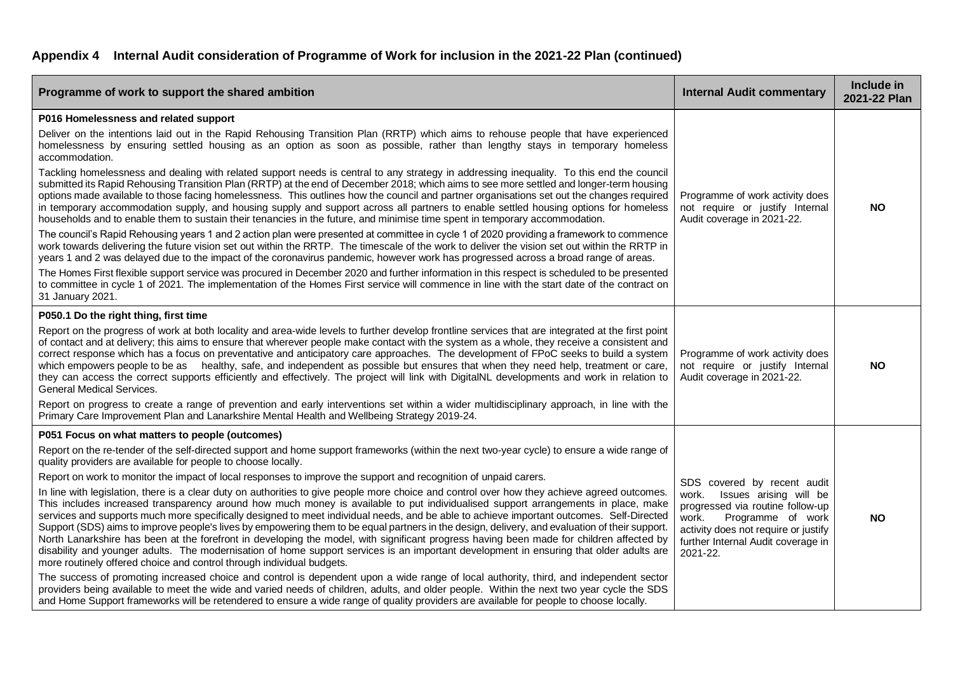| Programme of work to support the shared ambition                                                                                                                                                                                                                                                                                                                                                                                                                                                                                                                                                                                                                                                                                                                                                                                                                                                                                                | <b>Internal Audit commentary</b>                                                                                                                                                                                           | Include in<br>2021-22 Plan |
|-------------------------------------------------------------------------------------------------------------------------------------------------------------------------------------------------------------------------------------------------------------------------------------------------------------------------------------------------------------------------------------------------------------------------------------------------------------------------------------------------------------------------------------------------------------------------------------------------------------------------------------------------------------------------------------------------------------------------------------------------------------------------------------------------------------------------------------------------------------------------------------------------------------------------------------------------|----------------------------------------------------------------------------------------------------------------------------------------------------------------------------------------------------------------------------|----------------------------|
| P016 Homelessness and related support                                                                                                                                                                                                                                                                                                                                                                                                                                                                                                                                                                                                                                                                                                                                                                                                                                                                                                           |                                                                                                                                                                                                                            |                            |
| Deliver on the intentions laid out in the Rapid Rehousing Transition Plan (RRTP) which aims to rehouse people that have experienced<br>homelessness by ensuring settled housing as an option as soon as possible, rather than lengthy stays in temporary homeless<br>accommodation.                                                                                                                                                                                                                                                                                                                                                                                                                                                                                                                                                                                                                                                             | Programme of work activity does<br>not require or justify Internal<br>Audit coverage in 2021-22.                                                                                                                           |                            |
| Tackling homelessness and dealing with related support needs is central to any strategy in addressing inequality. To this end the council<br>submitted its Rapid Rehousing Transition Plan (RRTP) at the end of December 2018; which aims to see more settled and longer-term housing<br>options made available to those facing homelessness. This outlines how the council and partner organisations set out the changes required<br>in temporary accommodation supply, and housing supply and support across all partners to enable settled housing options for homeless<br>households and to enable them to sustain their tenancies in the future, and minimise time spent in temporary accommodation.                                                                                                                                                                                                                                       |                                                                                                                                                                                                                            | <b>NO</b>                  |
| The council's Rapid Rehousing years 1 and 2 action plan were presented at committee in cycle 1 of 2020 providing a framework to commence<br>work towards delivering the future vision set out within the RRTP. The timescale of the work to deliver the vision set out within the RRTP in<br>years 1 and 2 was delayed due to the impact of the coronavirus pandemic, however work has progressed across a broad range of areas.                                                                                                                                                                                                                                                                                                                                                                                                                                                                                                                |                                                                                                                                                                                                                            |                            |
| The Homes First flexible support service was procured in December 2020 and further information in this respect is scheduled to be presented<br>to committee in cycle 1 of 2021. The implementation of the Homes First service will commence in line with the start date of the contract on<br>31 January 2021.                                                                                                                                                                                                                                                                                                                                                                                                                                                                                                                                                                                                                                  |                                                                                                                                                                                                                            |                            |
| P050.1 Do the right thing, first time                                                                                                                                                                                                                                                                                                                                                                                                                                                                                                                                                                                                                                                                                                                                                                                                                                                                                                           |                                                                                                                                                                                                                            |                            |
| Report on the progress of work at both locality and area-wide levels to further develop frontline services that are integrated at the first point<br>of contact and at delivery; this aims to ensure that wherever people make contact with the system as a whole, they receive a consistent and<br>correct response which has a focus on preventative and anticipatory care approaches. The development of FPoC seeks to build a system<br>which empowers people to be as healthy, safe, and independent as possible but ensures that when they need help, treatment or care,<br>they can access the correct supports efficiently and effectively. The project will link with DigitalNL developments and work in relation to<br><b>General Medical Services.</b>                                                                                                                                                                               | Programme of work activity does<br>not require or justify Internal<br>Audit coverage in 2021-22.                                                                                                                           | <b>NO</b>                  |
| Report on progress to create a range of prevention and early interventions set within a wider multidisciplinary approach, in line with the<br>Primary Care Improvement Plan and Lanarkshire Mental Health and Wellbeing Strategy 2019-24.                                                                                                                                                                                                                                                                                                                                                                                                                                                                                                                                                                                                                                                                                                       |                                                                                                                                                                                                                            |                            |
| P051 Focus on what matters to people (outcomes)                                                                                                                                                                                                                                                                                                                                                                                                                                                                                                                                                                                                                                                                                                                                                                                                                                                                                                 |                                                                                                                                                                                                                            |                            |
| Report on the re-tender of the self-directed support and home support frameworks (within the next two-year cycle) to ensure a wide range of<br>quality providers are available for people to choose locally.                                                                                                                                                                                                                                                                                                                                                                                                                                                                                                                                                                                                                                                                                                                                    |                                                                                                                                                                                                                            |                            |
| Report on work to monitor the impact of local responses to improve the support and recognition of unpaid carers.                                                                                                                                                                                                                                                                                                                                                                                                                                                                                                                                                                                                                                                                                                                                                                                                                                | SDS covered by recent audit<br>work.<br>Issues arising will be<br>progressed via routine follow-up<br>work.<br>Programme of work<br>activity does not require or justify<br>further Internal Audit coverage in<br>2021-22. |                            |
| In line with legislation, there is a clear duty on authorities to give people more choice and control over how they achieve agreed outcomes.<br>This includes increased transparency around how much money is available to put individualised support arrangements in place, make<br>services and supports much more specifically designed to meet individual needs, and be able to achieve important outcomes. Self-Directed<br>Support (SDS) aims to improve people's lives by empowering them to be equal partners in the design, delivery, and evaluation of their support.<br>North Lanarkshire has been at the forefront in developing the model, with significant progress having been made for children affected by<br>disability and younger adults. The modernisation of home support services is an important development in ensuring that older adults are<br>more routinely offered choice and control through individual budgets. |                                                                                                                                                                                                                            | <b>NO</b>                  |
| The success of promoting increased choice and control is dependent upon a wide range of local authority, third, and independent sector<br>providers being available to meet the wide and varied needs of children, adults, and older people. Within the next two year cycle the SDS<br>and Home Support frameworks will be retendered to ensure a wide range of quality providers are available for people to choose locally.                                                                                                                                                                                                                                                                                                                                                                                                                                                                                                                   |                                                                                                                                                                                                                            |                            |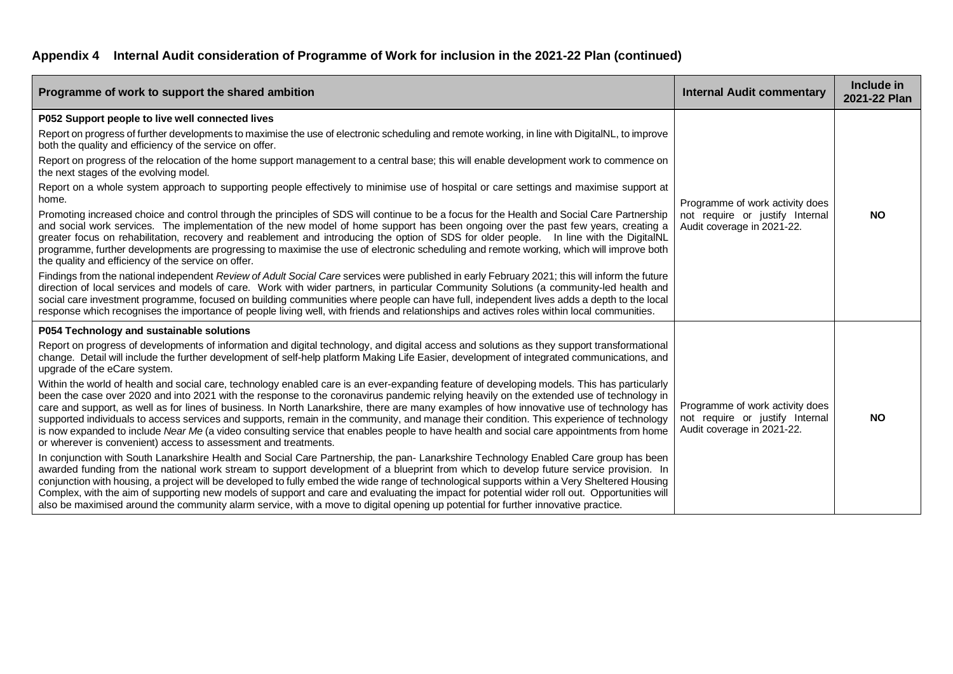| Programme of work to support the shared ambition                                                                                                                                                                                                                                                                                                                                                                                                                                                                                                                                                                                                                                                                                                                                                                                                                                                                                                                                                                                                                                                                                                                                                                                                                                                                                                                                                                                                                                                                                                                                                                                                                                                                                                                                                                                                                                                        | <b>Internal Audit commentary</b>                                                                 | Include in<br>2021-22 Plan |
|---------------------------------------------------------------------------------------------------------------------------------------------------------------------------------------------------------------------------------------------------------------------------------------------------------------------------------------------------------------------------------------------------------------------------------------------------------------------------------------------------------------------------------------------------------------------------------------------------------------------------------------------------------------------------------------------------------------------------------------------------------------------------------------------------------------------------------------------------------------------------------------------------------------------------------------------------------------------------------------------------------------------------------------------------------------------------------------------------------------------------------------------------------------------------------------------------------------------------------------------------------------------------------------------------------------------------------------------------------------------------------------------------------------------------------------------------------------------------------------------------------------------------------------------------------------------------------------------------------------------------------------------------------------------------------------------------------------------------------------------------------------------------------------------------------------------------------------------------------------------------------------------------------|--------------------------------------------------------------------------------------------------|----------------------------|
| P052 Support people to live well connected lives<br>Report on progress of further developments to maximise the use of electronic scheduling and remote working, in line with DigitalNL, to improve<br>both the quality and efficiency of the service on offer.<br>Report on progress of the relocation of the home support management to a central base; this will enable development work to commence on<br>the next stages of the evolving model.<br>Report on a whole system approach to supporting people effectively to minimise use of hospital or care settings and maximise support at<br>home.<br>Promoting increased choice and control through the principles of SDS will continue to be a focus for the Health and Social Care Partnership<br>and social work services. The implementation of the new model of home support has been ongoing over the past few years, creating a<br>greater focus on rehabilitation, recovery and reablement and introducing the option of SDS for older people. In line with the DigitalNL<br>programme, further developments are progressing to maximise the use of electronic scheduling and remote working, which will improve both<br>the quality and efficiency of the service on offer.                                                                                                                                                                                                                                                                                                                                                                                                                                                                                                                                                                                                                                                              | Programme of work activity does<br>not require or justify Internal<br>Audit coverage in 2021-22. | <b>NO</b>                  |
| Findings from the national independent Review of Adult Social Care services were published in early February 2021; this will inform the future<br>direction of local services and models of care. Work with wider partners, in particular Community Solutions (a community-led health and<br>social care investment programme, focused on building communities where people can have full, independent lives adds a depth to the local<br>response which recognises the importance of people living well, with friends and relationships and actives roles within local communities.                                                                                                                                                                                                                                                                                                                                                                                                                                                                                                                                                                                                                                                                                                                                                                                                                                                                                                                                                                                                                                                                                                                                                                                                                                                                                                                    |                                                                                                  |                            |
| P054 Technology and sustainable solutions<br>Report on progress of developments of information and digital technology, and digital access and solutions as they support transformational<br>change. Detail will include the further development of self-help platform Making Life Easier, development of integrated communications, and<br>upgrade of the eCare system.<br>Within the world of health and social care, technology enabled care is an ever-expanding feature of developing models. This has particularly<br>been the case over 2020 and into 2021 with the response to the coronavirus pandemic relying heavily on the extended use of technology in<br>care and support, as well as for lines of business. In North Lanarkshire, there are many examples of how innovative use of technology has<br>supported individuals to access services and supports, remain in the community, and manage their condition. This experience of technology<br>is now expanded to include Near Me (a video consulting service that enables people to have health and social care appointments from home<br>or wherever is convenient) access to assessment and treatments.<br>In conjunction with South Lanarkshire Health and Social Care Partnership, the pan- Lanarkshire Technology Enabled Care group has been<br>awarded funding from the national work stream to support development of a blueprint from which to develop future service provision. In<br>conjunction with housing, a project will be developed to fully embed the wide range of technological supports within a Very Sheltered Housing<br>Complex, with the aim of supporting new models of support and care and evaluating the impact for potential wider roll out. Opportunities will<br>also be maximised around the community alarm service, with a move to digital opening up potential for further innovative practice. | Programme of work activity does<br>not require or justify Internal<br>Audit coverage in 2021-22. | <b>NO</b>                  |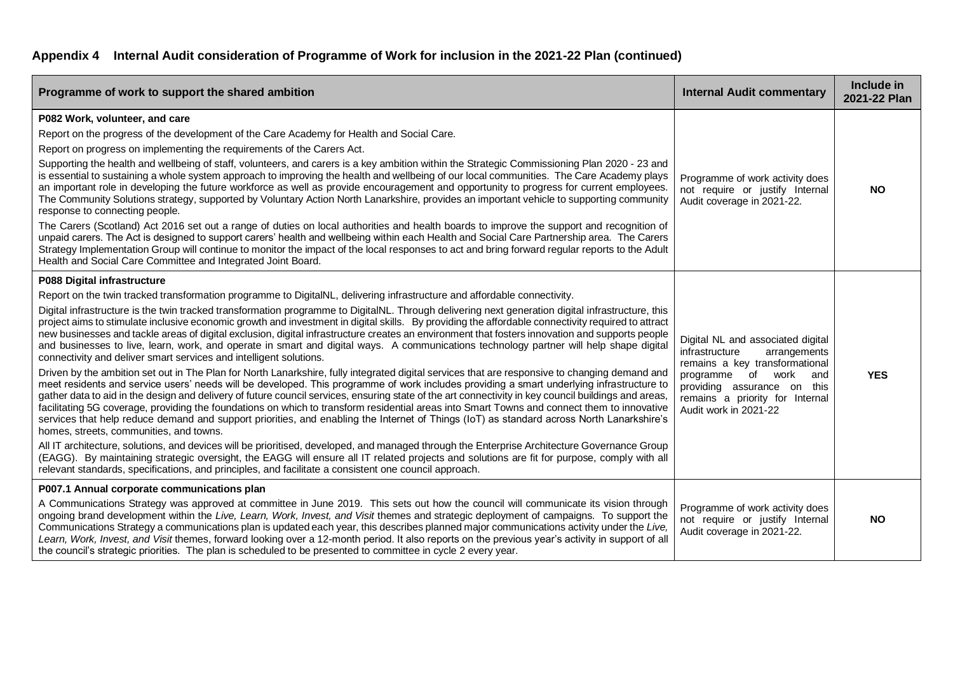| Programme of work to support the shared ambition                                                                                                                                                                                                                                                                                                                                                                                                                                                                                                                                                                                                                                                                                                                                                                                                                                                                                                                                                                                                                                                                                                                                                                                                                                                                                                                                                                                                                                                                                                                                                                                                                                                                                                                                                                                                                                                                                                                                                                                             | <b>Internal Audit commentary</b>                                                                                                                                                                                                | Include in<br>2021-22 Plan |
|----------------------------------------------------------------------------------------------------------------------------------------------------------------------------------------------------------------------------------------------------------------------------------------------------------------------------------------------------------------------------------------------------------------------------------------------------------------------------------------------------------------------------------------------------------------------------------------------------------------------------------------------------------------------------------------------------------------------------------------------------------------------------------------------------------------------------------------------------------------------------------------------------------------------------------------------------------------------------------------------------------------------------------------------------------------------------------------------------------------------------------------------------------------------------------------------------------------------------------------------------------------------------------------------------------------------------------------------------------------------------------------------------------------------------------------------------------------------------------------------------------------------------------------------------------------------------------------------------------------------------------------------------------------------------------------------------------------------------------------------------------------------------------------------------------------------------------------------------------------------------------------------------------------------------------------------------------------------------------------------------------------------------------------------|---------------------------------------------------------------------------------------------------------------------------------------------------------------------------------------------------------------------------------|----------------------------|
| P082 Work, volunteer, and care<br>Report on the progress of the development of the Care Academy for Health and Social Care.<br>Report on progress on implementing the requirements of the Carers Act.<br>Supporting the health and wellbeing of staff, volunteers, and carers is a key ambition within the Strategic Commissioning Plan 2020 - 23 and<br>is essential to sustaining a whole system approach to improving the health and wellbeing of our local communities. The Care Academy plays<br>an important role in developing the future workforce as well as provide encouragement and opportunity to progress for current employees.<br>The Community Solutions strategy, supported by Voluntary Action North Lanarkshire, provides an important vehicle to supporting community<br>response to connecting people.<br>The Carers (Scotland) Act 2016 set out a range of duties on local authorities and health boards to improve the support and recognition of<br>unpaid carers. The Act is designed to support carers' health and wellbeing within each Health and Social Care Partnership area. The Carers<br>Strategy Implementation Group will continue to monitor the impact of the local responses to act and bring forward regular reports to the Adult<br>Health and Social Care Committee and Integrated Joint Board.                                                                                                                                                                                                                                                                                                                                                                                                                                                                                                                                                                                                                                                                                                    | Programme of work activity does<br>not require or justify Internal<br>Audit coverage in 2021-22.                                                                                                                                | <b>NO</b>                  |
| P088 Digital infrastructure<br>Report on the twin tracked transformation programme to DigitalNL, delivering infrastructure and affordable connectivity.<br>Digital infrastructure is the twin tracked transformation programme to DigitalNL. Through delivering next generation digital infrastructure, this<br>project aims to stimulate inclusive economic growth and investment in digital skills. By providing the affordable connectivity required to attract<br>new businesses and tackle areas of digital exclusion, digital infrastructure creates an environment that fosters innovation and supports people<br>and businesses to live, learn, work, and operate in smart and digital ways. A communications technology partner will help shape digital<br>connectivity and deliver smart services and intelligent solutions.<br>Driven by the ambition set out in The Plan for North Lanarkshire, fully integrated digital services that are responsive to changing demand and<br>meet residents and service users' needs will be developed. This programme of work includes providing a smart underlying infrastructure to<br>gather data to aid in the design and delivery of future council services, ensuring state of the art connectivity in key council buildings and areas,<br>facilitating 5G coverage, providing the foundations on which to transform residential areas into Smart Towns and connect them to innovative<br>services that help reduce demand and support priorities, and enabling the Internet of Things (IoT) as standard across North Lanarkshire's<br>homes, streets, communities, and towns.<br>All IT architecture, solutions, and devices will be prioritised, developed, and managed through the Enterprise Architecture Governance Group<br>(EAGG). By maintaining strategic oversight, the EAGG will ensure all IT related projects and solutions are fit for purpose, comply with all<br>relevant standards, specifications, and principles, and facilitate a consistent one council approach. | Digital NL and associated digital<br>infrastructure<br>arrangements<br>remains a key transformational<br>of work<br>programme<br>and<br>providing assurance on this<br>remains a priority for Internal<br>Audit work in 2021-22 | <b>YES</b>                 |
| P007.1 Annual corporate communications plan<br>A Communications Strategy was approved at committee in June 2019. This sets out how the council will communicate its vision through<br>ongoing brand development within the Live, Learn, Work, Invest, and Visit themes and strategic deployment of campaigns. To support the<br>Communications Strategy a communications plan is updated each year, this describes planned major communications activity under the Live,<br>Learn, Work, Invest, and Visit themes, forward looking over a 12-month period. It also reports on the previous year's activity in support of all<br>the council's strategic priorities. The plan is scheduled to be presented to committee in cycle 2 every year.                                                                                                                                                                                                                                                                                                                                                                                                                                                                                                                                                                                                                                                                                                                                                                                                                                                                                                                                                                                                                                                                                                                                                                                                                                                                                                | Programme of work activity does<br>not require or justify Internal<br>Audit coverage in 2021-22.                                                                                                                                | <b>NO</b>                  |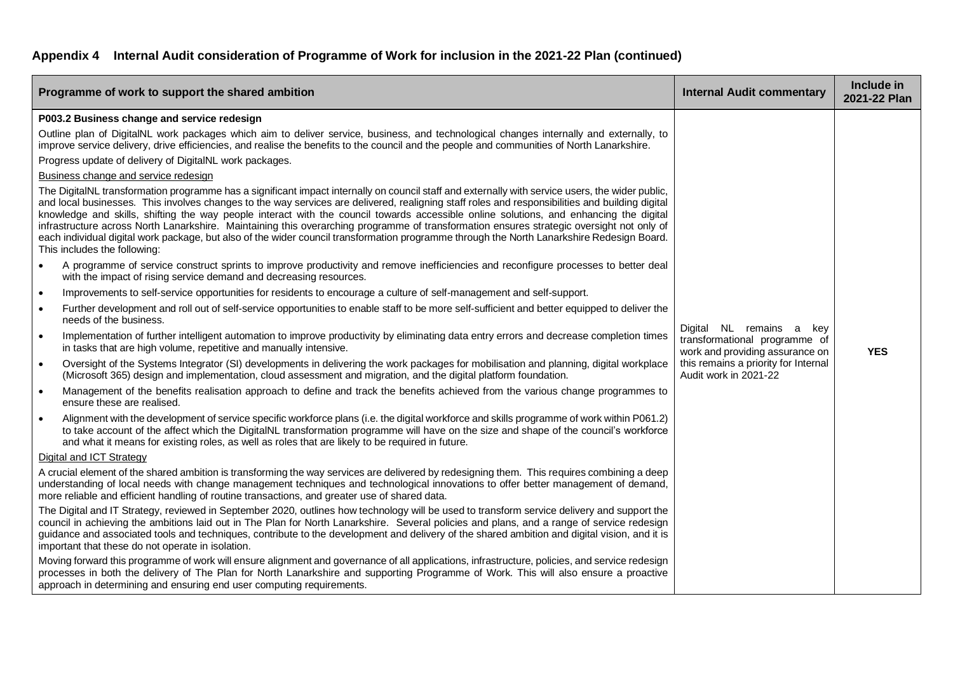| Programme of work to support the shared ambition                                                                                                                                                                                                                                                                                                                                                                                                                                                                                                                                                                                                                                                                                                                                                                                                                                                                                                                                                                                                                                                                                                                                                                                                                                                                                                                                                                                                                                                                                                                                   | <b>Internal Audit commentary</b>                                                                                                                                 | Include in<br>2021-22 Plan |
|------------------------------------------------------------------------------------------------------------------------------------------------------------------------------------------------------------------------------------------------------------------------------------------------------------------------------------------------------------------------------------------------------------------------------------------------------------------------------------------------------------------------------------------------------------------------------------------------------------------------------------------------------------------------------------------------------------------------------------------------------------------------------------------------------------------------------------------------------------------------------------------------------------------------------------------------------------------------------------------------------------------------------------------------------------------------------------------------------------------------------------------------------------------------------------------------------------------------------------------------------------------------------------------------------------------------------------------------------------------------------------------------------------------------------------------------------------------------------------------------------------------------------------------------------------------------------------|------------------------------------------------------------------------------------------------------------------------------------------------------------------|----------------------------|
| P003.2 Business change and service redesign<br>Outline plan of DigitalNL work packages which aim to deliver service, business, and technological changes internally and externally, to<br>improve service delivery, drive efficiencies, and realise the benefits to the council and the people and communities of North Lanarkshire.<br>Progress update of delivery of DigitalNL work packages.<br>Business change and service redesign<br>The DigitalNL transformation programme has a significant impact internally on council staff and externally with service users, the wider public,<br>and local businesses. This involves changes to the way services are delivered, realigning staff roles and responsibilities and building digital<br>knowledge and skills, shifting the way people interact with the council towards accessible online solutions, and enhancing the digital<br>infrastructure across North Lanarkshire. Maintaining this overarching programme of transformation ensures strategic oversight not only of<br>each individual digital work package, but also of the wider council transformation programme through the North Lanarkshire Redesign Board.<br>This includes the following:<br>A programme of service construct sprints to improve productivity and remove inefficiencies and reconfigure processes to better deal<br>$\bullet$<br>with the impact of rising service demand and decreasing resources.<br>Improvements to self-service opportunities for residents to encourage a culture of self-management and self-support.<br>$\bullet$ |                                                                                                                                                                  |                            |
| Further development and roll out of self-service opportunities to enable staff to be more self-sufficient and better equipped to deliver the<br>$\bullet$<br>needs of the business.<br>Implementation of further intelligent automation to improve productivity by eliminating data entry errors and decrease completion times<br>$\bullet$<br>in tasks that are high volume, repetitive and manually intensive.<br>Oversight of the Systems Integrator (SI) developments in delivering the work packages for mobilisation and planning, digital workplace<br>$\bullet$<br>(Microsoft 365) design and implementation, cloud assessment and migration, and the digital platform foundation.<br>Management of the benefits realisation approach to define and track the benefits achieved from the various change programmes to<br>$\bullet$<br>ensure these are realised.<br>Alignment with the development of service specific workforce plans (i.e. the digital workforce and skills programme of work within P061.2)<br>$\bullet$<br>to take account of the affect which the DigitalNL transformation programme will have on the size and shape of the council's workforce<br>and what it means for existing roles, as well as roles that are likely to be required in future.                                                                                                                                                                                                                                                                                                   | Digital NL remains a<br>key<br>transformational programme of<br>work and providing assurance on<br>this remains a priority for Internal<br>Audit work in 2021-22 | <b>YES</b>                 |
| Digital and ICT Strategy<br>A crucial element of the shared ambition is transforming the way services are delivered by redesigning them. This requires combining a deep<br>understanding of local needs with change management techniques and technological innovations to offer better management of demand,<br>more reliable and efficient handling of routine transactions, and greater use of shared data.<br>The Digital and IT Strategy, reviewed in September 2020, outlines how technology will be used to transform service delivery and support the<br>council in achieving the ambitions laid out in The Plan for North Lanarkshire. Several policies and plans, and a range of service redesign<br>guidance and associated tools and techniques, contribute to the development and delivery of the shared ambition and digital vision, and it is<br>important that these do not operate in isolation.<br>Moving forward this programme of work will ensure alignment and governance of all applications, infrastructure, policies, and service redesign<br>processes in both the delivery of The Plan for North Lanarkshire and supporting Programme of Work. This will also ensure a proactive<br>approach in determining and ensuring end user computing requirements.                                                                                                                                                                                                                                                                                               |                                                                                                                                                                  |                            |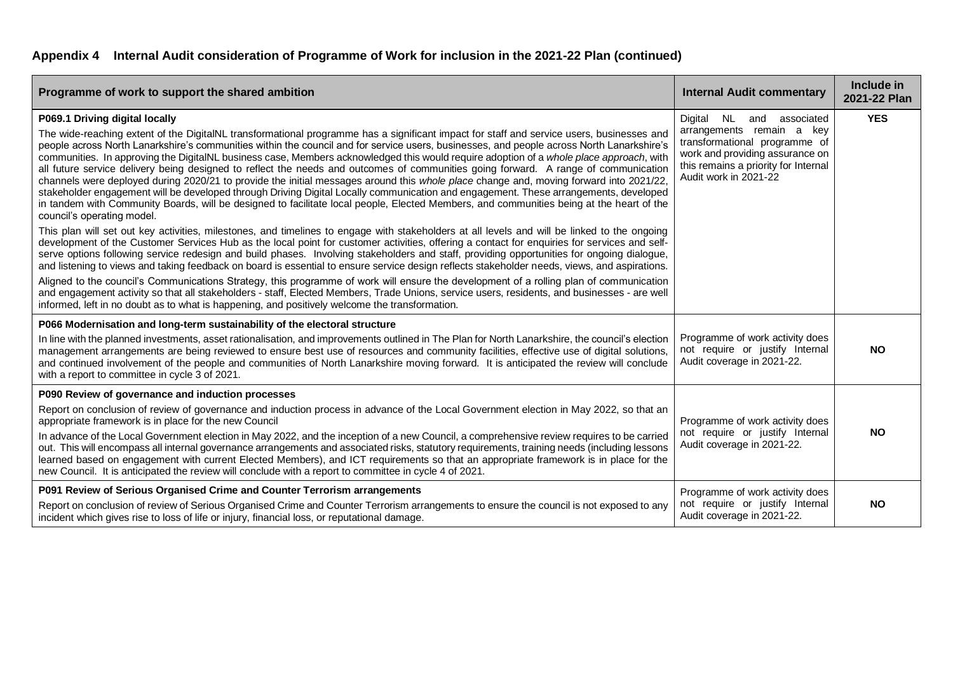| Programme of work to support the shared ambition                                                                                                                                                                                                                                                                                                                                                                                                                                                                                                                                                                                                                                                                                                                                                                                                                                                                                                                                                                                                                                                                                                                                                                                                                                                                                                                                                                                                                                                                                                                                                                                                                                                                                                                                                                                                                                                                                                                                                                                                                   | <b>Internal Audit commentary</b>                                                                                                                                                            | Include in<br>2021-22 Plan |
|--------------------------------------------------------------------------------------------------------------------------------------------------------------------------------------------------------------------------------------------------------------------------------------------------------------------------------------------------------------------------------------------------------------------------------------------------------------------------------------------------------------------------------------------------------------------------------------------------------------------------------------------------------------------------------------------------------------------------------------------------------------------------------------------------------------------------------------------------------------------------------------------------------------------------------------------------------------------------------------------------------------------------------------------------------------------------------------------------------------------------------------------------------------------------------------------------------------------------------------------------------------------------------------------------------------------------------------------------------------------------------------------------------------------------------------------------------------------------------------------------------------------------------------------------------------------------------------------------------------------------------------------------------------------------------------------------------------------------------------------------------------------------------------------------------------------------------------------------------------------------------------------------------------------------------------------------------------------------------------------------------------------------------------------------------------------|---------------------------------------------------------------------------------------------------------------------------------------------------------------------------------------------|----------------------------|
| P069.1 Driving digital locally<br>The wide-reaching extent of the DigitalNL transformational programme has a significant impact for staff and service users, businesses and<br>people across North Lanarkshire's communities within the council and for service users, businesses, and people across North Lanarkshire's<br>communities. In approving the DigitalNL business case, Members acknowledged this would require adoption of a whole place approach, with<br>all future service delivery being designed to reflect the needs and outcomes of communities going forward. A range of communication<br>channels were deployed during 2020/21 to provide the initial messages around this whole place change and, moving forward into 2021/22,<br>stakeholder engagement will be developed through Driving Digital Locally communication and engagement. These arrangements, developed<br>in tandem with Community Boards, will be designed to facilitate local people, Elected Members, and communities being at the heart of the<br>council's operating model.<br>This plan will set out key activities, milestones, and timelines to engage with stakeholders at all levels and will be linked to the ongoing<br>development of the Customer Services Hub as the local point for customer activities, offering a contact for enquiries for services and self-<br>serve options following service redesign and build phases. Involving stakeholders and staff, providing opportunities for ongoing dialogue,<br>and listening to views and taking feedback on board is essential to ensure service design reflects stakeholder needs, views, and aspirations.<br>Aligned to the council's Communications Strategy, this programme of work will ensure the development of a rolling plan of communication<br>and engagement activity so that all stakeholders - staff, Elected Members, Trade Unions, service users, residents, and businesses - are well<br>informed, left in no doubt as to what is happening, and positively welcome the transformation. | Digital NL and associated<br>arrangements remain a key<br>transformational programme of<br>work and providing assurance on<br>this remains a priority for Internal<br>Audit work in 2021-22 | <b>YES</b>                 |
| P066 Modernisation and long-term sustainability of the electoral structure<br>In line with the planned investments, asset rationalisation, and improvements outlined in The Plan for North Lanarkshire, the council's election<br>management arrangements are being reviewed to ensure best use of resources and community facilities, effective use of digital solutions,<br>and continued involvement of the people and communities of North Lanarkshire moving forward. It is anticipated the review will conclude<br>with a report to committee in cycle 3 of 2021.                                                                                                                                                                                                                                                                                                                                                                                                                                                                                                                                                                                                                                                                                                                                                                                                                                                                                                                                                                                                                                                                                                                                                                                                                                                                                                                                                                                                                                                                                            | Programme of work activity does<br>not require or justify Internal<br>Audit coverage in 2021-22.                                                                                            | <b>NO</b>                  |
| P090 Review of governance and induction processes<br>Report on conclusion of review of governance and induction process in advance of the Local Government election in May 2022, so that an<br>appropriate framework is in place for the new Council<br>In advance of the Local Government election in May 2022, and the inception of a new Council, a comprehensive review requires to be carried<br>out. This will encompass all internal governance arrangements and associated risks, statutory requirements, training needs (including lessons<br>learned based on engagement with current Elected Members), and ICT requirements so that an appropriate framework is in place for the<br>new Council. It is anticipated the review will conclude with a report to committee in cycle 4 of 2021.                                                                                                                                                                                                                                                                                                                                                                                                                                                                                                                                                                                                                                                                                                                                                                                                                                                                                                                                                                                                                                                                                                                                                                                                                                                              | Programme of work activity does<br>not require or justify Internal<br>Audit coverage in 2021-22.                                                                                            | <b>NO</b>                  |
| P091 Review of Serious Organised Crime and Counter Terrorism arrangements<br>Report on conclusion of review of Serious Organised Crime and Counter Terrorism arrangements to ensure the council is not exposed to any<br>incident which gives rise to loss of life or injury, financial loss, or reputational damage.                                                                                                                                                                                                                                                                                                                                                                                                                                                                                                                                                                                                                                                                                                                                                                                                                                                                                                                                                                                                                                                                                                                                                                                                                                                                                                                                                                                                                                                                                                                                                                                                                                                                                                                                              | Programme of work activity does<br>not require or justify Internal<br>Audit coverage in 2021-22.                                                                                            | <b>NO</b>                  |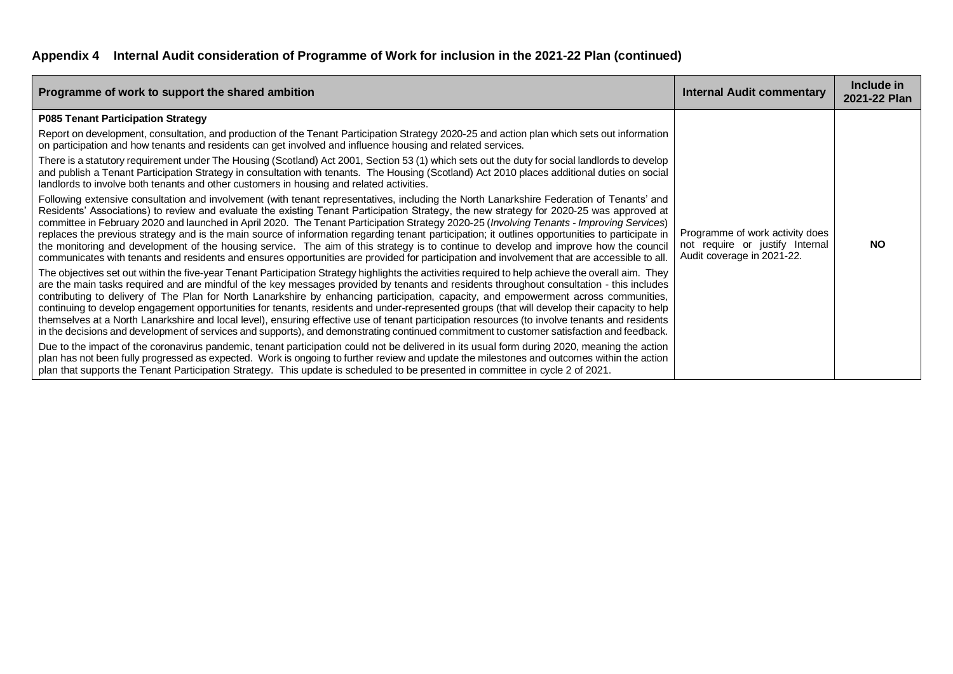| Programme of work to support the shared ambition                                                                                                                                                                                                                                                                                                                                                                                                                                                                                                                                                                                                                                                                                                                                                                                                                                       | <b>Internal Audit commentary</b>                                                                 | Include in<br>2021-22 Plan |
|----------------------------------------------------------------------------------------------------------------------------------------------------------------------------------------------------------------------------------------------------------------------------------------------------------------------------------------------------------------------------------------------------------------------------------------------------------------------------------------------------------------------------------------------------------------------------------------------------------------------------------------------------------------------------------------------------------------------------------------------------------------------------------------------------------------------------------------------------------------------------------------|--------------------------------------------------------------------------------------------------|----------------------------|
| <b>P085 Tenant Participation Strategy</b>                                                                                                                                                                                                                                                                                                                                                                                                                                                                                                                                                                                                                                                                                                                                                                                                                                              |                                                                                                  |                            |
| Report on development, consultation, and production of the Tenant Participation Strategy 2020-25 and action plan which sets out information<br>on participation and how tenants and residents can get involved and influence housing and related services.                                                                                                                                                                                                                                                                                                                                                                                                                                                                                                                                                                                                                             |                                                                                                  |                            |
| There is a statutory requirement under The Housing (Scotland) Act 2001, Section 53 (1) which sets out the duty for social landlords to develop<br>and publish a Tenant Participation Strategy in consultation with tenants. The Housing (Scotland) Act 2010 places additional duties on social<br>landlords to involve both tenants and other customers in housing and related activities.                                                                                                                                                                                                                                                                                                                                                                                                                                                                                             |                                                                                                  |                            |
| Following extensive consultation and involvement (with tenant representatives, including the North Lanarkshire Federation of Tenants' and<br>Residents' Associations) to review and evaluate the existing Tenant Participation Strategy, the new strategy for 2020-25 was approved at<br>committee in February 2020 and launched in April 2020. The Tenant Participation Strategy 2020-25 (Involving Tenants - Improving Services)<br>replaces the previous strategy and is the main source of information regarding tenant participation; it outlines opportunities to participate in<br>the monitoring and development of the housing service. The aim of this strategy is to continue to develop and improve how the council<br>communicates with tenants and residents and ensures opportunities are provided for participation and involvement that are accessible to all.        | Programme of work activity does<br>not require or justify Internal<br>Audit coverage in 2021-22. | <b>NO</b>                  |
| The objectives set out within the five-year Tenant Participation Strategy highlights the activities required to help achieve the overall aim. They<br>are the main tasks required and are mindful of the key messages provided by tenants and residents throughout consultation - this includes<br>contributing to delivery of The Plan for North Lanarkshire by enhancing participation, capacity, and empowerment across communities,<br>continuing to develop engagement opportunities for tenants, residents and under-represented groups (that will develop their capacity to help<br>themselves at a North Lanarkshire and local level), ensuring effective use of tenant participation resources (to involve tenants and residents<br>in the decisions and development of services and supports), and demonstrating continued commitment to customer satisfaction and feedback. |                                                                                                  |                            |
| Due to the impact of the coronavirus pandemic, tenant participation could not be delivered in its usual form during 2020, meaning the action<br>plan has not been fully progressed as expected. Work is ongoing to further review and update the milestones and outcomes within the action<br>plan that supports the Tenant Participation Strategy. This update is scheduled to be presented in committee in cycle 2 of 2021.                                                                                                                                                                                                                                                                                                                                                                                                                                                          |                                                                                                  |                            |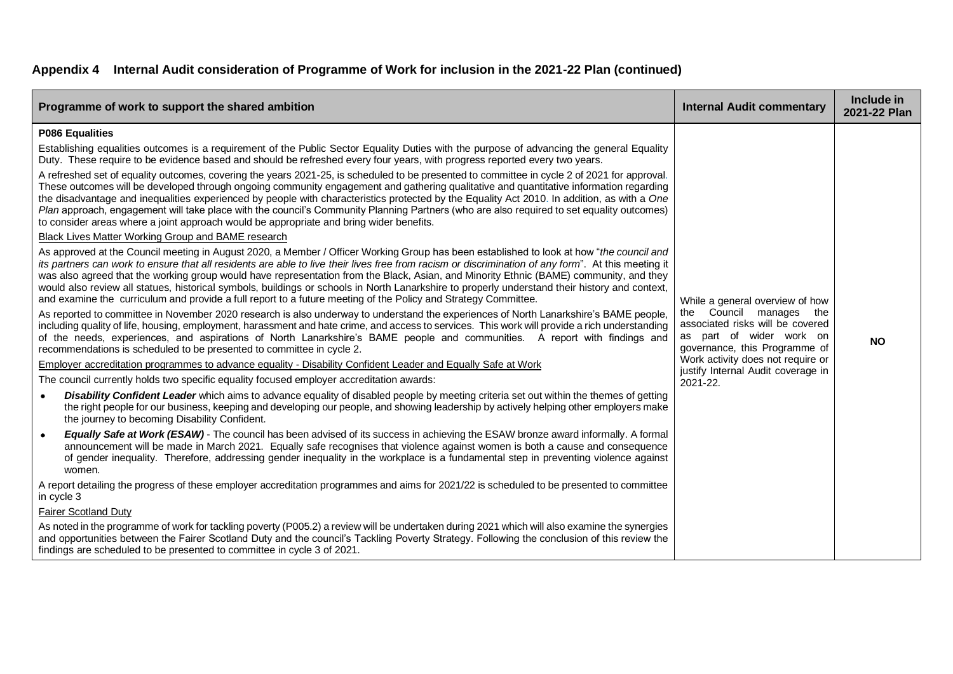| Programme of work to support the shared ambition                                                                                                                                                                                                                                                                                                                                                                                                                                                                                                                                                                                                                                                              | <b>Internal Audit commentary</b>                                                                                                                            | Include in<br>2021-22 Plan |
|---------------------------------------------------------------------------------------------------------------------------------------------------------------------------------------------------------------------------------------------------------------------------------------------------------------------------------------------------------------------------------------------------------------------------------------------------------------------------------------------------------------------------------------------------------------------------------------------------------------------------------------------------------------------------------------------------------------|-------------------------------------------------------------------------------------------------------------------------------------------------------------|----------------------------|
| P086 Equalities                                                                                                                                                                                                                                                                                                                                                                                                                                                                                                                                                                                                                                                                                               |                                                                                                                                                             |                            |
| Establishing equalities outcomes is a requirement of the Public Sector Equality Duties with the purpose of advancing the general Equality<br>Duty. These require to be evidence based and should be refreshed every four years, with progress reported every two years.                                                                                                                                                                                                                                                                                                                                                                                                                                       |                                                                                                                                                             |                            |
| A refreshed set of equality outcomes, covering the years 2021-25, is scheduled to be presented to committee in cycle 2 of 2021 for approval.<br>These outcomes will be developed through ongoing community engagement and gathering qualitative and quantitative information regarding<br>the disadvantage and inequalities experienced by people with characteristics protected by the Equality Act 2010. In addition, as with a One<br>Plan approach, engagement will take place with the council's Community Planning Partners (who are also required to set equality outcomes)<br>to consider areas where a joint approach would be appropriate and bring wider benefits.                                 |                                                                                                                                                             |                            |
| Black Lives Matter Working Group and BAME research                                                                                                                                                                                                                                                                                                                                                                                                                                                                                                                                                                                                                                                            |                                                                                                                                                             |                            |
| As approved at the Council meeting in August 2020, a Member / Officer Working Group has been established to look at how "the council and<br>its partners can work to ensure that all residents are able to live their lives free from racism or discrimination of any form". At this meeting it<br>was also agreed that the working group would have representation from the Black, Asian, and Minority Ethnic (BAME) community, and they<br>would also review all statues, historical symbols, buildings or schools in North Lanarkshire to properly understand their history and context,<br>and examine the curriculum and provide a full report to a future meeting of the Policy and Strategy Committee. | While a general overview of how<br>the Council manages the<br>associated risks will be covered<br>as part of wider work on<br>governance, this Programme of |                            |
| As reported to committee in November 2020 research is also underway to understand the experiences of North Lanarkshire's BAME people,<br>including quality of life, housing, employment, harassment and hate crime, and access to services. This work will provide a rich understanding<br>of the needs, experiences, and aspirations of North Lanarkshire's BAME people and communities. A report with findings and<br>recommendations is scheduled to be presented to committee in cycle 2.                                                                                                                                                                                                                 |                                                                                                                                                             | <b>NO</b>                  |
| Employer accreditation programmes to advance equality - Disability Confident Leader and Equally Safe at Work                                                                                                                                                                                                                                                                                                                                                                                                                                                                                                                                                                                                  | Work activity does not require or<br>justify Internal Audit coverage in                                                                                     |                            |
| The council currently holds two specific equality focused employer accreditation awards:                                                                                                                                                                                                                                                                                                                                                                                                                                                                                                                                                                                                                      | 2021-22.                                                                                                                                                    |                            |
| Disability Confident Leader which aims to advance equality of disabled people by meeting criteria set out within the themes of getting<br>the right people for our business, keeping and developing our people, and showing leadership by actively helping other employers make<br>the journey to becoming Disability Confident.                                                                                                                                                                                                                                                                                                                                                                              |                                                                                                                                                             |                            |
| Equally Safe at Work (ESAW) - The council has been advised of its success in achieving the ESAW bronze award informally. A formal<br>announcement will be made in March 2021. Equally safe recognises that violence against women is both a cause and consequence<br>of gender inequality. Therefore, addressing gender inequality in the workplace is a fundamental step in preventing violence against<br>women.                                                                                                                                                                                                                                                                                            |                                                                                                                                                             |                            |
| A report detailing the progress of these employer accreditation programmes and aims for 2021/22 is scheduled to be presented to committee<br>in cycle 3                                                                                                                                                                                                                                                                                                                                                                                                                                                                                                                                                       |                                                                                                                                                             |                            |
| <b>Fairer Scotland Duty</b>                                                                                                                                                                                                                                                                                                                                                                                                                                                                                                                                                                                                                                                                                   |                                                                                                                                                             |                            |
| As noted in the programme of work for tackling poverty (P005.2) a review will be undertaken during 2021 which will also examine the synergies<br>and opportunities between the Fairer Scotland Duty and the council's Tackling Poverty Strategy. Following the conclusion of this review the<br>findings are scheduled to be presented to committee in cycle 3 of 2021.                                                                                                                                                                                                                                                                                                                                       |                                                                                                                                                             |                            |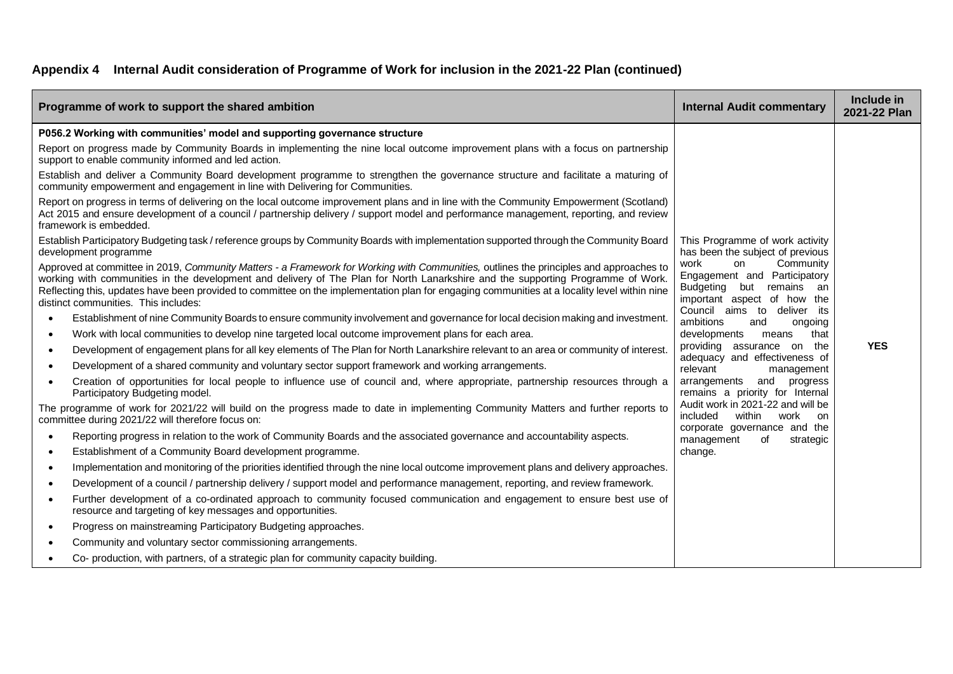|           | Programme of work to support the shared ambition                                                                                                                                                                                                                                                                                                                                                                                                                   | <b>Internal Audit commentary</b>                                                                                         | Include in<br>2021-22 Plan |
|-----------|--------------------------------------------------------------------------------------------------------------------------------------------------------------------------------------------------------------------------------------------------------------------------------------------------------------------------------------------------------------------------------------------------------------------------------------------------------------------|--------------------------------------------------------------------------------------------------------------------------|----------------------------|
|           | P056.2 Working with communities' model and supporting governance structure                                                                                                                                                                                                                                                                                                                                                                                         |                                                                                                                          |                            |
|           | Report on progress made by Community Boards in implementing the nine local outcome improvement plans with a focus on partnership<br>support to enable community informed and led action.                                                                                                                                                                                                                                                                           |                                                                                                                          |                            |
|           | Establish and deliver a Community Board development programme to strengthen the governance structure and facilitate a maturing of<br>community empowerment and engagement in line with Delivering for Communities.                                                                                                                                                                                                                                                 |                                                                                                                          |                            |
|           | Report on progress in terms of delivering on the local outcome improvement plans and in line with the Community Empowerment (Scotland)<br>Act 2015 and ensure development of a council / partnership delivery / support model and performance management, reporting, and review<br>framework is embedded.                                                                                                                                                          |                                                                                                                          |                            |
|           | Establish Participatory Budgeting task / reference groups by Community Boards with implementation supported through the Community Board<br>development programme                                                                                                                                                                                                                                                                                                   | This Programme of work activity<br>has been the subject of previous                                                      |                            |
|           | Approved at committee in 2019, Community Matters - a Framework for Working with Communities, outlines the principles and approaches to<br>working with communities in the development and delivery of The Plan for North Lanarkshire and the supporting Programme of Work.<br>Reflecting this, updates have been provided to committee on the implementation plan for engaging communities at a locality level within nine<br>distinct communities. This includes: | Community<br>work<br>on<br>Engagement and Participatory<br>Budgeting<br>remains an<br>but<br>important aspect of how the |                            |
| $\bullet$ | Establishment of nine Community Boards to ensure community involvement and governance for local decision making and investment.                                                                                                                                                                                                                                                                                                                                    | Council aims to<br>deliver its<br>ambitions<br>and<br>ongoing                                                            |                            |
| $\bullet$ | Work with local communities to develop nine targeted local outcome improvement plans for each area.                                                                                                                                                                                                                                                                                                                                                                | developments<br>that<br>means                                                                                            |                            |
| $\bullet$ | Development of engagement plans for all key elements of The Plan for North Lanarkshire relevant to an area or community of interest.                                                                                                                                                                                                                                                                                                                               | providing assurance on the                                                                                               | <b>YES</b>                 |
| $\bullet$ | Development of a shared community and voluntary sector support framework and working arrangements.                                                                                                                                                                                                                                                                                                                                                                 | adequacy and effectiveness of<br>relevant<br>management                                                                  |                            |
| $\bullet$ | Creation of opportunities for local people to influence use of council and, where appropriate, partnership resources through a<br>Participatory Budgeting model.                                                                                                                                                                                                                                                                                                   | and<br>progress<br>arrangements<br>remains a priority for Internal                                                       |                            |
|           | The programme of work for 2021/22 will build on the progress made to date in implementing Community Matters and further reports to<br>committee during 2021/22 will therefore focus on:                                                                                                                                                                                                                                                                            | Audit work in 2021-22 and will be<br>included<br>within<br>work on                                                       |                            |
| $\bullet$ | Reporting progress in relation to the work of Community Boards and the associated governance and accountability aspects.                                                                                                                                                                                                                                                                                                                                           | corporate governance and the<br>management<br>strategic<br>of                                                            |                            |
| $\bullet$ | Establishment of a Community Board development programme.                                                                                                                                                                                                                                                                                                                                                                                                          | change.                                                                                                                  |                            |
| $\bullet$ | Implementation and monitoring of the priorities identified through the nine local outcome improvement plans and delivery approaches.                                                                                                                                                                                                                                                                                                                               |                                                                                                                          |                            |
| $\bullet$ | Development of a council / partnership delivery / support model and performance management, reporting, and review framework.                                                                                                                                                                                                                                                                                                                                       |                                                                                                                          |                            |
| $\bullet$ | Further development of a co-ordinated approach to community focused communication and engagement to ensure best use of<br>resource and targeting of key messages and opportunities.                                                                                                                                                                                                                                                                                |                                                                                                                          |                            |
| $\bullet$ | Progress on mainstreaming Participatory Budgeting approaches.                                                                                                                                                                                                                                                                                                                                                                                                      |                                                                                                                          |                            |
|           | Community and voluntary sector commissioning arrangements.                                                                                                                                                                                                                                                                                                                                                                                                         |                                                                                                                          |                            |
|           | Co- production, with partners, of a strategic plan for community capacity building.                                                                                                                                                                                                                                                                                                                                                                                |                                                                                                                          |                            |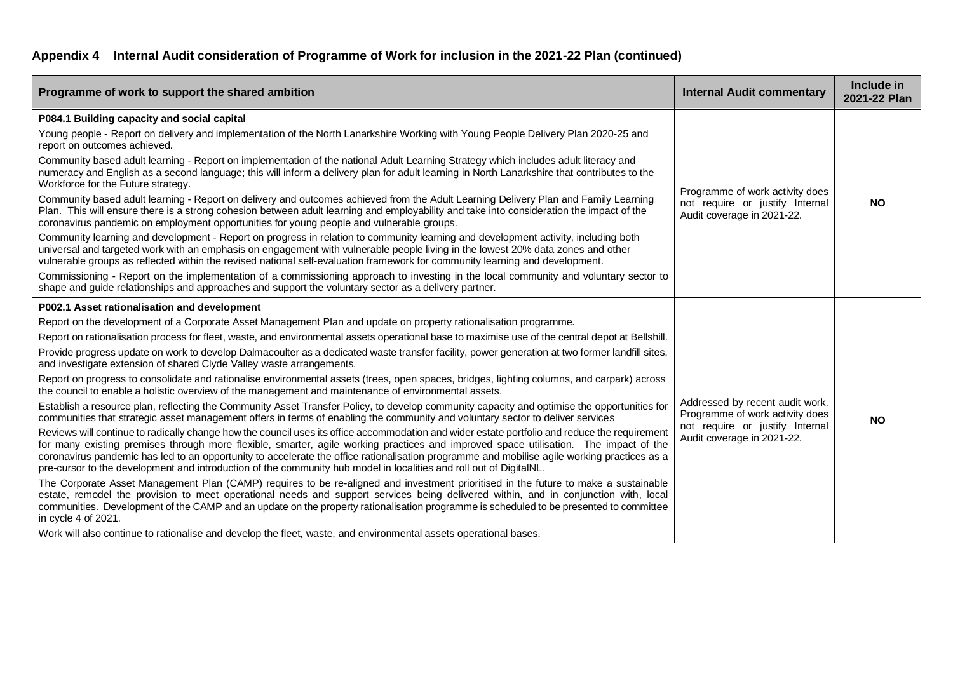| Programme of work to support the shared ambition                                                                                                                                                                                                                                                                                                                                                                                                                                                                                                                                                                                                                                                                                                                                                                                                                                                                                                                                                                                                                                                                                                                                                                                                                                                                                                                                                                                                                             | <b>Internal Audit commentary</b>                                                                                                    | Include in<br>2021-22 Plan |
|------------------------------------------------------------------------------------------------------------------------------------------------------------------------------------------------------------------------------------------------------------------------------------------------------------------------------------------------------------------------------------------------------------------------------------------------------------------------------------------------------------------------------------------------------------------------------------------------------------------------------------------------------------------------------------------------------------------------------------------------------------------------------------------------------------------------------------------------------------------------------------------------------------------------------------------------------------------------------------------------------------------------------------------------------------------------------------------------------------------------------------------------------------------------------------------------------------------------------------------------------------------------------------------------------------------------------------------------------------------------------------------------------------------------------------------------------------------------------|-------------------------------------------------------------------------------------------------------------------------------------|----------------------------|
| P084.1 Building capacity and social capital<br>Young people - Report on delivery and implementation of the North Lanarkshire Working with Young People Delivery Plan 2020-25 and<br>report on outcomes achieved.<br>Community based adult learning - Report on implementation of the national Adult Learning Strategy which includes adult literacy and<br>numeracy and English as a second language; this will inform a delivery plan for adult learning in North Lanarkshire that contributes to the<br>Workforce for the Future strategy.<br>Community based adult learning - Report on delivery and outcomes achieved from the Adult Learning Delivery Plan and Family Learning<br>Plan. This will ensure there is a strong cohesion between adult learning and employability and take into consideration the impact of the<br>coronavirus pandemic on employment opportunities for young people and vulnerable groups.<br>Community learning and development - Report on progress in relation to community learning and development activity, including both<br>universal and targeted work with an emphasis on engagement with vulnerable people living in the lowest 20% data zones and other<br>vulnerable groups as reflected within the revised national self-evaluation framework for community learning and development.<br>Commissioning - Report on the implementation of a commissioning approach to investing in the local community and voluntary sector to | Programme of work activity does<br>not require or justify Internal<br>Audit coverage in 2021-22.                                    | <b>NO</b>                  |
| shape and guide relationships and approaches and support the voluntary sector as a delivery partner.<br>P002.1 Asset rationalisation and development                                                                                                                                                                                                                                                                                                                                                                                                                                                                                                                                                                                                                                                                                                                                                                                                                                                                                                                                                                                                                                                                                                                                                                                                                                                                                                                         |                                                                                                                                     |                            |
| Report on the development of a Corporate Asset Management Plan and update on property rationalisation programme.                                                                                                                                                                                                                                                                                                                                                                                                                                                                                                                                                                                                                                                                                                                                                                                                                                                                                                                                                                                                                                                                                                                                                                                                                                                                                                                                                             |                                                                                                                                     |                            |
| Report on rationalisation process for fleet, waste, and environmental assets operational base to maximise use of the central depot at Bellshill.                                                                                                                                                                                                                                                                                                                                                                                                                                                                                                                                                                                                                                                                                                                                                                                                                                                                                                                                                                                                                                                                                                                                                                                                                                                                                                                             |                                                                                                                                     |                            |
| Provide progress update on work to develop Dalmacoulter as a dedicated waste transfer facility, power generation at two former landfill sites,<br>and investigate extension of shared Clyde Valley waste arrangements.                                                                                                                                                                                                                                                                                                                                                                                                                                                                                                                                                                                                                                                                                                                                                                                                                                                                                                                                                                                                                                                                                                                                                                                                                                                       |                                                                                                                                     | <b>NO</b>                  |
| Report on progress to consolidate and rationalise environmental assets (trees, open spaces, bridges, lighting columns, and carpark) across<br>the council to enable a holistic overview of the management and maintenance of environmental assets.                                                                                                                                                                                                                                                                                                                                                                                                                                                                                                                                                                                                                                                                                                                                                                                                                                                                                                                                                                                                                                                                                                                                                                                                                           | Addressed by recent audit work.<br>Programme of work activity does<br>not require or justify Internal<br>Audit coverage in 2021-22. |                            |
| Establish a resource plan, reflecting the Community Asset Transfer Policy, to develop community capacity and optimise the opportunities for<br>communities that strategic asset management offers in terms of enabling the community and voluntary sector to deliver services                                                                                                                                                                                                                                                                                                                                                                                                                                                                                                                                                                                                                                                                                                                                                                                                                                                                                                                                                                                                                                                                                                                                                                                                |                                                                                                                                     |                            |
| Reviews will continue to radically change how the council uses its office accommodation and wider estate portfolio and reduce the requirement<br>for many existing premises through more flexible, smarter, agile working practices and improved space utilisation. The impact of the<br>coronavirus pandemic has led to an opportunity to accelerate the office rationalisation programme and mobilise agile working practices as a<br>pre-cursor to the development and introduction of the community hub model in localities and roll out of DigitalNL.                                                                                                                                                                                                                                                                                                                                                                                                                                                                                                                                                                                                                                                                                                                                                                                                                                                                                                                   |                                                                                                                                     |                            |
| The Corporate Asset Management Plan (CAMP) requires to be re-aligned and investment prioritised in the future to make a sustainable<br>estate, remodel the provision to meet operational needs and support services being delivered within, and in conjunction with, local<br>communities. Development of the CAMP and an update on the property rationalisation programme is scheduled to be presented to committee<br>in cycle 4 of 2021.                                                                                                                                                                                                                                                                                                                                                                                                                                                                                                                                                                                                                                                                                                                                                                                                                                                                                                                                                                                                                                  |                                                                                                                                     |                            |
| Work will also continue to rationalise and develop the fleet, waste, and environmental assets operational bases.                                                                                                                                                                                                                                                                                                                                                                                                                                                                                                                                                                                                                                                                                                                                                                                                                                                                                                                                                                                                                                                                                                                                                                                                                                                                                                                                                             |                                                                                                                                     |                            |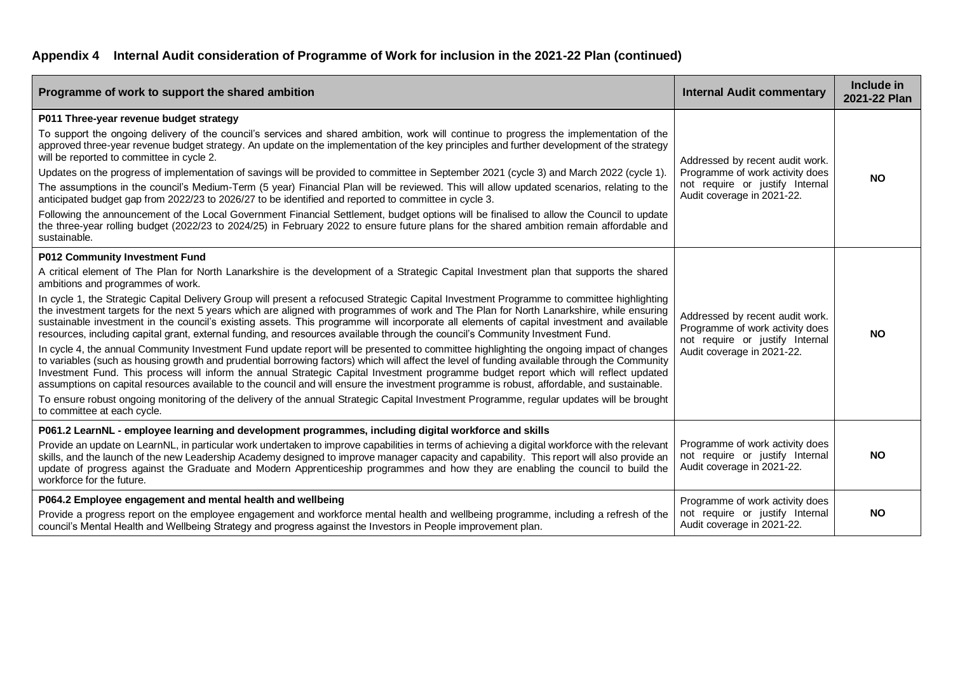| Programme of work to support the shared ambition                                                                                                                                                                                                                                                                                                                                                                                                                                                                                                                                                                                                                                                                                                                                                                                                                                                                                                                                                                                                                                                                                                                                                                                                                                                                                                                                                                                                                                                                                                       | <b>Internal Audit commentary</b>                                                                                                    | Include in<br>2021-22 Plan |
|--------------------------------------------------------------------------------------------------------------------------------------------------------------------------------------------------------------------------------------------------------------------------------------------------------------------------------------------------------------------------------------------------------------------------------------------------------------------------------------------------------------------------------------------------------------------------------------------------------------------------------------------------------------------------------------------------------------------------------------------------------------------------------------------------------------------------------------------------------------------------------------------------------------------------------------------------------------------------------------------------------------------------------------------------------------------------------------------------------------------------------------------------------------------------------------------------------------------------------------------------------------------------------------------------------------------------------------------------------------------------------------------------------------------------------------------------------------------------------------------------------------------------------------------------------|-------------------------------------------------------------------------------------------------------------------------------------|----------------------------|
| P011 Three-year revenue budget strategy<br>To support the ongoing delivery of the council's services and shared ambition, work will continue to progress the implementation of the<br>approved three-year revenue budget strategy. An update on the implementation of the key principles and further development of the strategy<br>will be reported to committee in cycle 2.<br>Updates on the progress of implementation of savings will be provided to committee in September 2021 (cycle 3) and March 2022 (cycle 1).<br>The assumptions in the council's Medium-Term (5 year) Financial Plan will be reviewed. This will allow updated scenarios, relating to the<br>anticipated budget gap from 2022/23 to 2026/27 to be identified and reported to committee in cycle 3.<br>Following the announcement of the Local Government Financial Settlement, budget options will be finalised to allow the Council to update<br>the three-year rolling budget (2022/23 to 2024/25) in February 2022 to ensure future plans for the shared ambition remain affordable and<br>sustainable.                                                                                                                                                                                                                                                                                                                                                                                                                                                                | Addressed by recent audit work.<br>Programme of work activity does<br>not require or justify Internal<br>Audit coverage in 2021-22. | <b>NO</b>                  |
| P012 Community Investment Fund<br>A critical element of The Plan for North Lanarkshire is the development of a Strategic Capital Investment plan that supports the shared<br>ambitions and programmes of work.<br>In cycle 1, the Strategic Capital Delivery Group will present a refocused Strategic Capital Investment Programme to committee highlighting<br>the investment targets for the next 5 years which are aligned with programmes of work and The Plan for North Lanarkshire, while ensuring<br>sustainable investment in the council's existing assets. This programme will incorporate all elements of capital investment and available<br>resources, including capital grant, external funding, and resources available through the council's Community Investment Fund.<br>In cycle 4, the annual Community Investment Fund update report will be presented to committee highlighting the ongoing impact of changes<br>to variables (such as housing growth and prudential borrowing factors) which will affect the level of funding available through the Community<br>Investment Fund. This process will inform the annual Strategic Capital Investment programme budget report which will reflect updated<br>assumptions on capital resources available to the council and will ensure the investment programme is robust, affordable, and sustainable.<br>To ensure robust ongoing monitoring of the delivery of the annual Strategic Capital Investment Programme, regular updates will be brought<br>to committee at each cycle. | Addressed by recent audit work.<br>Programme of work activity does<br>not require or justify Internal<br>Audit coverage in 2021-22. | <b>NO</b>                  |
| P061.2 LearnNL - employee learning and development programmes, including digital workforce and skills<br>Provide an update on LearnNL, in particular work undertaken to improve capabilities in terms of achieving a digital workforce with the relevant<br>skills, and the launch of the new Leadership Academy designed to improve manager capacity and capability. This report will also provide an<br>update of progress against the Graduate and Modern Apprenticeship programmes and how they are enabling the council to build the<br>workforce for the future.                                                                                                                                                                                                                                                                                                                                                                                                                                                                                                                                                                                                                                                                                                                                                                                                                                                                                                                                                                                 | Programme of work activity does<br>not require or justify Internal<br>Audit coverage in 2021-22.                                    | <b>NO</b>                  |
| P064.2 Employee engagement and mental health and wellbeing<br>Provide a progress report on the employee engagement and workforce mental health and wellbeing programme, including a refresh of the<br>council's Mental Health and Wellbeing Strategy and progress against the Investors in People improvement plan.                                                                                                                                                                                                                                                                                                                                                                                                                                                                                                                                                                                                                                                                                                                                                                                                                                                                                                                                                                                                                                                                                                                                                                                                                                    | Programme of work activity does<br>not require or justify Internal<br>Audit coverage in 2021-22.                                    | <b>NO</b>                  |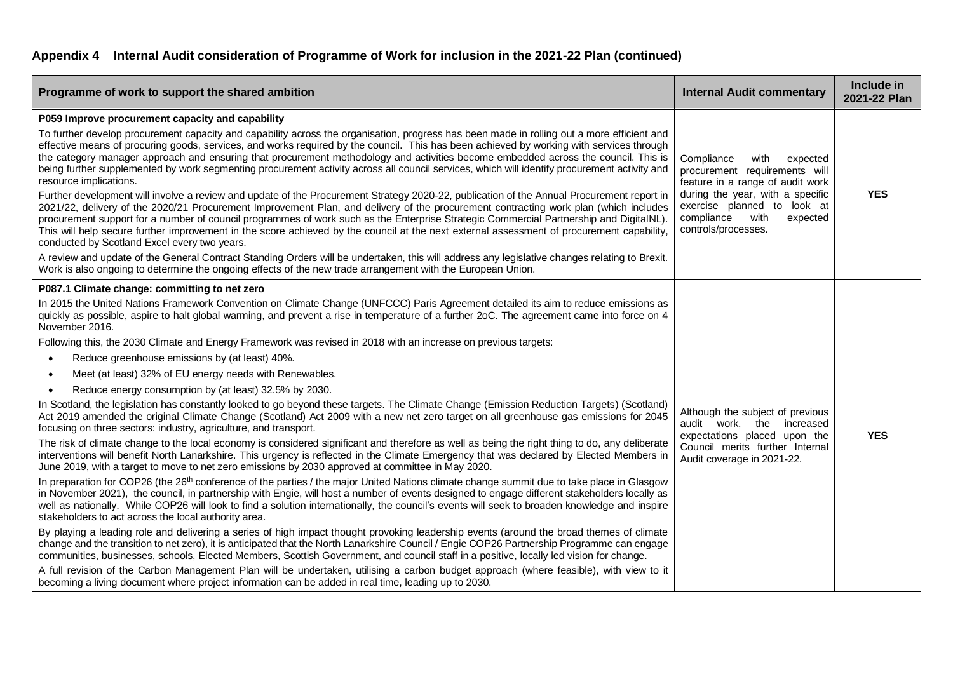| Programme of work to support the shared ambition                                                                                                                                                                                                                                                                                                                                                                                                                                                                                                                                                                                                                                                                                                                                                                                                                                                                                                                                                                                                                                                                                                                                                                                                                                                                                                                                                                                                                                                                                                                                                                                                                                                                                                                                                                                                                                                                                                                                                                                                                                                                                                                                                                                                                                                                                                                                                                                                                                                                                                                                                                                                           | <b>Internal Audit commentary</b>                                                                                                                                                                                                | Include in<br>2021-22 Plan |
|------------------------------------------------------------------------------------------------------------------------------------------------------------------------------------------------------------------------------------------------------------------------------------------------------------------------------------------------------------------------------------------------------------------------------------------------------------------------------------------------------------------------------------------------------------------------------------------------------------------------------------------------------------------------------------------------------------------------------------------------------------------------------------------------------------------------------------------------------------------------------------------------------------------------------------------------------------------------------------------------------------------------------------------------------------------------------------------------------------------------------------------------------------------------------------------------------------------------------------------------------------------------------------------------------------------------------------------------------------------------------------------------------------------------------------------------------------------------------------------------------------------------------------------------------------------------------------------------------------------------------------------------------------------------------------------------------------------------------------------------------------------------------------------------------------------------------------------------------------------------------------------------------------------------------------------------------------------------------------------------------------------------------------------------------------------------------------------------------------------------------------------------------------------------------------------------------------------------------------------------------------------------------------------------------------------------------------------------------------------------------------------------------------------------------------------------------------------------------------------------------------------------------------------------------------------------------------------------------------------------------------------------------------|---------------------------------------------------------------------------------------------------------------------------------------------------------------------------------------------------------------------------------|----------------------------|
| P059 Improve procurement capacity and capability<br>To further develop procurement capacity and capability across the organisation, progress has been made in rolling out a more efficient and<br>effective means of procuring goods, services, and works required by the council. This has been achieved by working with services through<br>the category manager approach and ensuring that procurement methodology and activities become embedded across the council. This is<br>being further supplemented by work segmenting procurement activity across all council services, which will identify procurement activity and<br>resource implications.<br>Further development will involve a review and update of the Procurement Strategy 2020-22, publication of the Annual Procurement report in<br>2021/22, delivery of the 2020/21 Procurement Improvement Plan, and delivery of the procurement contracting work plan (which includes<br>procurement support for a number of council programmes of work such as the Enterprise Strategic Commercial Partnership and DigitalNL).<br>This will help secure further improvement in the score achieved by the council at the next external assessment of procurement capability,<br>conducted by Scotland Excel every two years.<br>A review and update of the General Contract Standing Orders will be undertaken, this will address any legislative changes relating to Brexit.<br>Work is also ongoing to determine the ongoing effects of the new trade arrangement with the European Union.                                                                                                                                                                                                                                                                                                                                                                                                                                                                                                                                                                                                                                                                                                                                                                                                                                                                                                                                                                                                                                                                                                     | Compliance<br>with<br>expected<br>procurement requirements will<br>feature in a range of audit work<br>during the year, with a specific<br>exercise planned to look at<br>compliance<br>with<br>expected<br>controls/processes. | <b>YES</b>                 |
| P087.1 Climate change: committing to net zero<br>In 2015 the United Nations Framework Convention on Climate Change (UNFCCC) Paris Agreement detailed its aim to reduce emissions as<br>quickly as possible, aspire to halt global warming, and prevent a rise in temperature of a further 2oC. The agreement came into force on 4<br>November 2016.<br>Following this, the 2030 Climate and Energy Framework was revised in 2018 with an increase on previous targets:<br>Reduce greenhouse emissions by (at least) 40%.<br>$\bullet$<br>Meet (at least) 32% of EU energy needs with Renewables.<br>$\bullet$<br>Reduce energy consumption by (at least) 32.5% by 2030.<br>$\bullet$<br>In Scotland, the legislation has constantly looked to go beyond these targets. The Climate Change (Emission Reduction Targets) (Scotland)<br>Act 2019 amended the original Climate Change (Scotland) Act 2009 with a new net zero target on all greenhouse gas emissions for 2045<br>focusing on three sectors: industry, agriculture, and transport.<br>The risk of climate change to the local economy is considered significant and therefore as well as being the right thing to do, any deliberate<br>interventions will benefit North Lanarkshire. This urgency is reflected in the Climate Emergency that was declared by Elected Members in<br>June 2019, with a target to move to net zero emissions by 2030 approved at committee in May 2020.<br>In preparation for COP26 (the 26 <sup>th</sup> conference of the parties / the major United Nations climate change summit due to take place in Glasgow<br>in November 2021), the council, in partnership with Engie, will host a number of events designed to engage different stakeholders locally as<br>well as nationally. While COP26 will look to find a solution internationally, the council's events will seek to broaden knowledge and inspire<br>stakeholders to act across the local authority area.<br>By playing a leading role and delivering a series of high impact thought provoking leadership events (around the broad themes of climate<br>change and the transition to net zero), it is anticipated that the North Lanarkshire Council / Engie COP26 Partnership Programme can engage<br>communities, businesses, schools, Elected Members, Scottish Government, and council staff in a positive, locally led vision for change.<br>A full revision of the Carbon Management Plan will be undertaken, utilising a carbon budget approach (where feasible), with view to it<br>becoming a living document where project information can be added in real time, leading up to 2030. | Although the subject of previous<br>audit work, the increased<br>expectations placed upon the<br>Council merits further Internal<br>Audit coverage in 2021-22.                                                                  | <b>YES</b>                 |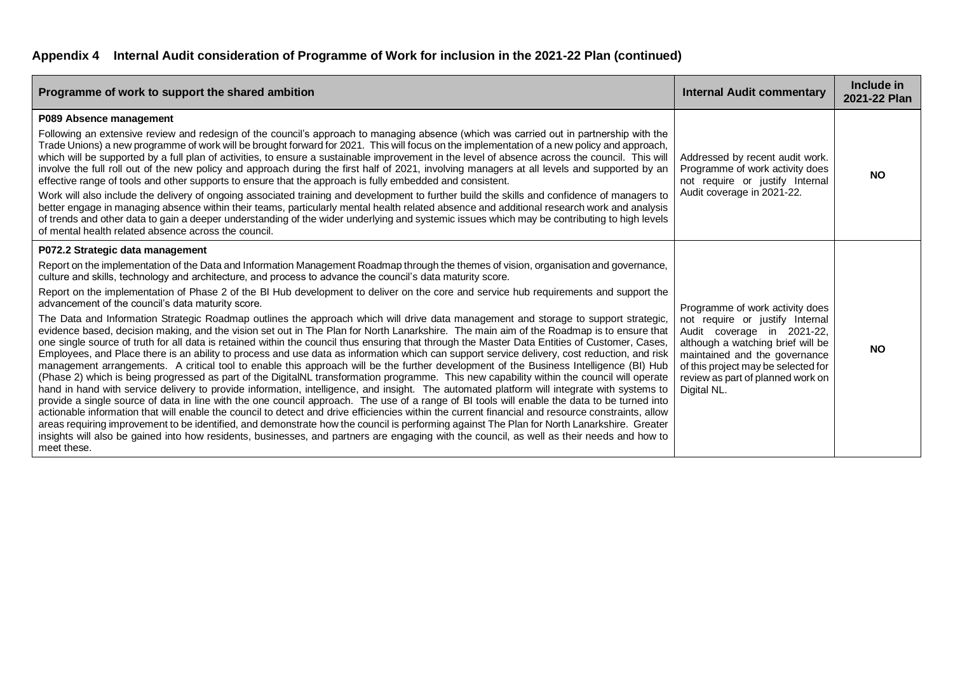| Programme of work to support the shared ambition                                                                                                                                                                                                                                                                                                                                                                                                                                                                                                                                                                                                                                                                                                                                                                                                                                                                                                                                                                                                                                                                                                                                                                                                                                                                                                                                                                                                                                                                                                                                                                                                                                                                                                                                                                                                                                                                                                                                                                                                                                                                                    | <b>Internal Audit commentary</b>                                                                                                                                                                                                                                  | Include in<br>2021-22 Plan |
|-------------------------------------------------------------------------------------------------------------------------------------------------------------------------------------------------------------------------------------------------------------------------------------------------------------------------------------------------------------------------------------------------------------------------------------------------------------------------------------------------------------------------------------------------------------------------------------------------------------------------------------------------------------------------------------------------------------------------------------------------------------------------------------------------------------------------------------------------------------------------------------------------------------------------------------------------------------------------------------------------------------------------------------------------------------------------------------------------------------------------------------------------------------------------------------------------------------------------------------------------------------------------------------------------------------------------------------------------------------------------------------------------------------------------------------------------------------------------------------------------------------------------------------------------------------------------------------------------------------------------------------------------------------------------------------------------------------------------------------------------------------------------------------------------------------------------------------------------------------------------------------------------------------------------------------------------------------------------------------------------------------------------------------------------------------------------------------------------------------------------------------|-------------------------------------------------------------------------------------------------------------------------------------------------------------------------------------------------------------------------------------------------------------------|----------------------------|
| P089 Absence management<br>Following an extensive review and redesign of the council's approach to managing absence (which was carried out in partnership with the<br>Trade Unions) a new programme of work will be brought forward for 2021. This will focus on the implementation of a new policy and approach,<br>which will be supported by a full plan of activities, to ensure a sustainable improvement in the level of absence across the council. This will<br>involve the full roll out of the new policy and approach during the first half of 2021, involving managers at all levels and supported by an<br>effective range of tools and other supports to ensure that the approach is fully embedded and consistent.<br>Work will also include the delivery of ongoing associated training and development to further build the skills and confidence of managers to<br>better engage in managing absence within their teams, particularly mental health related absence and additional research work and analysis<br>of trends and other data to gain a deeper understanding of the wider underlying and systemic issues which may be contributing to high levels<br>of mental health related absence across the council.                                                                                                                                                                                                                                                                                                                                                                                                                                                                                                                                                                                                                                                                                                                                                                                                                                                                                             | Addressed by recent audit work.<br>Programme of work activity does<br>not require or justify Internal<br>Audit coverage in 2021-22.                                                                                                                               | <b>NO</b>                  |
| P072.2 Strategic data management<br>Report on the implementation of the Data and Information Management Roadmap through the themes of vision, organisation and governance,<br>culture and skills, technology and architecture, and process to advance the council's data maturity score.<br>Report on the implementation of Phase 2 of the BI Hub development to deliver on the core and service hub requirements and support the<br>advancement of the council's data maturity score.<br>The Data and Information Strategic Roadmap outlines the approach which will drive data management and storage to support strategic,<br>evidence based, decision making, and the vision set out in The Plan for North Lanarkshire. The main aim of the Roadmap is to ensure that<br>one single source of truth for all data is retained within the council thus ensuring that through the Master Data Entities of Customer, Cases,<br>Employees, and Place there is an ability to process and use data as information which can support service delivery, cost reduction, and risk<br>management arrangements. A critical tool to enable this approach will be the further development of the Business Intelligence (BI) Hub<br>(Phase 2) which is being progressed as part of the DigitalNL transformation programme. This new capability within the council will operate<br>hand in hand with service delivery to provide information, intelligence, and insight. The automated platform will integrate with systems to<br>provide a single source of data in line with the one council approach. The use of a range of BI tools will enable the data to be turned into<br>actionable information that will enable the council to detect and drive efficiencies within the current financial and resource constraints, allow<br>areas requiring improvement to be identified, and demonstrate how the council is performing against The Plan for North Lanarkshire. Greater<br>insights will also be gained into how residents, businesses, and partners are engaging with the council, as well as their needs and how to<br>meet these. | Programme of work activity does<br>not require or justify Internal<br>Audit coverage in 2021-22,<br>although a watching brief will be<br>maintained and the governance<br>of this project may be selected for<br>review as part of planned work on<br>Digital NL. | <b>NO</b>                  |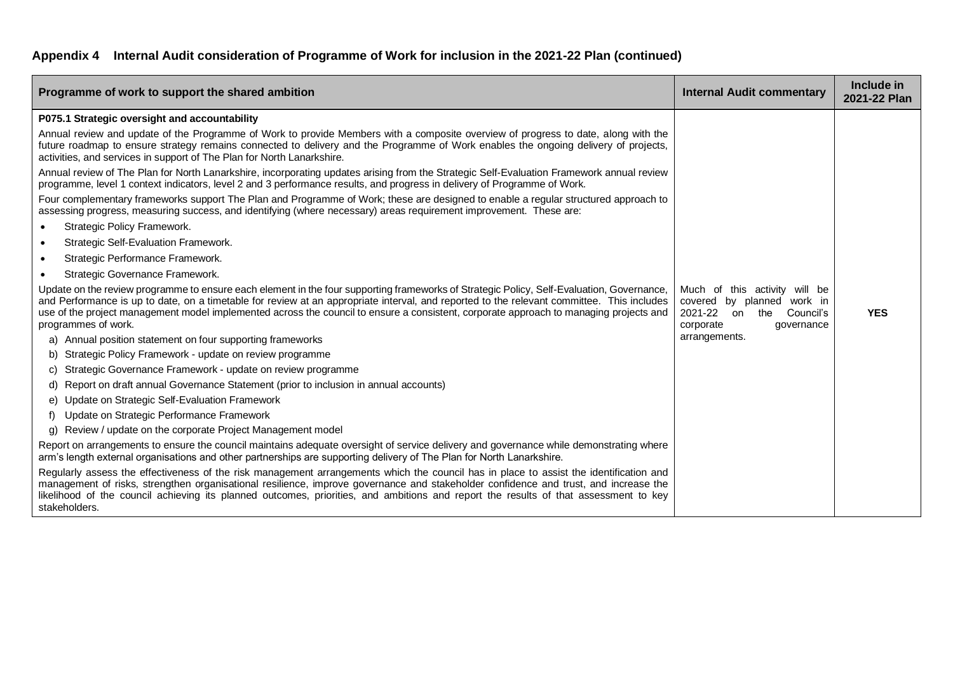| Programme of work to support the shared ambition                                                                                                                                                                                                                                                                                                                                                                                                         | <b>Internal Audit commentary</b>                                                                                               | Include in<br>2021-22 Plan |
|----------------------------------------------------------------------------------------------------------------------------------------------------------------------------------------------------------------------------------------------------------------------------------------------------------------------------------------------------------------------------------------------------------------------------------------------------------|--------------------------------------------------------------------------------------------------------------------------------|----------------------------|
| P075.1 Strategic oversight and accountability                                                                                                                                                                                                                                                                                                                                                                                                            |                                                                                                                                |                            |
| Annual review and update of the Programme of Work to provide Members with a composite overview of progress to date, along with the<br>future roadmap to ensure strategy remains connected to delivery and the Programme of Work enables the ongoing delivery of projects,<br>activities, and services in support of The Plan for North Lanarkshire.                                                                                                      |                                                                                                                                |                            |
| Annual review of The Plan for North Lanarkshire, incorporating updates arising from the Strategic Self-Evaluation Framework annual review<br>programme, level 1 context indicators, level 2 and 3 performance results, and progress in delivery of Programme of Work.                                                                                                                                                                                    |                                                                                                                                |                            |
| Four complementary frameworks support The Plan and Programme of Work; these are designed to enable a regular structured approach to<br>assessing progress, measuring success, and identifying (where necessary) areas requirement improvement. These are:                                                                                                                                                                                                |                                                                                                                                |                            |
| Strategic Policy Framework.                                                                                                                                                                                                                                                                                                                                                                                                                              |                                                                                                                                |                            |
| <b>Strategic Self-Evaluation Framework.</b><br>$\bullet$                                                                                                                                                                                                                                                                                                                                                                                                 |                                                                                                                                |                            |
| Strategic Performance Framework.<br>$\bullet$                                                                                                                                                                                                                                                                                                                                                                                                            |                                                                                                                                |                            |
| Strategic Governance Framework.                                                                                                                                                                                                                                                                                                                                                                                                                          |                                                                                                                                |                            |
| Update on the review programme to ensure each element in the four supporting frameworks of Strategic Policy, Self-Evaluation, Governance,<br>and Performance is up to date, on a timetable for review at an appropriate interval, and reported to the relevant committee. This includes<br>use of the project management model implemented across the council to ensure a consistent, corporate approach to managing projects and<br>programmes of work. | Much of this activity will be<br>covered<br>by planned work in<br>2021-22<br>the<br>Council's<br>on<br>corporate<br>qovernance | <b>YES</b>                 |
| a) Annual position statement on four supporting frameworks                                                                                                                                                                                                                                                                                                                                                                                               | arrangements.                                                                                                                  |                            |
| b) Strategic Policy Framework - update on review programme                                                                                                                                                                                                                                                                                                                                                                                               |                                                                                                                                |                            |
| Strategic Governance Framework - update on review programme<br>C)                                                                                                                                                                                                                                                                                                                                                                                        |                                                                                                                                |                            |
| d) Report on draft annual Governance Statement (prior to inclusion in annual accounts)                                                                                                                                                                                                                                                                                                                                                                   |                                                                                                                                |                            |
| e) Update on Strategic Self-Evaluation Framework                                                                                                                                                                                                                                                                                                                                                                                                         |                                                                                                                                |                            |
| Update on Strategic Performance Framework                                                                                                                                                                                                                                                                                                                                                                                                                |                                                                                                                                |                            |
| Review / update on the corporate Project Management model<br>g)                                                                                                                                                                                                                                                                                                                                                                                          |                                                                                                                                |                            |
| Report on arrangements to ensure the council maintains adequate oversight of service delivery and governance while demonstrating where<br>arm's length external organisations and other partnerships are supporting delivery of The Plan for North Lanarkshire.                                                                                                                                                                                          |                                                                                                                                |                            |
| Regularly assess the effectiveness of the risk management arrangements which the council has in place to assist the identification and<br>management of risks, strengthen organisational resilience, improve governance and stakeholder confidence and trust, and increase the<br>likelihood of the council achieving its planned outcomes, priorities, and ambitions and report the results of that assessment to key<br>stakeholders.                  |                                                                                                                                |                            |